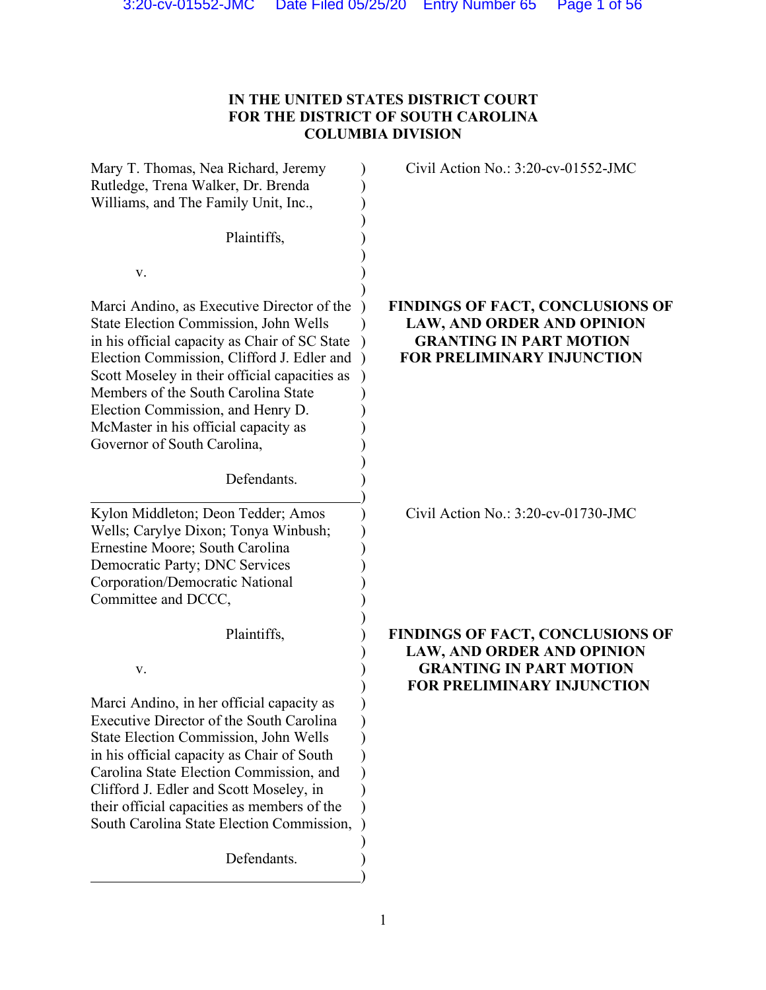# **IN THE UNITED STATES DISTRICT COURT FOR THE DISTRICT OF SOUTH CAROLINA COLUMBIA DIVISION**

| Mary T. Thomas, Nea Richard, Jeremy<br>Rutledge, Trena Walker, Dr. Brenda<br>Williams, and The Family Unit, Inc.,                                                                                                                                                                                                                                                                             | Civil Action No.: $3:20$ -cv-01552-JMC                                                                                                       |
|-----------------------------------------------------------------------------------------------------------------------------------------------------------------------------------------------------------------------------------------------------------------------------------------------------------------------------------------------------------------------------------------------|----------------------------------------------------------------------------------------------------------------------------------------------|
| Plaintiffs,                                                                                                                                                                                                                                                                                                                                                                                   |                                                                                                                                              |
| V.                                                                                                                                                                                                                                                                                                                                                                                            |                                                                                                                                              |
| Marci Andino, as Executive Director of the<br><b>State Election Commission, John Wells</b><br>in his official capacity as Chair of SC State<br>Election Commission, Clifford J. Edler and<br>Scott Moseley in their official capacities as<br>Members of the South Carolina State<br>Election Commission, and Henry D.<br>McMaster in his official capacity as<br>Governor of South Carolina, | <b>FINDINGS OF FACT, CONCLUSIONS OF</b><br><b>LAW, AND ORDER AND OPINION</b><br><b>GRANTING IN PART MOTION</b><br>FOR PRELIMINARY INJUNCTION |
| Defendants.                                                                                                                                                                                                                                                                                                                                                                                   |                                                                                                                                              |
| Kylon Middleton; Deon Tedder; Amos<br>Wells; Carylye Dixon; Tonya Winbush;<br>Ernestine Moore; South Carolina<br>Democratic Party; DNC Services<br>Corporation/Democratic National<br>Committee and DCCC,                                                                                                                                                                                     | Civil Action No.: 3:20-cv-01730-JMC                                                                                                          |
| Plaintiffs,                                                                                                                                                                                                                                                                                                                                                                                   | FINDINGS OF FACT, CONCLUSIONS OF<br><b>LAW, AND ORDER AND OPINION</b>                                                                        |
| V.                                                                                                                                                                                                                                                                                                                                                                                            | <b>GRANTING IN PART MOTION</b><br><b>FOR PRELIMINARY INJUNCTION</b>                                                                          |
| Marci Andino, in her official capacity as<br>Executive Director of the South Carolina<br><b>State Election Commission, John Wells</b><br>in his official capacity as Chair of South<br>Carolina State Election Commission, and<br>Clifford J. Edler and Scott Moseley, in<br>their official capacities as members of the<br>South Carolina State Election Commission,<br>Defendants.          |                                                                                                                                              |
|                                                                                                                                                                                                                                                                                                                                                                                               |                                                                                                                                              |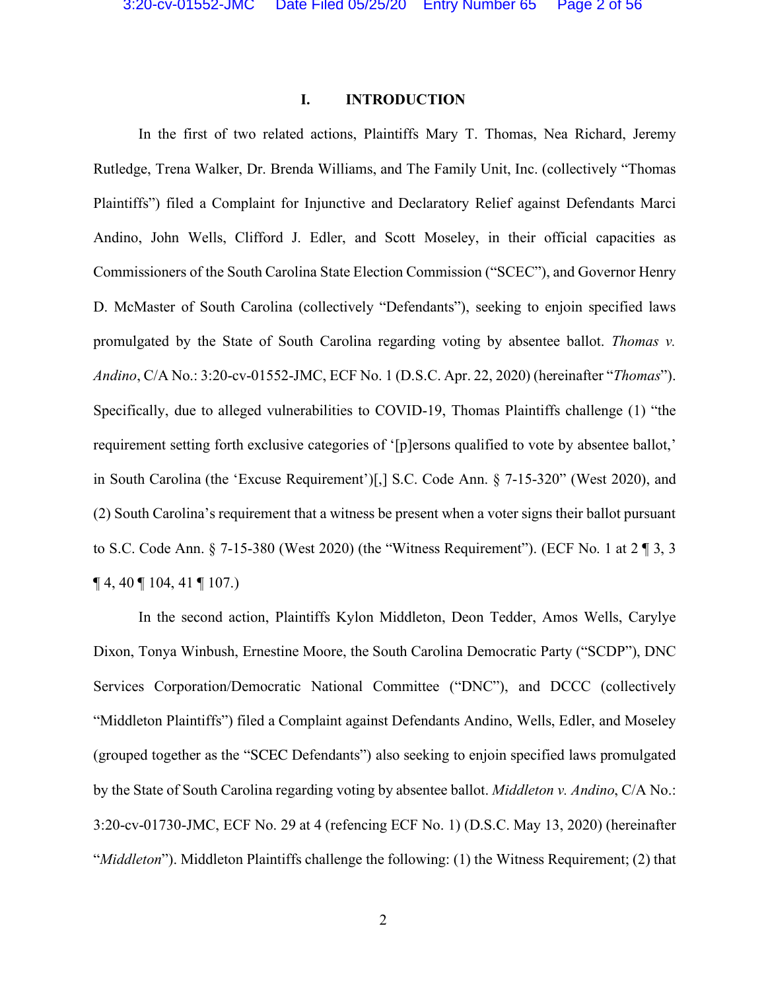#### **I. INTRODUCTION**

In the first of two related actions, Plaintiffs Mary T. Thomas, Nea Richard, Jeremy Rutledge, Trena Walker, Dr. Brenda Williams, and The Family Unit, Inc. (collectively "Thomas Plaintiffs") filed a Complaint for Injunctive and Declaratory Relief against Defendants Marci Andino, John Wells, Clifford J. Edler, and Scott Moseley, in their official capacities as Commissioners of the South Carolina State Election Commission ("SCEC"), and Governor Henry D. McMaster of South Carolina (collectively "Defendants"), seeking to enjoin specified laws promulgated by the State of South Carolina regarding voting by absentee ballot. *Thomas v. Andino*, C/A No.: 3:20-cv-01552-JMC, ECF No. 1 (D.S.C. Apr. 22, 2020) (hereinafter "*Thomas*"). Specifically, due to alleged vulnerabilities to COVID-19, Thomas Plaintiffs challenge (1) "the requirement setting forth exclusive categories of '[p]ersons qualified to vote by absentee ballot,' in South Carolina (the 'Excuse Requirement')[,] S.C. Code Ann. § 7-15-320" (West 2020), and (2) South Carolina's requirement that a witness be present when a voter signs their ballot pursuant to S.C. Code Ann. § 7-15-380 (West 2020) (the "Witness Requirement"). (ECF No. 1 at 2 ¶ 3, 3  $\P$  4, 40  $\P$  104, 41  $\P$  107.)

In the second action, Plaintiffs Kylon Middleton, Deon Tedder, Amos Wells, Carylye Dixon, Tonya Winbush, Ernestine Moore, the South Carolina Democratic Party ("SCDP"), DNC Services Corporation/Democratic National Committee ("DNC"), and DCCC (collectively "Middleton Plaintiffs") filed a Complaint against Defendants Andino, Wells, Edler, and Moseley (grouped together as the "SCEC Defendants") also seeking to enjoin specified laws promulgated by the State of South Carolina regarding voting by absentee ballot. *Middleton v. Andino*, C/A No.: 3:20-cv-01730-JMC, ECF No. 29 at 4 (refencing ECF No. 1) (D.S.C. May 13, 2020) (hereinafter "*Middleton*"). Middleton Plaintiffs challenge the following: (1) the Witness Requirement; (2) that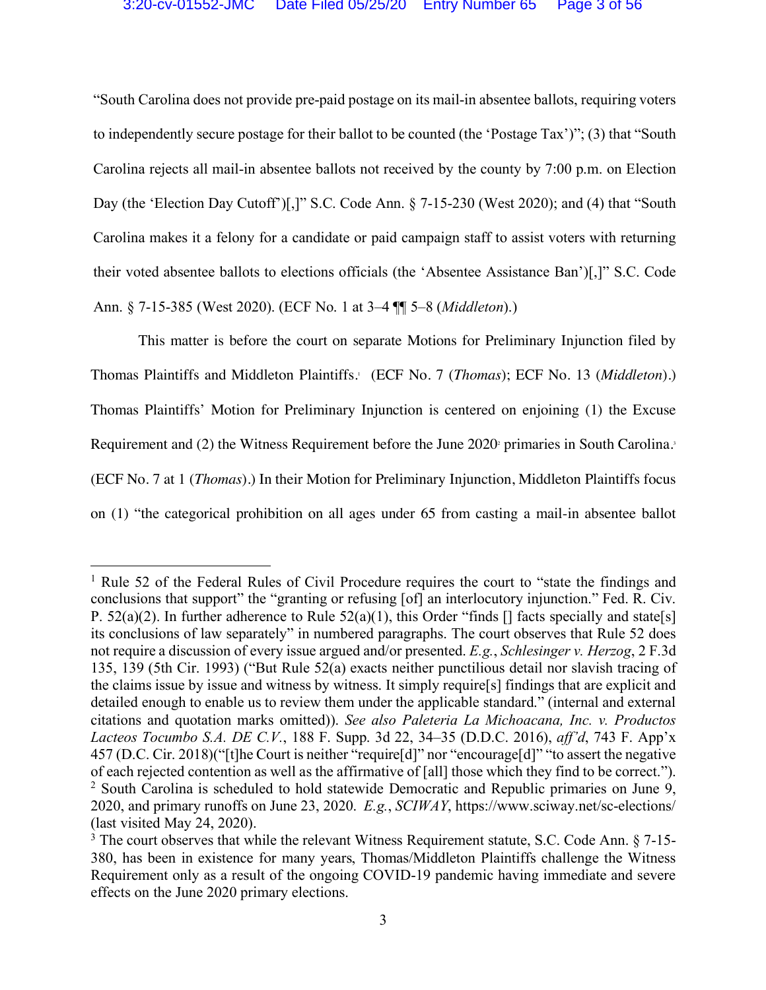"South Carolina does not provide pre-paid postage on its mail-in absentee ballots, requiring voters to independently secure postage for their ballot to be counted (the 'Postage Tax')"; (3) that "South Carolina rejects all mail-in absentee ballots not received by the county by 7:00 p.m. on Election Day (the 'Election Day Cutoff')[,]" S.C. Code Ann. § 7-15-230 (West 2020); and (4) that "South Carolina makes it a felony for a candidate or paid campaign staff to assist voters with returning their voted absentee ballots to elections officials (the 'Absentee Assistance Ban')[,]" S.C. Code Ann. § 7-15-385 (West 2020). (ECF No. 1 at 3–4 ¶¶ 5–8 (*Middleton*).)

This matter is before the court on separate Motions for Preliminary Injunction filed by Thomas Plaintiffs and Middleton Plaintiffs. <sup>1</sup> (ECF No. 7 (*Thomas*); ECF No. 13 (*Middleton*).) Thomas Plaintiffs' Motion for Preliminary Injunction is centered on enjoining (1) the Excuse Requirement and (2) the Witness Requirement before the June 2020 primaries in South Carolina. (ECF No. 7 at 1 (*Thomas*).) In their Motion for Preliminary Injunction, Middleton Plaintiffs focus on (1) "the categorical prohibition on all ages under 65 from casting a mail-in absentee ballot

<sup>&</sup>lt;sup>1</sup> Rule 52 of the Federal Rules of Civil Procedure requires the court to "state the findings and conclusions that support" the "granting or refusing [of] an interlocutory injunction." Fed. R. Civ. P.  $52(a)(2)$ . In further adherence to Rule  $52(a)(1)$ , this Order "finds  $\lceil \rceil$  facts specially and state [s] its conclusions of law separately" in numbered paragraphs. The court observes that Rule 52 does not require a discussion of every issue argued and/or presented. *E.g.*, *Schlesinger v. Herzog*, 2 F.3d 135, 139 (5th Cir. 1993) ("But Rule 52(a) exacts neither punctilious detail nor slavish tracing of the claims issue by issue and witness by witness. It simply require[s] findings that are explicit and detailed enough to enable us to review them under the applicable standard." (internal and external citations and quotation marks omitted)). *See also Paleteria La Michoacana, Inc. v. Productos Lacteos Tocumbo S.A. DE C.V.*, 188 F. Supp. 3d 22, 34–35 (D.D.C. 2016), *aff'd*, 743 F. App'x 457 (D.C. Cir. 2018)("[t]he Court is neither "require[d]" nor "encourage[d]" "to assert the negative of each rejected contention as well as the affirmative of [all] those which they find to be correct."). <sup>2</sup> South Carolina is scheduled to hold statewide Democratic and Republic primaries on June 9, 2020, and primary runoffs on June 23, 2020. *E.g.*, *SCIWAY*, https://www.sciway.net/sc-elections/ (last visited May 24, 2020).

<sup>&</sup>lt;sup>3</sup> The court observes that while the relevant Witness Requirement statute, S.C. Code Ann. § 7-15-380, has been in existence for many years, Thomas/Middleton Plaintiffs challenge the Witness Requirement only as a result of the ongoing COVID-19 pandemic having immediate and severe effects on the June 2020 primary elections.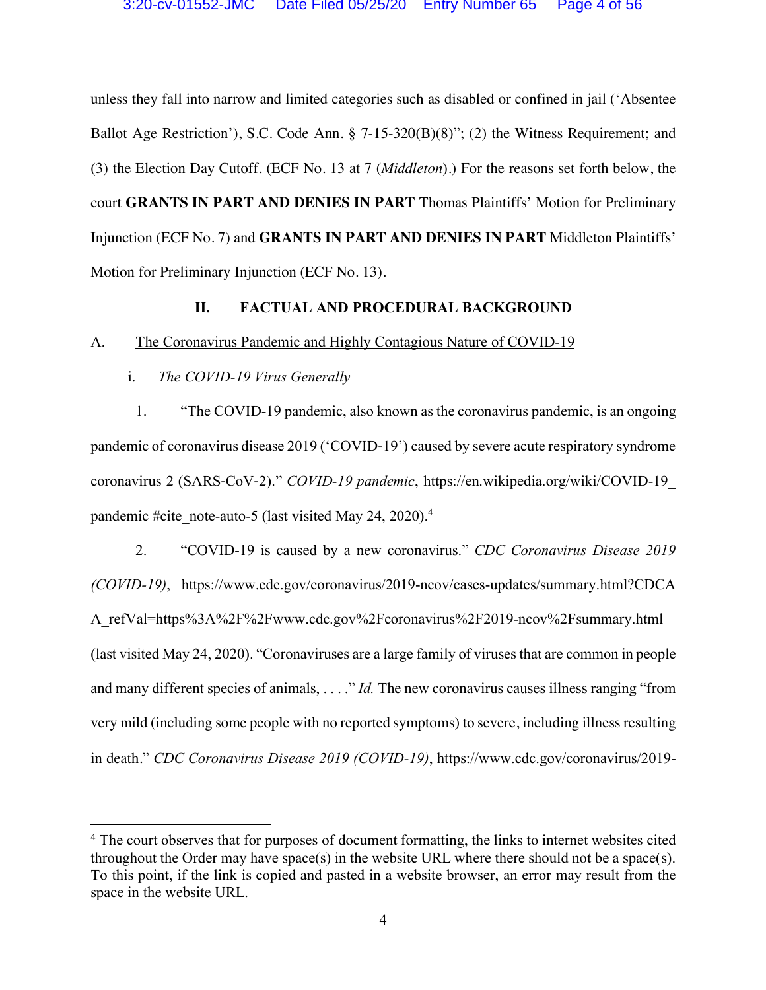unless they fall into narrow and limited categories such as disabled or confined in jail ('Absentee Ballot Age Restriction'), S.C. Code Ann. § 7-15-320(B)(8)"; (2) the Witness Requirement; and (3) the Election Day Cutoff. (ECF No. 13 at 7 (*Middleton*).) For the reasons set forth below, the court **GRANTS IN PART AND DENIES IN PART** Thomas Plaintiffs' Motion for Preliminary Injunction (ECF No. 7) and **GRANTS IN PART AND DENIES IN PART** Middleton Plaintiffs' Motion for Preliminary Injunction (ECF No. 13).

## **II. FACTUAL AND PROCEDURAL BACKGROUND**

### A. The Coronavirus Pandemic and Highly Contagious Nature of COVID-19

i. *The COVID-19 Virus Generally*

1. "The COVID-19 pandemic, also known as the coronavirus pandemic, is an ongoing pandemic of coronavirus disease 2019 ('COVID-19') caused by severe acute respiratory syndrome coronavirus 2 (SARS-CoV-2)." *COVID-19 pandemic*, https://en.wikipedia.org/wiki/COVID-19\_ pandemic #cite\_note-auto-5 (last visited May 24, 2020).<sup>4</sup>

2. "COVID-19 is caused by a new coronavirus." *CDC Coronavirus Disease 2019 (COVID-19)*, https://www.cdc.gov/coronavirus/2019-ncov/cases-updates/summary.html?CDCA A\_refVal=https%3A%2F%2Fwww.cdc.gov%2Fcoronavirus%2F2019-ncov%2Fsummary.html (last visited May 24, 2020). "Coronaviruses are a large family of viruses that are common in people and many different species of animals, . . . ." *Id.* The new coronavirus causes illness ranging "from very mild (including some people with no reported symptoms) to severe, including illness resulting in death." *CDC Coronavirus Disease 2019 (COVID-19)*, https://www.cdc.gov/coronavirus/2019-

<sup>&</sup>lt;sup>4</sup> The court observes that for purposes of document formatting, the links to internet websites cited throughout the Order may have space(s) in the website URL where there should not be a space(s). To this point, if the link is copied and pasted in a website browser, an error may result from the space in the website URL.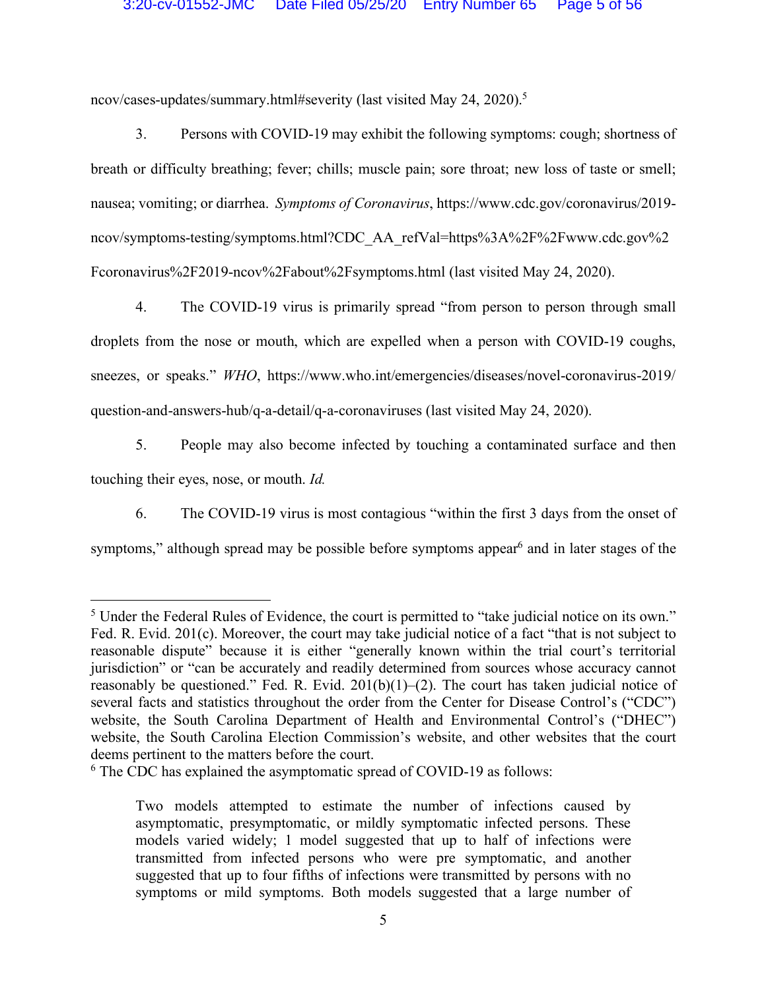ncov/cases-updates/summary.html#severity (last visited May 24, 2020). 5

3. Persons with COVID-19 may exhibit the following symptoms: cough; shortness of breath or difficulty breathing; fever; chills; muscle pain; sore throat; new loss of taste or smell; nausea; vomiting; or diarrhea. *Symptoms of Coronavirus*, https://www.cdc.gov/coronavirus/2019 ncov/symptoms-testing/symptoms.html?CDC\_AA\_refVal=https%3A%2F%2Fwww.cdc.gov%2 Fcoronavirus%2F2019-ncov%2Fabout%2Fsymptoms.html (last visited May 24, 2020).

4. The COVID-19 virus is primarily spread "from person to person through small droplets from the nose or mouth, which are expelled when a person with COVID-19 coughs, sneezes, or speaks." *WHO*, https://www.who.int/emergencies/diseases/novel-coronavirus-2019/ question-and-answers-hub/q-a-detail/q-a-coronaviruses (last visited May 24, 2020).

5. People may also become infected by touching a contaminated surface and then touching their eyes, nose, or mouth. *Id.*

6. The COVID-19 virus is most contagious "within the first 3 days from the onset of symptoms," although spread may be possible before symptoms appear<sup>6</sup> and in later stages of the

 <sup>5</sup> Under the Federal Rules of Evidence, the court is permitted to "take judicial notice on its own." Fed. R. Evid. 201(c). Moreover, the court may take judicial notice of a fact "that is not subject to reasonable dispute" because it is either "generally known within the trial court's territorial jurisdiction" or "can be accurately and readily determined from sources whose accuracy cannot reasonably be questioned." Fed. R. Evid. 201(b)(1)–(2). The court has taken judicial notice of several facts and statistics throughout the order from the Center for Disease Control's ("CDC") website, the South Carolina Department of Health and Environmental Control's ("DHEC") website, the South Carolina Election Commission's website, and other websites that the court deems pertinent to the matters before the court.

<sup>6</sup> The CDC has explained the asymptomatic spread of COVID-19 as follows:

Two models attempted to estimate the number of infections caused by asymptomatic, presymptomatic, or mildly symptomatic infected persons. These models varied widely; 1 model suggested that up to half of infections were transmitted from infected persons who were pre symptomatic, and another suggested that up to four fifths of infections were transmitted by persons with no symptoms or mild symptoms. Both models suggested that a large number of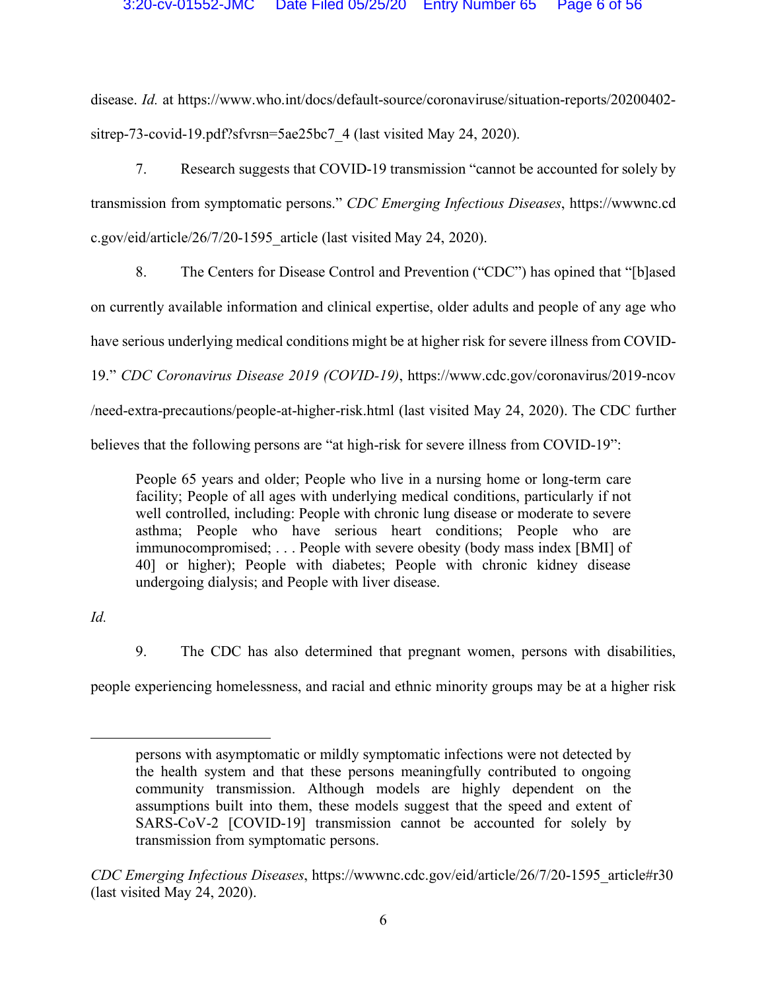disease. *Id.* at https://www.who.int/docs/default-source/coronaviruse/situation-reports/20200402 sitrep-73-covid-19.pdf?sfvrsn=5ae25bc7\_4 (last visited May 24, 2020).

7. Research suggests that COVID-19 transmission "cannot be accounted for solely by transmission from symptomatic persons." *CDC Emerging Infectious Diseases*, https://wwwnc.cd c.gov/eid/article/26/7/20-1595\_article (last visited May 24, 2020).

8. The Centers for Disease Control and Prevention ("CDC") has opined that "[b]ased on currently available information and clinical expertise, older adults and people of any age who have serious underlying medical conditions might be at higher risk for severe illness from COVID-19." *CDC Coronavirus Disease 2019 (COVID-19)*, https://www.cdc.gov/coronavirus/2019-ncov /need-extra-precautions/people-at-higher-risk.html (last visited May 24, 2020). The CDC further believes that the following persons are "at high-risk for severe illness from COVID-19":

People 65 years and older; People who live in a nursing home or long-term care facility; People of all ages with underlying medical conditions, particularly if not well controlled, including: People with chronic lung disease or moderate to severe asthma; People who have serious heart conditions; People who are immunocompromised; . . . People with severe obesity (body mass index [BMI] of 40] or higher); People with diabetes; People with chronic kidney disease undergoing dialysis; and People with liver disease.

*Id.* 

 $\overline{a}$ 

9. The CDC has also determined that pregnant women, persons with disabilities,

people experiencing homelessness, and racial and ethnic minority groups may be at a higher risk

persons with asymptomatic or mildly symptomatic infections were not detected by the health system and that these persons meaningfully contributed to ongoing community transmission. Although models are highly dependent on the assumptions built into them, these models suggest that the speed and extent of SARS-CoV-2 [COVID-19] transmission cannot be accounted for solely by transmission from symptomatic persons.

*CDC Emerging Infectious Diseases*, https://wwwnc.cdc.gov/eid/article/26/7/20-1595\_article#r30 (last visited May 24, 2020).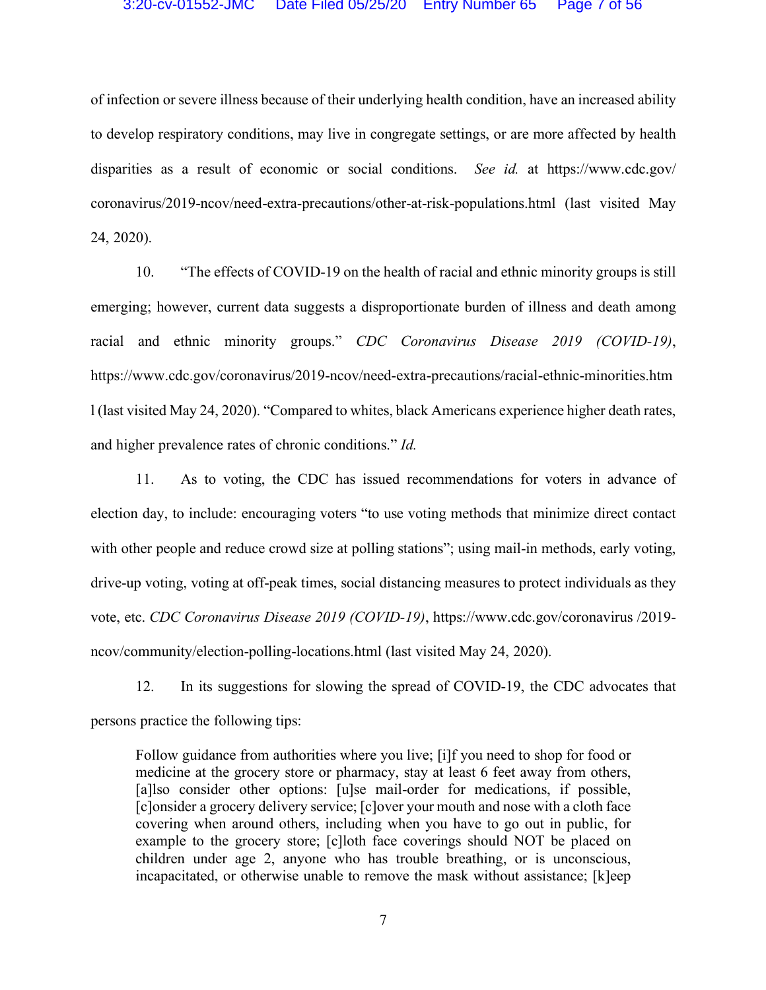of infection or severe illness because of their underlying health condition, have an increased ability to develop respiratory conditions, may live in congregate settings, or are more affected by health disparities as a result of economic or social conditions. *See id.* at https://www.cdc.gov/ coronavirus/2019-ncov/need-extra-precautions/other-at-risk-populations.html (last visited May 24, 2020).

10. "The effects of COVID-19 on the health of racial and ethnic minority groups is still emerging; however, current data suggests a disproportionate burden of illness and death among racial and ethnic minority groups." *CDC Coronavirus Disease 2019 (COVID-19)*, https://www.cdc.gov/coronavirus/2019-ncov/need-extra-precautions/racial-ethnic-minorities.htm l (last visited May 24, 2020). "Compared to whites, black Americans experience higher death rates, and higher prevalence rates of chronic conditions." *Id.*

11. As to voting, the CDC has issued recommendations for voters in advance of election day, to include: encouraging voters "to use voting methods that minimize direct contact with other people and reduce crowd size at polling stations"; using mail-in methods, early voting, drive-up voting, voting at off-peak times, social distancing measures to protect individuals as they vote, etc. *CDC Coronavirus Disease 2019 (COVID-19)*, https://www.cdc.gov/coronavirus /2019 ncov/community/election-polling-locations.html (last visited May 24, 2020).

12. In its suggestions for slowing the spread of COVID-19, the CDC advocates that persons practice the following tips:

Follow guidance from authorities where you live; [i]f you need to shop for food or medicine at the grocery store or pharmacy, stay at least 6 feet away from others, [a]lso consider other options: [u]se mail-order for medications, if possible, [c]onsider a grocery delivery service; [c]over your mouth and nose with a cloth face covering when around others, including when you have to go out in public, for example to the grocery store; [c]loth face coverings should NOT be placed on children under age 2, anyone who has trouble breathing, or is unconscious, incapacitated, or otherwise unable to remove the mask without assistance; [k]eep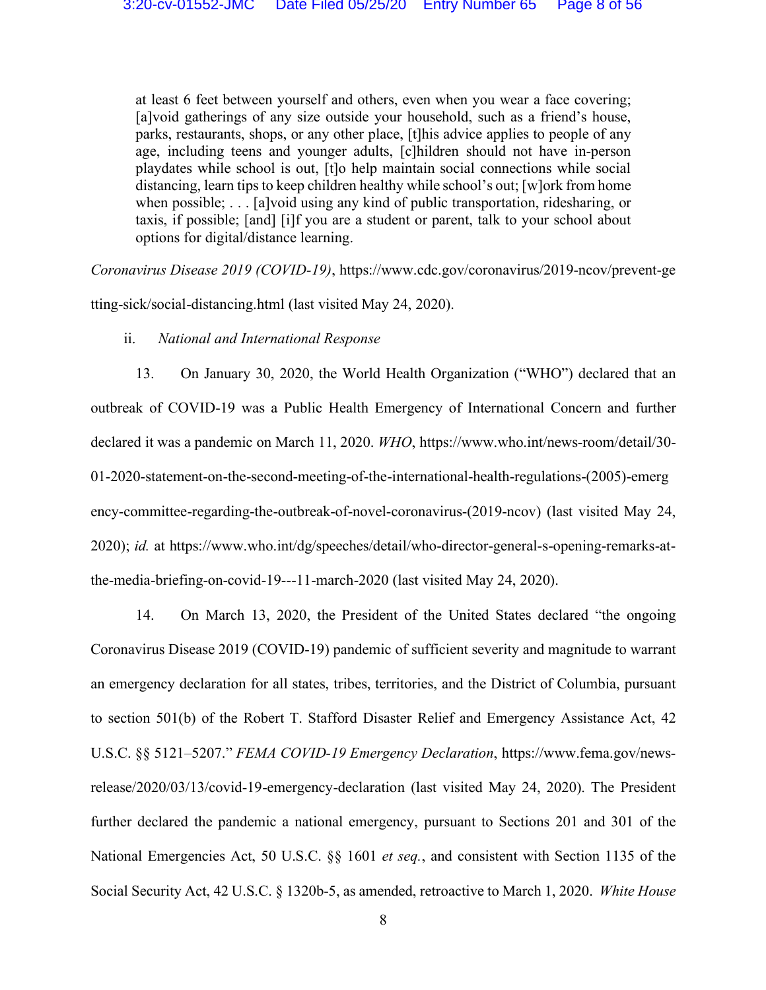at least 6 feet between yourself and others, even when you wear a face covering; [a]void gatherings of any size outside your household, such as a friend's house, parks, restaurants, shops, or any other place, [t]his advice applies to people of any age, including teens and younger adults, [c]hildren should not have in-person playdates while school is out, [t]o help maintain social connections while social distancing, learn tips to keep children healthy while school's out; [w]ork from home when possible; . . . [a]void using any kind of public transportation, ridesharing, or taxis, if possible; [and] [i]f you are a student or parent, talk to your school about options for digital/distance learning.

*Coronavirus Disease 2019 (COVID-19)*, https://www.cdc.gov/coronavirus/2019-ncov/prevent-ge tting-sick/social-distancing.html (last visited May 24, 2020).

## ii. *National and International Response*

13. On January 30, 2020, the World Health Organization ("WHO") declared that an outbreak of COVID-19 was a Public Health Emergency of International Concern and further declared it was a pandemic on March 11, 2020. *WHO*, https://www.who.int/news-room/detail/30- 01-2020-statement-on-the-second-meeting-of-the-international-health-regulations-(2005)-emerg ency-committee-regarding-the-outbreak-of-novel-coronavirus-(2019-ncov) (last visited May 24, 2020); *id.* at https://www.who.int/dg/speeches/detail/who-director-general-s-opening-remarks-atthe-media-briefing-on-covid-19---11-march-2020 (last visited May 24, 2020).

14. On March 13, 2020, the President of the United States declared "the ongoing Coronavirus Disease 2019 (COVID-19) pandemic of sufficient severity and magnitude to warrant an emergency declaration for all states, tribes, territories, and the District of Columbia, pursuant to section 501(b) of the Robert T. Stafford Disaster Relief and Emergency Assistance Act, 42 U.S.C. §§ 5121–5207." *FEMA COVID-19 Emergency Declaration*, https://www.fema.gov/newsrelease/2020/03/13/covid-19-emergency-declaration (last visited May 24, 2020). The President further declared the pandemic a national emergency, pursuant to Sections 201 and 301 of the National Emergencies Act, 50 U.S.C. §§ 1601 *et seq.*, and consistent with Section 1135 of the Social Security Act, 42 U.S.C. § 1320b-5, as amended, retroactive to March 1, 2020. *White House*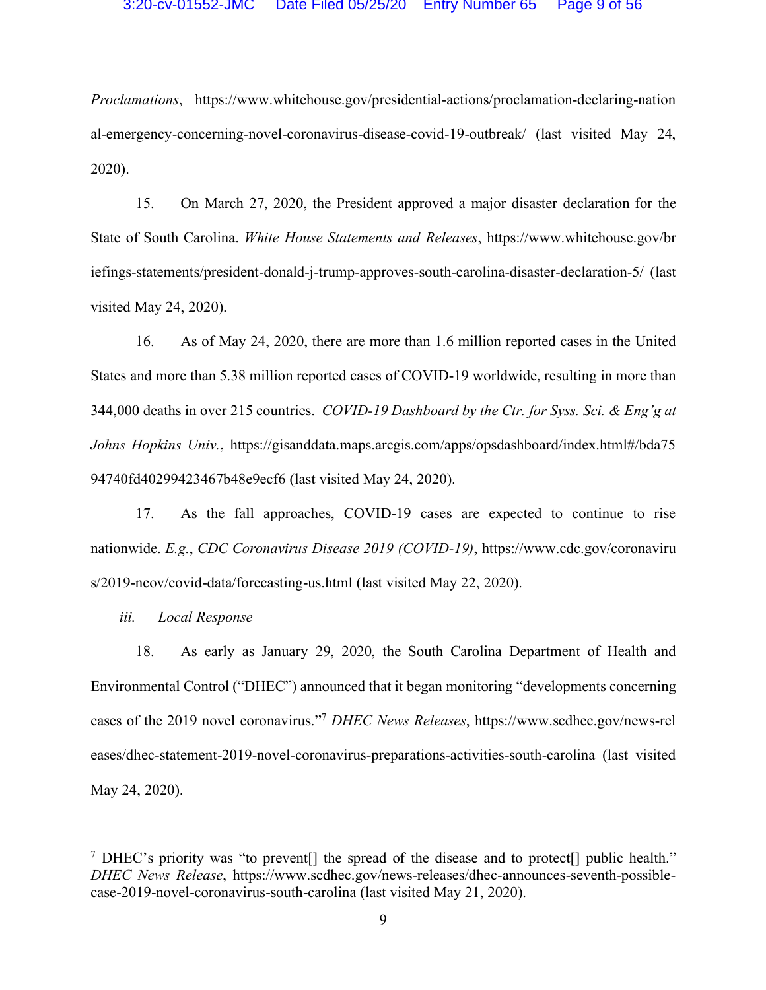*Proclamations*, https://www.whitehouse.gov/presidential-actions/proclamation-declaring-nation al-emergency-concerning-novel-coronavirus-disease-covid-19-outbreak/ (last visited May 24, 2020).

15. On March 27, 2020, the President approved a major disaster declaration for the State of South Carolina. *White House Statements and Releases*, https://www.whitehouse.gov/br iefings-statements/president-donald-j-trump-approves-south-carolina-disaster-declaration-5/ (last visited May 24, 2020).

16. As of May 24, 2020, there are more than 1.6 million reported cases in the United States and more than 5.38 million reported cases of COVID-19 worldwide, resulting in more than 344,000 deaths in over 215 countries. *COVID-19 Dashboard by the Ctr. for Syss. Sci. & Eng'g at Johns Hopkins Univ.*, https://gisanddata.maps.arcgis.com/apps/opsdashboard/index.html#/bda75 94740fd40299423467b48e9ecf6 (last visited May 24, 2020).

17. As the fall approaches, COVID-19 cases are expected to continue to rise nationwide. *E.g.*, *CDC Coronavirus Disease 2019 (COVID-19)*, https://www.cdc.gov/coronaviru s/2019-ncov/covid-data/forecasting-us.html (last visited May 22, 2020).

*iii. Local Response*

18. As early as January 29, 2020, the South Carolina Department of Health and Environmental Control ("DHEC") announced that it began monitoring "developments concerning cases of the 2019 novel coronavirus."7 *DHEC News Releases*, https://www.scdhec.gov/news-rel eases/dhec-statement-2019-novel-coronavirus-preparations-activities-south-carolina (last visited May 24, 2020).

<sup>&</sup>lt;sup>7</sup> DHEC's priority was "to prevent<sup>[]</sup> the spread of the disease and to protect<sup>[]</sup> public health." *DHEC News Release*, https://www.scdhec.gov/news-releases/dhec-announces-seventh-possiblecase-2019-novel-coronavirus-south-carolina (last visited May 21, 2020).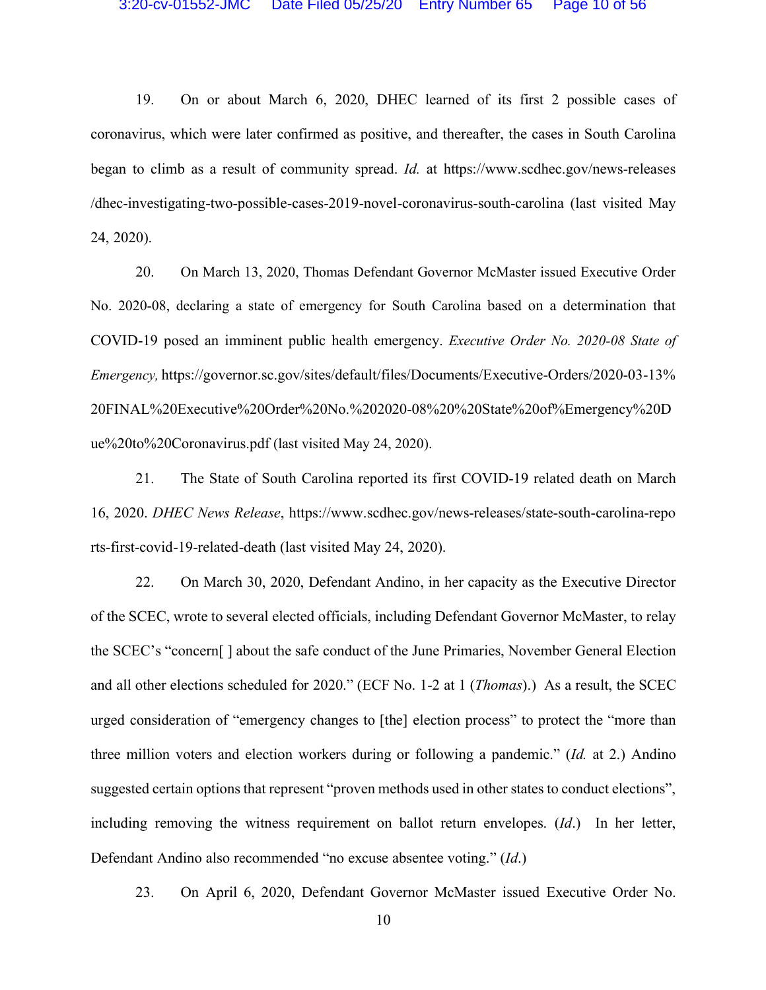19. On or about March 6, 2020, DHEC learned of its first 2 possible cases of coronavirus, which were later confirmed as positive, and thereafter, the cases in South Carolina began to climb as a result of community spread. *Id.* at https://www.scdhec.gov/news-releases /dhec-investigating-two-possible-cases-2019-novel-coronavirus-south-carolina (last visited May 24, 2020).

20. On March 13, 2020, Thomas Defendant Governor McMaster issued Executive Order No. 2020-08, declaring a state of emergency for South Carolina based on a determination that COVID-19 posed an imminent public health emergency. *Executive Order No. 2020-08 State of Emergency,* https://governor.sc.gov/sites/default/files/Documents/Executive-Orders/2020-03-13% 20FINAL%20Executive%20Order%20No.%202020-08%20%20State%20of%Emergency%20D ue%20to%20Coronavirus.pdf (last visited May 24, 2020).

21. The State of South Carolina reported its first COVID-19 related death on March 16, 2020. *DHEC News Release*, https://www.scdhec.gov/news-releases/state-south-carolina-repo rts-first-covid-19-related-death (last visited May 24, 2020).

22. On March 30, 2020, Defendant Andino, in her capacity as the Executive Director of the SCEC, wrote to several elected officials, including Defendant Governor McMaster, to relay the SCEC's "concern[ ] about the safe conduct of the June Primaries, November General Election and all other elections scheduled for 2020." (ECF No. 1-2 at 1 (*Thomas*).) As a result, the SCEC urged consideration of "emergency changes to [the] election process" to protect the "more than three million voters and election workers during or following a pandemic." (*Id.* at 2.) Andino suggested certain options that represent "proven methods used in other states to conduct elections", including removing the witness requirement on ballot return envelopes. (*Id*.) In her letter, Defendant Andino also recommended "no excuse absentee voting." (*Id*.)

23. On April 6, 2020, Defendant Governor McMaster issued Executive Order No.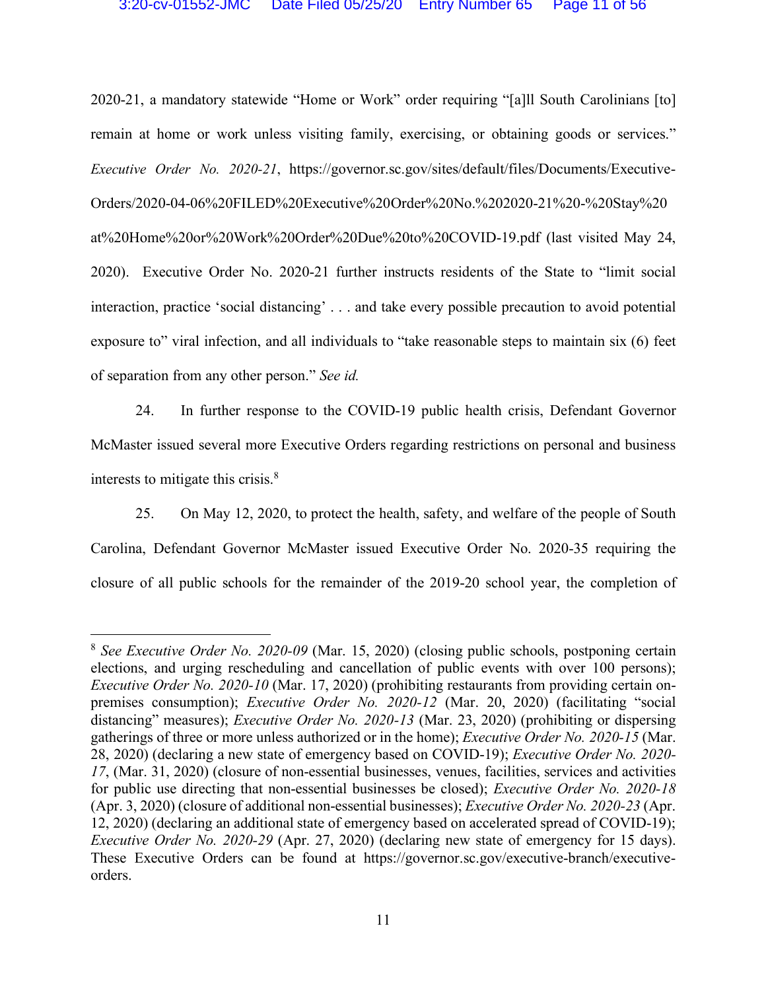2020-21, a mandatory statewide "Home or Work" order requiring "[a]ll South Carolinians [to] remain at home or work unless visiting family, exercising, or obtaining goods or services." *Executive Order No. 2020-21*, https://governor.sc.gov/sites/default/files/Documents/Executive-Orders/2020-04-06%20FILED%20Executive%20Order%20No.%202020-21%20-%20Stay%20 at%20Home%20or%20Work%20Order%20Due%20to%20COVID-19.pdf (last visited May 24, 2020). Executive Order No. 2020-21 further instructs residents of the State to "limit social interaction, practice 'social distancing' . . . and take every possible precaution to avoid potential exposure to" viral infection, and all individuals to "take reasonable steps to maintain six (6) feet of separation from any other person." *See id.*

24. In further response to the COVID-19 public health crisis, Defendant Governor McMaster issued several more Executive Orders regarding restrictions on personal and business interests to mitigate this crisis.8

25. On May 12, 2020, to protect the health, safety, and welfare of the people of South Carolina, Defendant Governor McMaster issued Executive Order No. 2020-35 requiring the closure of all public schools for the remainder of the 2019-20 school year, the completion of

 <sup>8</sup> *See Executive Order No. 2020-09* (Mar. 15, 2020) (closing public schools, postponing certain elections, and urging rescheduling and cancellation of public events with over 100 persons); *Executive Order No. 2020-10* (Mar. 17, 2020) (prohibiting restaurants from providing certain onpremises consumption); *Executive Order No. 2020-12* (Mar. 20, 2020) (facilitating "social distancing" measures); *Executive Order No. 2020-13* (Mar. 23, 2020) (prohibiting or dispersing gatherings of three or more unless authorized or in the home); *Executive Order No. 2020-15* (Mar. 28, 2020) (declaring a new state of emergency based on COVID-19); *Executive Order No. 2020- 17*, (Mar. 31, 2020) (closure of non-essential businesses, venues, facilities, services and activities for public use directing that non-essential businesses be closed); *Executive Order No. 2020-18*  (Apr. 3, 2020) (closure of additional non-essential businesses); *Executive Order No. 2020-23* (Apr. 12, 2020) (declaring an additional state of emergency based on accelerated spread of COVID-19); *Executive Order No. 2020-29* (Apr. 27, 2020) (declaring new state of emergency for 15 days). These Executive Orders can be found at https://governor.sc.gov/executive-branch/executiveorders.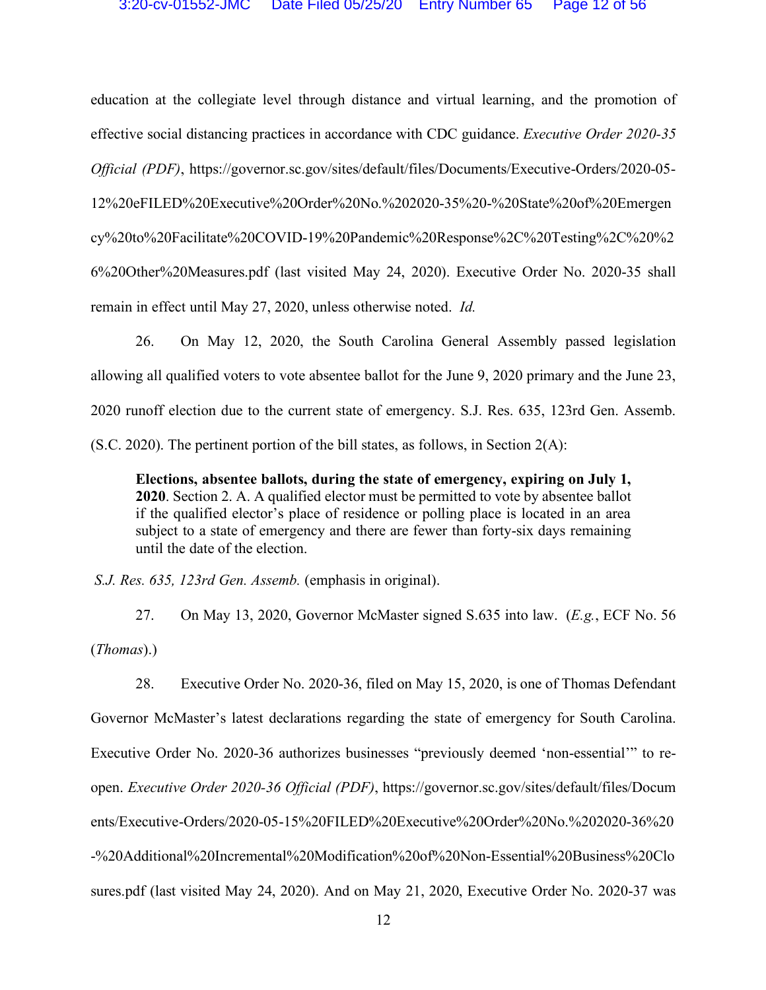education at the collegiate level through distance and virtual learning, and the promotion of effective social distancing practices in accordance with CDC guidance. *Executive Order 2020-35 Official (PDF)*, https://governor.sc.gov/sites/default/files/Documents/Executive-Orders/2020-05- 12%20eFILED%20Executive%20Order%20No.%202020-35%20-%20State%20of%20Emergen cy%20to%20Facilitate%20COVID-19%20Pandemic%20Response%2C%20Testing%2C%20%2 6%20Other%20Measures.pdf (last visited May 24, 2020). Executive Order No. 2020-35 shall remain in effect until May 27, 2020, unless otherwise noted. *Id.*

26. On May 12, 2020, the South Carolina General Assembly passed legislation allowing all qualified voters to vote absentee ballot for the June 9, 2020 primary and the June 23, 2020 runoff election due to the current state of emergency. S.J. Res. 635, 123rd Gen. Assemb. (S.C. 2020). The pertinent portion of the bill states, as follows, in Section 2(A):

**Elections, absentee ballots, during the state of emergency, expiring on July 1, 2020**. Section 2. A. A qualified elector must be permitted to vote by absentee ballot if the qualified elector's place of residence or polling place is located in an area subject to a state of emergency and there are fewer than forty-six days remaining until the date of the election.

*S.J. Res. 635, 123rd Gen. Assemb.* (emphasis in original).

27. On May 13, 2020, Governor McMaster signed S.635 into law. (*E.g.*, ECF No. 56 (*Thomas*).)

28. Executive Order No. 2020-36, filed on May 15, 2020, is one of Thomas Defendant Governor McMaster's latest declarations regarding the state of emergency for South Carolina. Executive Order No. 2020-36 authorizes businesses "previously deemed 'non-essential'" to reopen. *Executive Order 2020-36 Official (PDF)*, https://governor.sc.gov/sites/default/files/Docum ents/Executive-Orders/2020-05-15%20FILED%20Executive%20Order%20No.%202020-36%20 -%20Additional%20Incremental%20Modification%20of%20Non-Essential%20Business%20Clo sures.pdf (last visited May 24, 2020). And on May 21, 2020, Executive Order No. 2020-37 was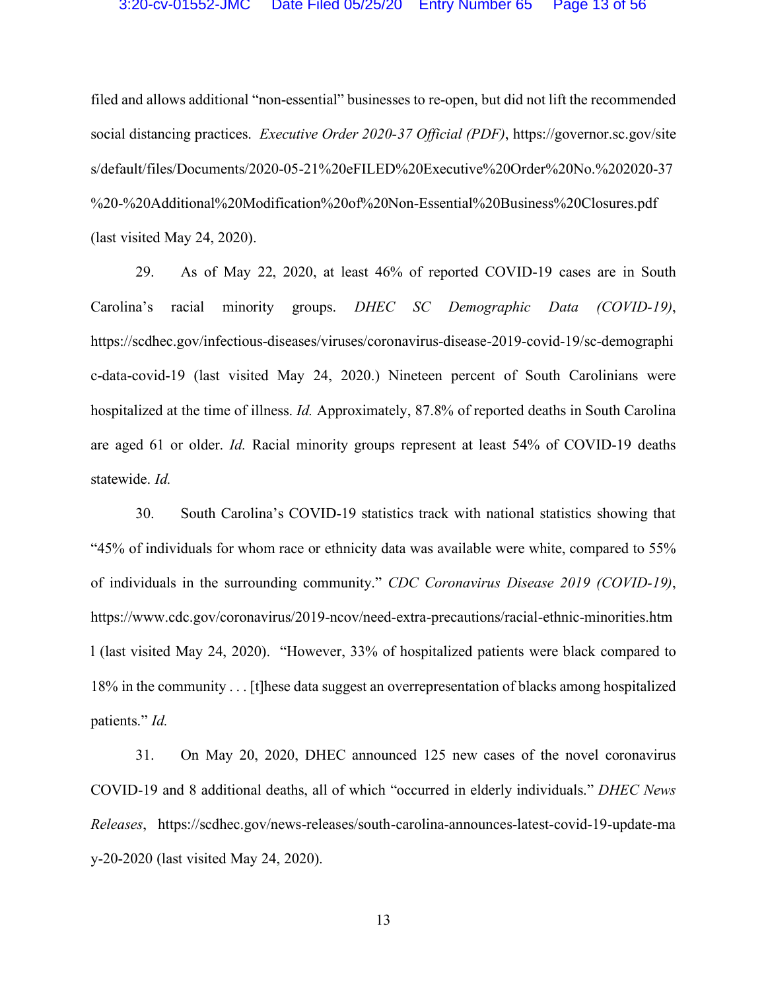filed and allows additional "non-essential" businesses to re-open, but did not lift the recommended social distancing practices. *Executive Order 2020-37 Official (PDF)*, https://governor.sc.gov/site s/default/files/Documents/2020-05-21%20eFILED%20Executive%20Order%20No.%202020-37 %20-%20Additional%20Modification%20of%20Non-Essential%20Business%20Closures.pdf (last visited May 24, 2020).

29. As of May 22, 2020, at least 46% of reported COVID-19 cases are in South Carolina's racial minority groups. *DHEC SC Demographic Data (COVID-19)*, https://scdhec.gov/infectious-diseases/viruses/coronavirus-disease-2019-covid-19/sc-demographi c-data-covid-19 (last visited May 24, 2020.) Nineteen percent of South Carolinians were hospitalized at the time of illness. *Id.* Approximately, 87.8% of reported deaths in South Carolina are aged 61 or older. *Id.* Racial minority groups represent at least 54% of COVID-19 deaths statewide. *Id.*

30. South Carolina's COVID-19 statistics track with national statistics showing that "45% of individuals for whom race or ethnicity data was available were white, compared to 55% of individuals in the surrounding community." *CDC Coronavirus Disease 2019 (COVID-19)*, https://www.cdc.gov/coronavirus/2019-ncov/need-extra-precautions/racial-ethnic-minorities.htm l (last visited May 24, 2020). "However, 33% of hospitalized patients were black compared to 18% in the community . . . [t]hese data suggest an overrepresentation of blacks among hospitalized patients." *Id.*

31. On May 20, 2020, DHEC announced 125 new cases of the novel coronavirus COVID-19 and 8 additional deaths, all of which "occurred in elderly individuals." *DHEC News Releases*, https://scdhec.gov/news-releases/south-carolina-announces-latest-covid-19-update-ma y-20-2020 (last visited May 24, 2020).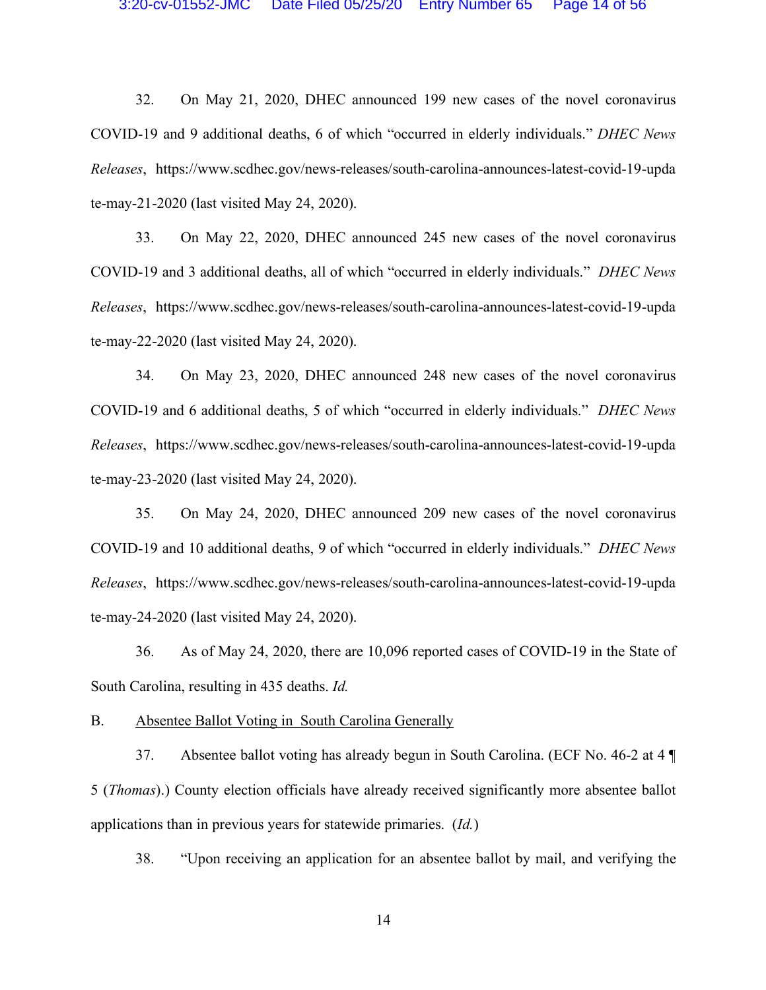32. On May 21, 2020, DHEC announced 199 new cases of the novel coronavirus COVID-19 and 9 additional deaths, 6 of which "occurred in elderly individuals." *DHEC News Releases*, https://www.scdhec.gov/news-releases/south-carolina-announces-latest-covid-19-upda te-may-21-2020 (last visited May 24, 2020).

33. On May 22, 2020, DHEC announced 245 new cases of the novel coronavirus COVID-19 and 3 additional deaths, all of which "occurred in elderly individuals." *DHEC News Releases*, https://www.scdhec.gov/news-releases/south-carolina-announces-latest-covid-19-upda te-may-22-2020 (last visited May 24, 2020).

34. On May 23, 2020, DHEC announced 248 new cases of the novel coronavirus COVID-19 and 6 additional deaths, 5 of which "occurred in elderly individuals." *DHEC News Releases*, https://www.scdhec.gov/news-releases/south-carolina-announces-latest-covid-19-upda te-may-23-2020 (last visited May 24, 2020).

35. On May 24, 2020, DHEC announced 209 new cases of the novel coronavirus COVID-19 and 10 additional deaths, 9 of which "occurred in elderly individuals." *DHEC News Releases*, https://www.scdhec.gov/news-releases/south-carolina-announces-latest-covid-19-upda te-may-24-2020 (last visited May 24, 2020).

36. As of May 24, 2020, there are 10,096 reported cases of COVID-19 in the State of South Carolina, resulting in 435 deaths. *Id.*

B. Absentee Ballot Voting in South Carolina Generally

37. Absentee ballot voting has already begun in South Carolina. (ECF No. 46-2 at 4 ¶ 5 (*Thomas*).) County election officials have already received significantly more absentee ballot applications than in previous years for statewide primaries. (*Id.*)

38. "Upon receiving an application for an absentee ballot by mail, and verifying the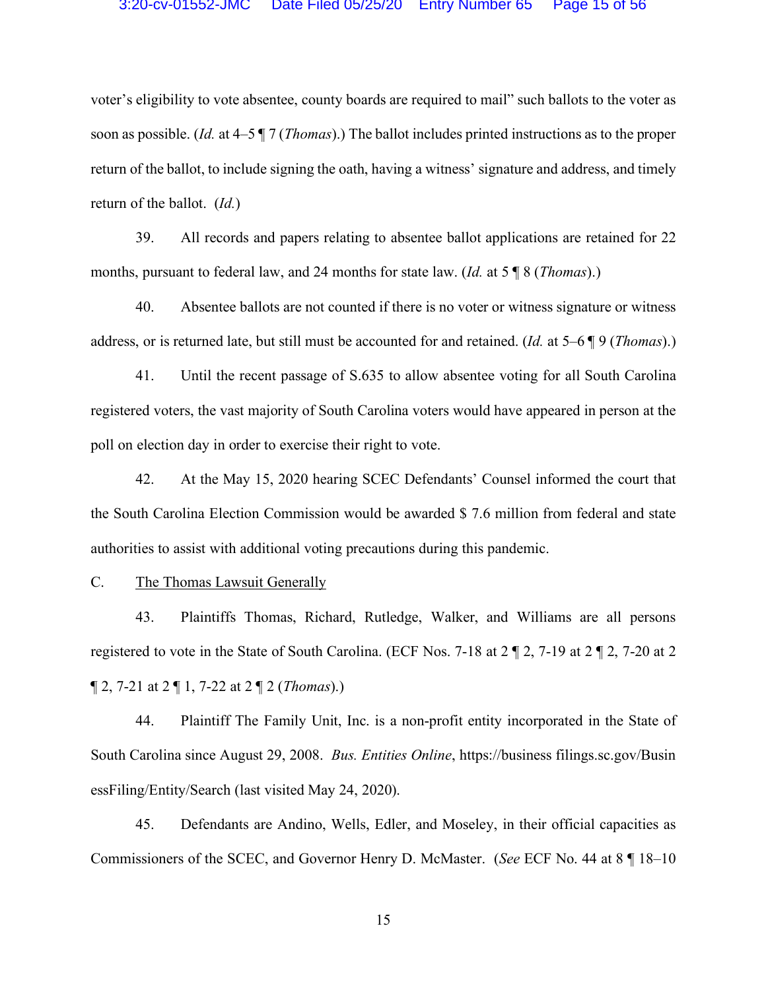voter's eligibility to vote absentee, county boards are required to mail" such ballots to the voter as soon as possible. (*Id.* at 4–5 ¶ 7 (*Thomas*).) The ballot includes printed instructions as to the proper return of the ballot, to include signing the oath, having a witness' signature and address, and timely return of the ballot. (*Id.*)

39. All records and papers relating to absentee ballot applications are retained for 22 months, pursuant to federal law, and 24 months for state law. (*Id.* at 5 ¶ 8 (*Thomas*).)

40. Absentee ballots are not counted if there is no voter or witness signature or witness address, or is returned late, but still must be accounted for and retained. (*Id.* at 5–6 ¶ 9 (*Thomas*).)

41. Until the recent passage of S.635 to allow absentee voting for all South Carolina registered voters, the vast majority of South Carolina voters would have appeared in person at the poll on election day in order to exercise their right to vote.

42. At the May 15, 2020 hearing SCEC Defendants' Counsel informed the court that the South Carolina Election Commission would be awarded \$ 7.6 million from federal and state authorities to assist with additional voting precautions during this pandemic.

C. The Thomas Lawsuit Generally

43. Plaintiffs Thomas, Richard, Rutledge, Walker, and Williams are all persons registered to vote in the State of South Carolina. (ECF Nos. 7-18 at 2 ¶ 2, 7-19 at 2 ¶ 2, 7-20 at 2 ¶ 2, 7-21 at 2 ¶ 1, 7-22 at 2 ¶ 2 (*Thomas*).)

44. Plaintiff The Family Unit, Inc. is a non-profit entity incorporated in the State of South Carolina since August 29, 2008. *Bus. Entities Online*, https://business filings.sc.gov/Busin essFiling/Entity/Search (last visited May 24, 2020).

45. Defendants are Andino, Wells, Edler, and Moseley, in their official capacities as Commissioners of the SCEC, and Governor Henry D. McMaster. (*See* ECF No. 44 at 8 ¶ 18–10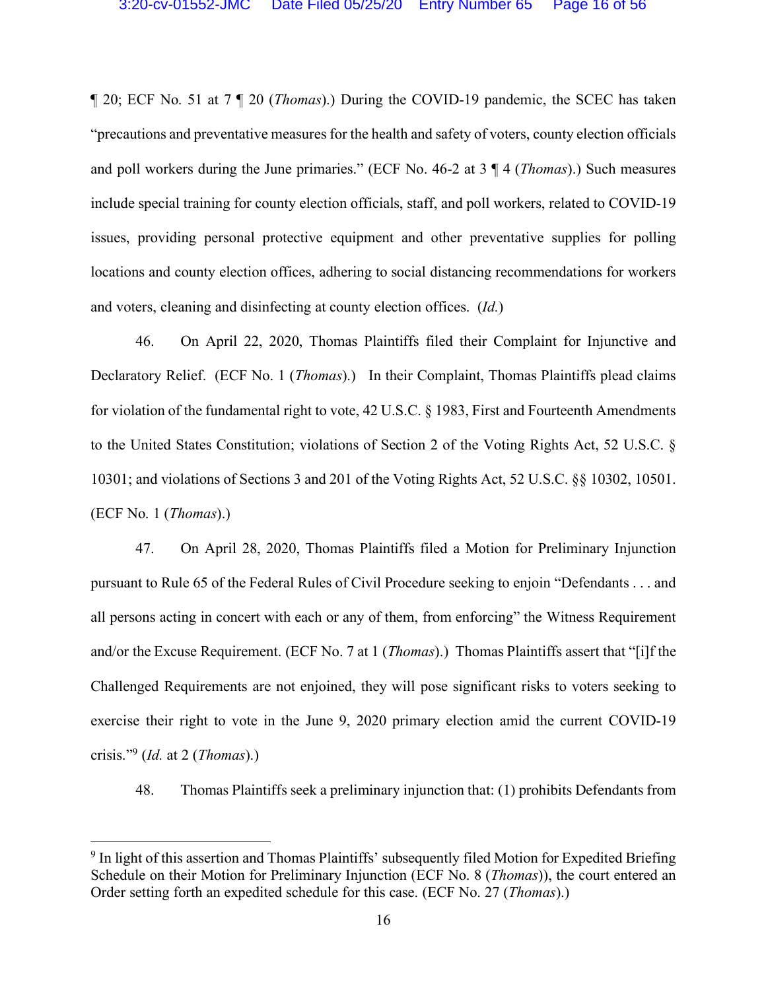¶ 20; ECF No. 51 at 7 ¶ 20 (*Thomas*).) During the COVID-19 pandemic, the SCEC has taken "precautions and preventative measures for the health and safety of voters, county election officials and poll workers during the June primaries." (ECF No. 46-2 at 3 ¶ 4 (*Thomas*).) Such measures include special training for county election officials, staff, and poll workers, related to COVID-19 issues, providing personal protective equipment and other preventative supplies for polling locations and county election offices, adhering to social distancing recommendations for workers and voters, cleaning and disinfecting at county election offices. (*Id.*)

46. On April 22, 2020, Thomas Plaintiffs filed their Complaint for Injunctive and Declaratory Relief. (ECF No. 1 (*Thomas*).) In their Complaint, Thomas Plaintiffs plead claims for violation of the fundamental right to vote, 42 U.S.C. § 1983, First and Fourteenth Amendments to the United States Constitution; violations of Section 2 of the Voting Rights Act, 52 U.S.C. § 10301; and violations of Sections 3 and 201 of the Voting Rights Act, 52 U.S.C. §§ 10302, 10501. (ECF No. 1 (*Thomas*).)

47. On April 28, 2020, Thomas Plaintiffs filed a Motion for Preliminary Injunction pursuant to Rule 65 of the Federal Rules of Civil Procedure seeking to enjoin "Defendants . . . and all persons acting in concert with each or any of them, from enforcing" the Witness Requirement and/or the Excuse Requirement. (ECF No. 7 at 1 (*Thomas*).) Thomas Plaintiffs assert that "[i]f the Challenged Requirements are not enjoined, they will pose significant risks to voters seeking to exercise their right to vote in the June 9, 2020 primary election amid the current COVID-19 crisis."9 (*Id.* at 2 (*Thomas*).)

48. Thomas Plaintiffs seek a preliminary injunction that: (1) prohibits Defendants from

<sup>&</sup>lt;sup>9</sup> In light of this assertion and Thomas Plaintiffs' subsequently filed Motion for Expedited Briefing Schedule on their Motion for Preliminary Injunction (ECF No. 8 (*Thomas*)), the court entered an Order setting forth an expedited schedule for this case. (ECF No. 27 (*Thomas*).)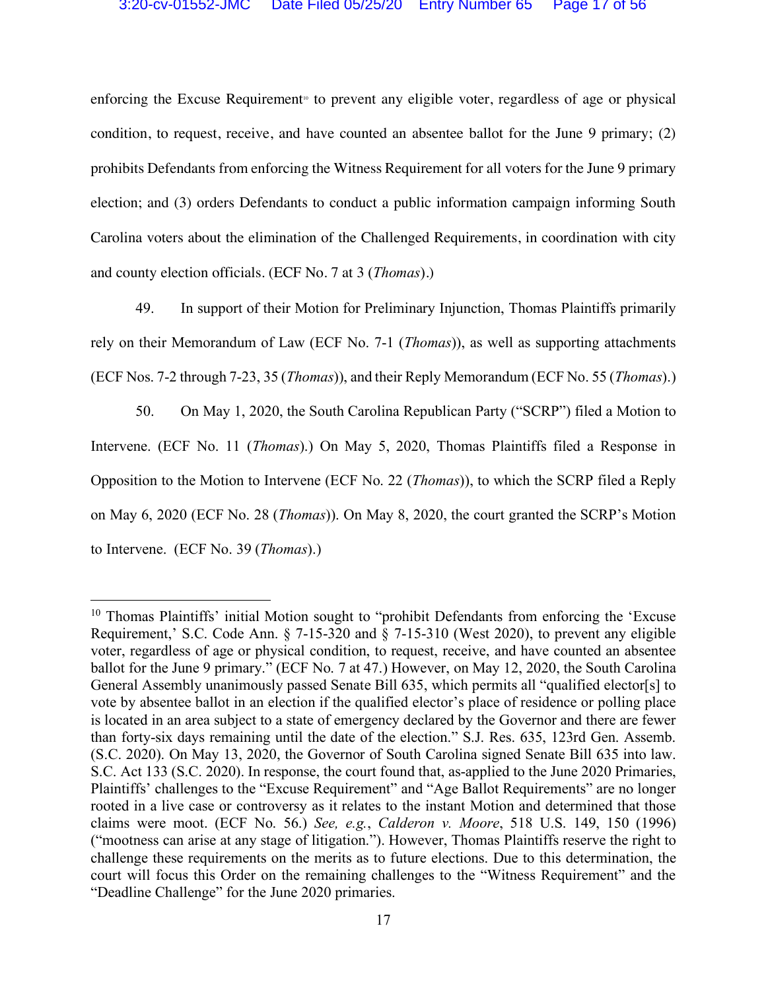enforcing the Excuse Requirement<sup>®</sup> to prevent any eligible voter, regardless of age or physical condition, to request, receive, and have counted an absentee ballot for the June 9 primary; (2) prohibits Defendants from enforcing the Witness Requirement for all voters for the June 9 primary election; and (3) orders Defendants to conduct a public information campaign informing South Carolina voters about the elimination of the Challenged Requirements, in coordination with city and county election officials. (ECF No. 7 at 3 (*Thomas*).)

49. In support of their Motion for Preliminary Injunction, Thomas Plaintiffs primarily rely on their Memorandum of Law (ECF No. 7-1 (*Thomas*)), as well as supporting attachments (ECF Nos. 7-2 through 7-23, 35 (*Thomas*)), and their Reply Memorandum (ECF No. 55 (*Thomas*).)

50. On May 1, 2020, the South Carolina Republican Party ("SCRP") filed a Motion to Intervene. (ECF No. 11 (*Thomas*).) On May 5, 2020, Thomas Plaintiffs filed a Response in Opposition to the Motion to Intervene (ECF No. 22 (*Thomas*)), to which the SCRP filed a Reply on May 6, 2020 (ECF No. 28 (*Thomas*)). On May 8, 2020, the court granted the SCRP's Motion to Intervene. (ECF No. 39 (*Thomas*).)

<sup>&</sup>lt;sup>10</sup> Thomas Plaintiffs' initial Motion sought to "prohibit Defendants from enforcing the 'Excuse Requirement,' S.C. Code Ann. § 7-15-320 and § 7-15-310 (West 2020), to prevent any eligible voter, regardless of age or physical condition, to request, receive, and have counted an absentee ballot for the June 9 primary." (ECF No. 7 at 47.) However, on May 12, 2020, the South Carolina General Assembly unanimously passed Senate Bill 635, which permits all "qualified elector[s] to vote by absentee ballot in an election if the qualified elector's place of residence or polling place is located in an area subject to a state of emergency declared by the Governor and there are fewer than forty-six days remaining until the date of the election." S.J. Res. 635, 123rd Gen. Assemb. (S.C. 2020). On May 13, 2020, the Governor of South Carolina signed Senate Bill 635 into law. S.C. Act 133 (S.C. 2020). In response, the court found that, as-applied to the June 2020 Primaries, Plaintiffs' challenges to the "Excuse Requirement" and "Age Ballot Requirements" are no longer rooted in a live case or controversy as it relates to the instant Motion and determined that those claims were moot. (ECF No. 56.) *See, e.g.*, *Calderon v. Moore*, 518 U.S. 149, 150 (1996) ("mootness can arise at any stage of litigation."). However, Thomas Plaintiffs reserve the right to challenge these requirements on the merits as to future elections. Due to this determination, the court will focus this Order on the remaining challenges to the "Witness Requirement" and the "Deadline Challenge" for the June 2020 primaries.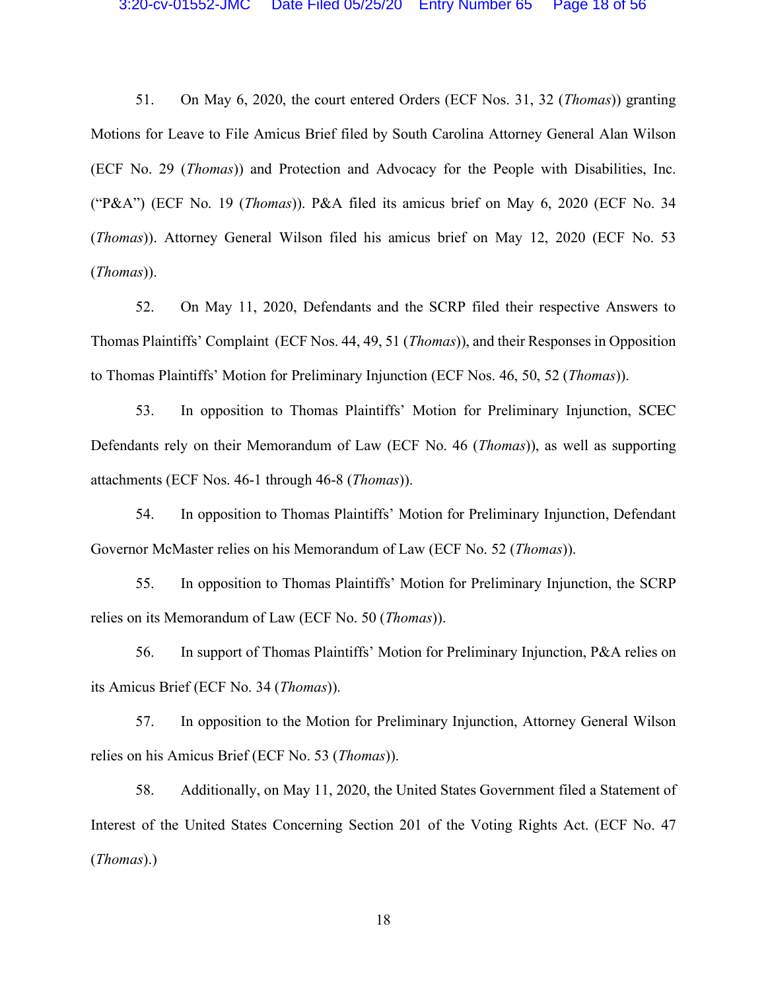51. On May 6, 2020, the court entered Orders (ECF Nos. 31, 32 (*Thomas*)) granting Motions for Leave to File Amicus Brief filed by South Carolina Attorney General Alan Wilson (ECF No. 29 (*Thomas*)) and Protection and Advocacy for the People with Disabilities, Inc. ("P&A") (ECF No. 19 (*Thomas*)). P&A filed its amicus brief on May 6, 2020 (ECF No. 34 (*Thomas*)). Attorney General Wilson filed his amicus brief on May 12, 2020 (ECF No. 53 (*Thomas*)).

52. On May 11, 2020, Defendants and the SCRP filed their respective Answers to Thomas Plaintiffs' Complaint (ECF Nos. 44, 49, 51 (*Thomas*)), and their Responses in Opposition to Thomas Plaintiffs' Motion for Preliminary Injunction (ECF Nos. 46, 50, 52 (*Thomas*)).

53. In opposition to Thomas Plaintiffs' Motion for Preliminary Injunction, SCEC Defendants rely on their Memorandum of Law (ECF No. 46 (*Thomas*)), as well as supporting attachments (ECF Nos. 46-1 through 46-8 (*Thomas*)).

54. In opposition to Thomas Plaintiffs' Motion for Preliminary Injunction, Defendant Governor McMaster relies on his Memorandum of Law (ECF No. 52 (*Thomas*)).

55. In opposition to Thomas Plaintiffs' Motion for Preliminary Injunction, the SCRP relies on its Memorandum of Law (ECF No. 50 (*Thomas*)).

56. In support of Thomas Plaintiffs' Motion for Preliminary Injunction, P&A relies on its Amicus Brief (ECF No. 34 (*Thomas*)).

57. In opposition to the Motion for Preliminary Injunction, Attorney General Wilson relies on his Amicus Brief (ECF No. 53 (*Thomas*)).

58. Additionally, on May 11, 2020, the United States Government filed a Statement of Interest of the United States Concerning Section 201 of the Voting Rights Act. (ECF No. 47 (*Thomas*).)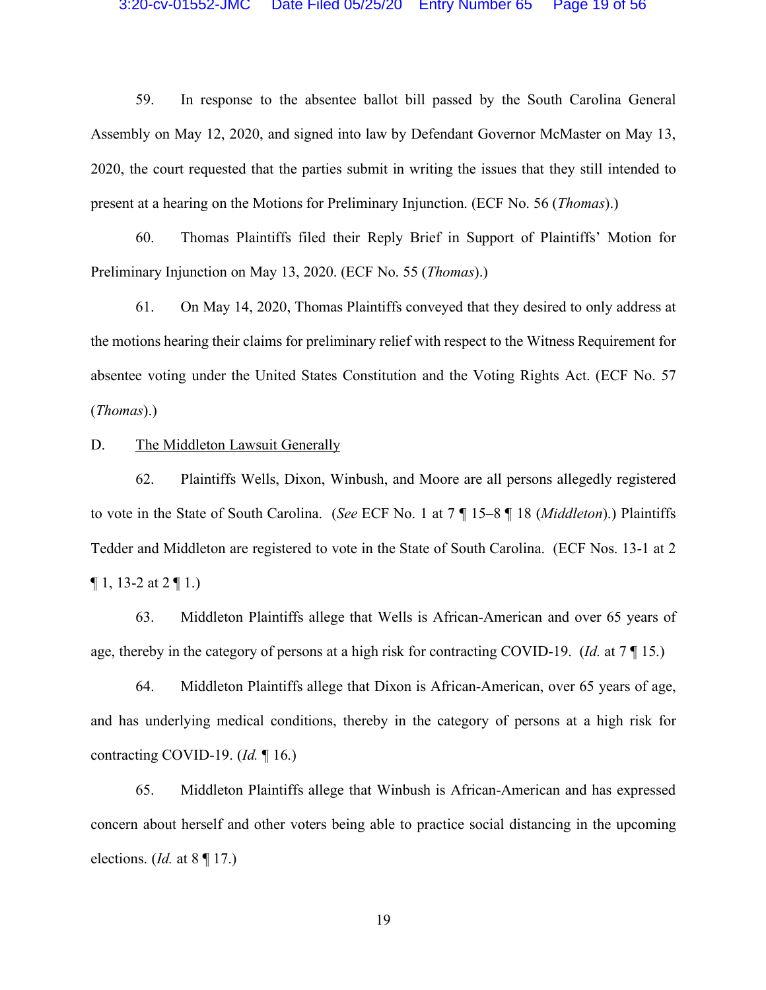59. In response to the absentee ballot bill passed by the South Carolina General Assembly on May 12, 2020, and signed into law by Defendant Governor McMaster on May 13, 2020, the court requested that the parties submit in writing the issues that they still intended to present at a hearing on the Motions for Preliminary Injunction. (ECF No. 56 (*Thomas*).)

60. Thomas Plaintiffs filed their Reply Brief in Support of Plaintiffs' Motion for Preliminary Injunction on May 13, 2020. (ECF No. 55 (*Thomas*).)

61. On May 14, 2020, Thomas Plaintiffs conveyed that they desired to only address at the motions hearing their claims for preliminary relief with respect to the Witness Requirement for absentee voting under the United States Constitution and the Voting Rights Act. (ECF No. 57 (*Thomas*).)

D. The Middleton Lawsuit Generally

62. Plaintiffs Wells, Dixon, Winbush, and Moore are all persons allegedly registered to vote in the State of South Carolina. (*See* ECF No. 1 at 7 ¶ 15–8 ¶ 18 (*Middleton*).) Plaintiffs Tedder and Middleton are registered to vote in the State of South Carolina. (ECF Nos. 13-1 at 2  $\P$  1, 13-2 at 2  $\P$  1.)

63. Middleton Plaintiffs allege that Wells is African-American and over 65 years of age, thereby in the category of persons at a high risk for contracting COVID-19. (*Id.* at 7 ¶ 15.)

64. Middleton Plaintiffs allege that Dixon is African-American, over 65 years of age, and has underlying medical conditions, thereby in the category of persons at a high risk for contracting COVID-19. (*Id.* ¶ 16.)

65. Middleton Plaintiffs allege that Winbush is African-American and has expressed concern about herself and other voters being able to practice social distancing in the upcoming elections. (*Id.* at 8 ¶ 17.)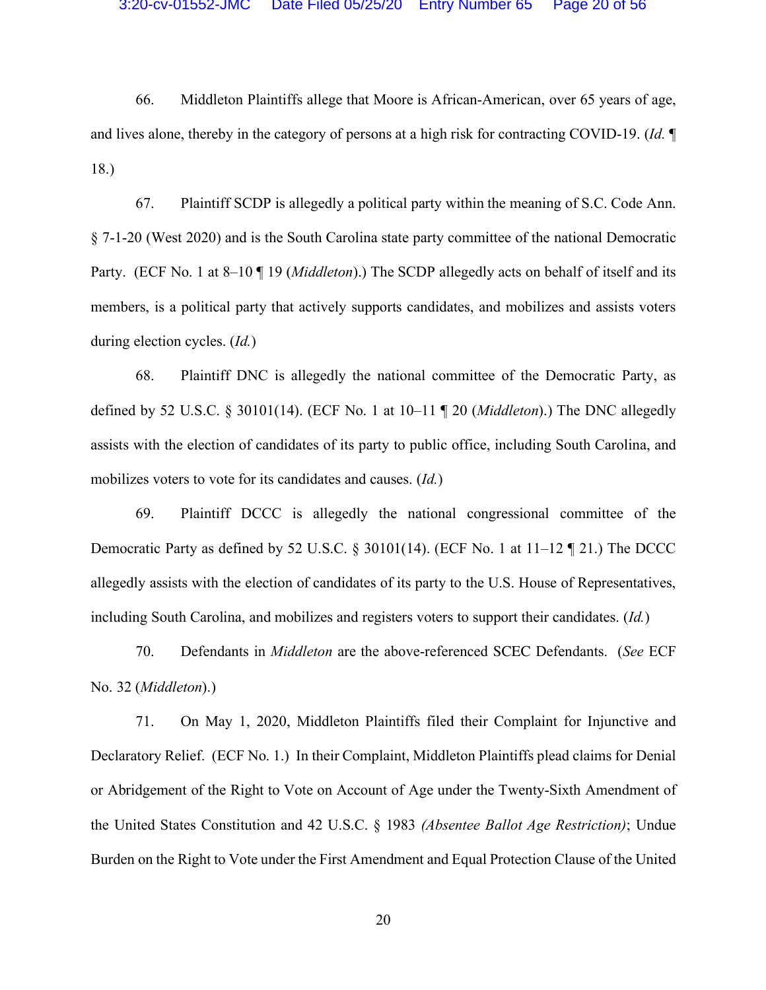66. Middleton Plaintiffs allege that Moore is African-American, over 65 years of age, and lives alone, thereby in the category of persons at a high risk for contracting COVID-19. (*Id.* ¶ 18.)

67. Plaintiff SCDP is allegedly a political party within the meaning of S.C. Code Ann. § 7-1-20 (West 2020) and is the South Carolina state party committee of the national Democratic Party. (ECF No. 1 at 8–10 ¶ 19 (*Middleton*).) The SCDP allegedly acts on behalf of itself and its members, is a political party that actively supports candidates, and mobilizes and assists voters during election cycles. (*Id.*)

68. Plaintiff DNC is allegedly the national committee of the Democratic Party, as defined by 52 U.S.C. § 30101(14). (ECF No. 1 at 10–11 ¶ 20 (*Middleton*).) The DNC allegedly assists with the election of candidates of its party to public office, including South Carolina, and mobilizes voters to vote for its candidates and causes. (*Id.*)

69. Plaintiff DCCC is allegedly the national congressional committee of the Democratic Party as defined by 52 U.S.C. § 30101(14). (ECF No. 1 at 11–12 ¶ 21.) The DCCC allegedly assists with the election of candidates of its party to the U.S. House of Representatives, including South Carolina, and mobilizes and registers voters to support their candidates. (*Id.*)

70. Defendants in *Middleton* are the above-referenced SCEC Defendants. (*See* ECF No. 32 (*Middleton*).)

71. On May 1, 2020, Middleton Plaintiffs filed their Complaint for Injunctive and Declaratory Relief. (ECF No. 1.) In their Complaint, Middleton Plaintiffs plead claims for Denial or Abridgement of the Right to Vote on Account of Age under the Twenty-Sixth Amendment of the United States Constitution and 42 U.S.C. § 1983 *(Absentee Ballot Age Restriction)*; Undue Burden on the Right to Vote under the First Amendment and Equal Protection Clause of the United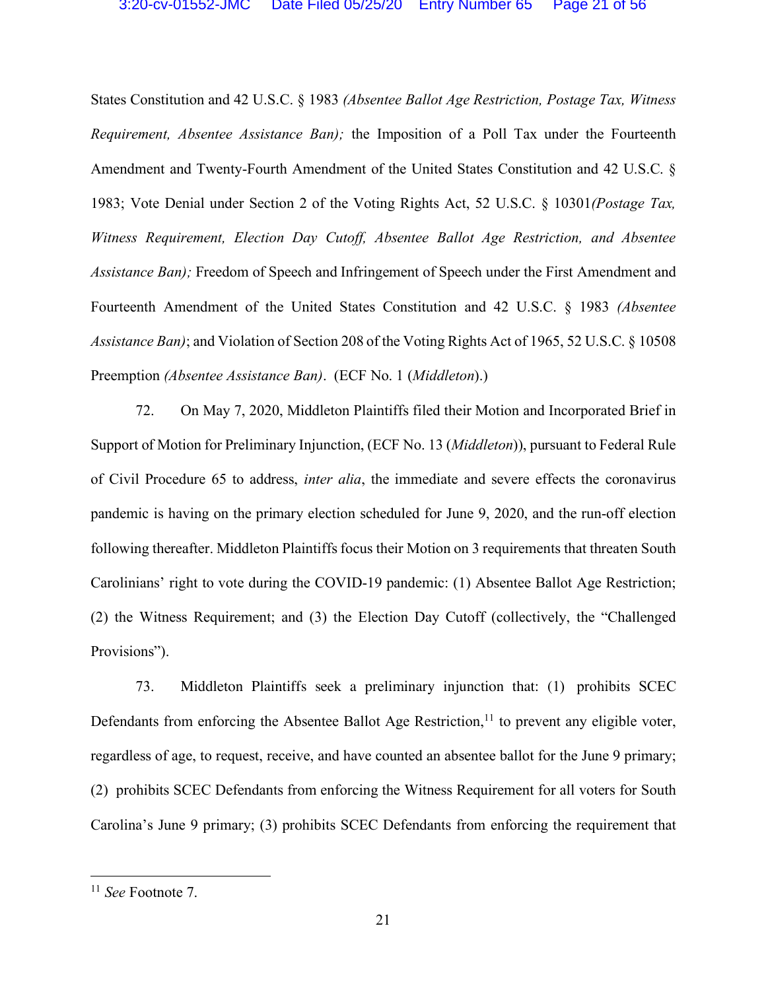States Constitution and 42 U.S.C. § 1983 *(Absentee Ballot Age Restriction, Postage Tax, Witness Requirement, Absentee Assistance Ban);* the Imposition of a Poll Tax under the Fourteenth Amendment and Twenty-Fourth Amendment of the United States Constitution and 42 U.S.C. § 1983; Vote Denial under Section 2 of the Voting Rights Act, 52 U.S.C. § 10301*(Postage Tax, Witness Requirement, Election Day Cutoff, Absentee Ballot Age Restriction, and Absentee Assistance Ban);* Freedom of Speech and Infringement of Speech under the First Amendment and Fourteenth Amendment of the United States Constitution and 42 U.S.C. § 1983 *(Absentee Assistance Ban)*; and Violation of Section 208 of the Voting Rights Act of 1965, 52 U.S.C. § 10508 Preemption *(Absentee Assistance Ban)*. (ECF No. 1 (*Middleton*).)

72. On May 7, 2020, Middleton Plaintiffs filed their Motion and Incorporated Brief in Support of Motion for Preliminary Injunction, (ECF No. 13 (*Middleton*)), pursuant to Federal Rule of Civil Procedure 65 to address, *inter alia*, the immediate and severe effects the coronavirus pandemic is having on the primary election scheduled for June 9, 2020, and the run-off election following thereafter. Middleton Plaintiffs focus their Motion on 3 requirements that threaten South Carolinians' right to vote during the COVID-19 pandemic: (1) Absentee Ballot Age Restriction; (2) the Witness Requirement; and (3) the Election Day Cutoff (collectively, the "Challenged Provisions").

73. Middleton Plaintiffs seek a preliminary injunction that: (1) prohibits SCEC Defendants from enforcing the Absentee Ballot Age Restriction,<sup>11</sup> to prevent any eligible voter, regardless of age, to request, receive, and have counted an absentee ballot for the June 9 primary; (2) prohibits SCEC Defendants from enforcing the Witness Requirement for all voters for South Carolina's June 9 primary; (3) prohibits SCEC Defendants from enforcing the requirement that

 <sup>11</sup> *See* Footnote 7.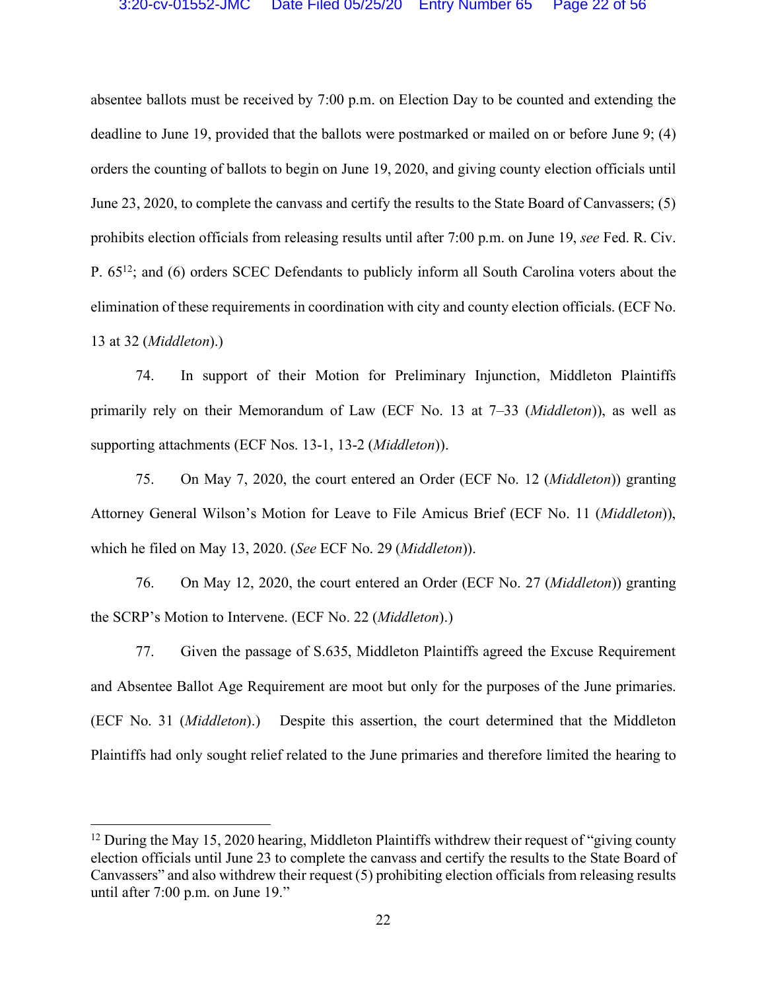absentee ballots must be received by 7:00 p.m. on Election Day to be counted and extending the deadline to June 19, provided that the ballots were postmarked or mailed on or before June 9; (4) orders the counting of ballots to begin on June 19, 2020, and giving county election officials until June 23, 2020, to complete the canvass and certify the results to the State Board of Canvassers; (5) prohibits election officials from releasing results until after 7:00 p.m. on June 19, *see* Fed. R. Civ. P. 6512; and (6) orders SCEC Defendants to publicly inform all South Carolina voters about the elimination of these requirements in coordination with city and county election officials. (ECF No. 13 at 32 (*Middleton*).)

74. In support of their Motion for Preliminary Injunction, Middleton Plaintiffs primarily rely on their Memorandum of Law (ECF No. 13 at 7–33 (*Middleton*)), as well as supporting attachments (ECF Nos. 13-1, 13-2 (*Middleton*)).

75. On May 7, 2020, the court entered an Order (ECF No. 12 (*Middleton*)) granting Attorney General Wilson's Motion for Leave to File Amicus Brief (ECF No. 11 (*Middleton*)), which he filed on May 13, 2020. (*See* ECF No. 29 (*Middleton*)).

76. On May 12, 2020, the court entered an Order (ECF No. 27 (*Middleton*)) granting the SCRP's Motion to Intervene. (ECF No. 22 (*Middleton*).)

77. Given the passage of S.635, Middleton Plaintiffs agreed the Excuse Requirement and Absentee Ballot Age Requirement are moot but only for the purposes of the June primaries. (ECF No. 31 (*Middleton*).) Despite this assertion, the court determined that the Middleton Plaintiffs had only sought relief related to the June primaries and therefore limited the hearing to

<sup>&</sup>lt;sup>12</sup> During the May 15, 2020 hearing, Middleton Plaintiffs withdrew their request of "giving county" election officials until June 23 to complete the canvass and certify the results to the State Board of Canvassers" and also withdrew their request (5) prohibiting election officials from releasing results until after 7:00 p.m. on June 19."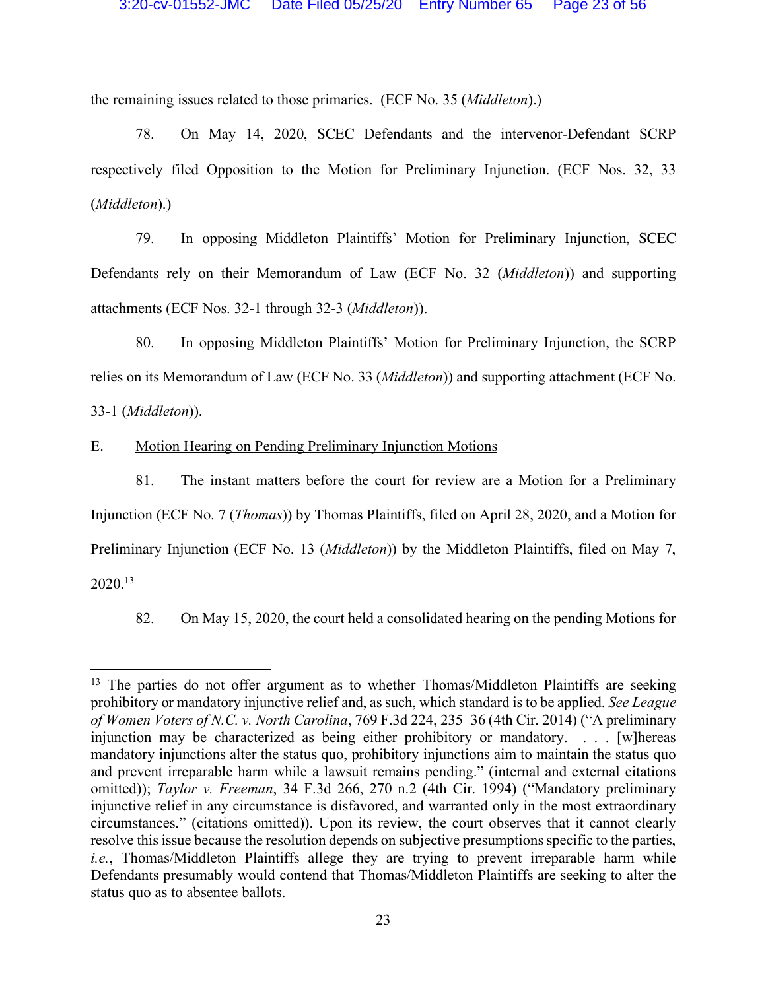the remaining issues related to those primaries. (ECF No. 35 (*Middleton*).)

78. On May 14, 2020, SCEC Defendants and the intervenor-Defendant SCRP respectively filed Opposition to the Motion for Preliminary Injunction. (ECF Nos. 32, 33 (*Middleton*).)

79. In opposing Middleton Plaintiffs' Motion for Preliminary Injunction, SCEC Defendants rely on their Memorandum of Law (ECF No. 32 (*Middleton*)) and supporting attachments (ECF Nos. 32-1 through 32-3 (*Middleton*)).

80. In opposing Middleton Plaintiffs' Motion for Preliminary Injunction, the SCRP relies on its Memorandum of Law (ECF No. 33 (*Middleton*)) and supporting attachment (ECF No. 33-1 (*Middleton*)).

E. Motion Hearing on Pending Preliminary Injunction Motions

81. The instant matters before the court for review are a Motion for a Preliminary Injunction (ECF No. 7 (*Thomas*)) by Thomas Plaintiffs, filed on April 28, 2020, and a Motion for Preliminary Injunction (ECF No. 13 (*Middleton*)) by the Middleton Plaintiffs, filed on May 7, 2020. 13

82. On May 15, 2020, the court held a consolidated hearing on the pending Motions for

<sup>&</sup>lt;sup>13</sup> The parties do not offer argument as to whether Thomas/Middleton Plaintiffs are seeking prohibitory or mandatory injunctive relief and, as such, which standard is to be applied. *See League of Women Voters of N.C. v. North Carolina*, 769 F.3d 224, 235–36 (4th Cir. 2014) ("A preliminary injunction may be characterized as being either prohibitory or mandatory. . . . [w]hereas mandatory injunctions alter the status quo, prohibitory injunctions aim to maintain the status quo and prevent irreparable harm while a lawsuit remains pending." (internal and external citations omitted)); *Taylor v. Freeman*, 34 F.3d 266, 270 n.2 (4th Cir. 1994) ("Mandatory preliminary injunctive relief in any circumstance is disfavored, and warranted only in the most extraordinary circumstances." (citations omitted)). Upon its review, the court observes that it cannot clearly resolve this issue because the resolution depends on subjective presumptions specific to the parties, *i.e.*, Thomas/Middleton Plaintiffs allege they are trying to prevent irreparable harm while Defendants presumably would contend that Thomas/Middleton Plaintiffs are seeking to alter the status quo as to absentee ballots.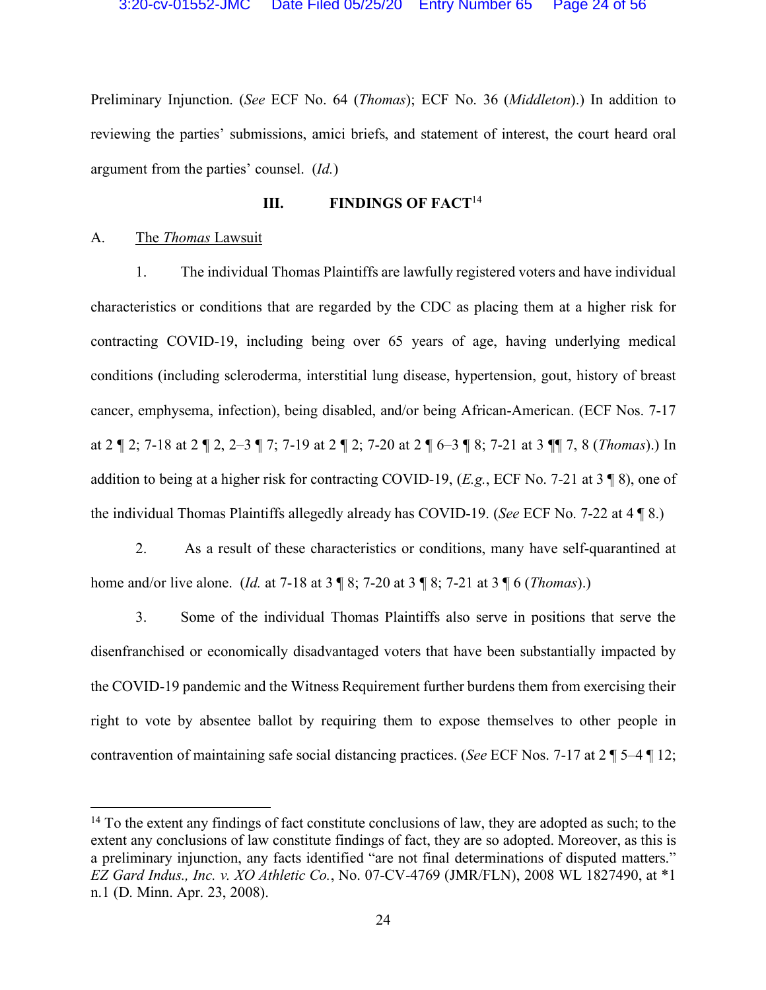Preliminary Injunction. (*See* ECF No. 64 (*Thomas*); ECF No. 36 (*Middleton*).) In addition to reviewing the parties' submissions, amici briefs, and statement of interest, the court heard oral argument from the parties' counsel. (*Id.*)

## **III. FINDINGS OF FACT**<sup>14</sup>

#### A. The *Thomas* Lawsuit

1. The individual Thomas Plaintiffs are lawfully registered voters and have individual characteristics or conditions that are regarded by the CDC as placing them at a higher risk for contracting COVID-19, including being over 65 years of age, having underlying medical conditions (including scleroderma, interstitial lung disease, hypertension, gout, history of breast cancer, emphysema, infection), being disabled, and/or being African-American. (ECF Nos. 7-17 at 2 ¶ 2; 7-18 at 2 ¶ 2, 2–3 ¶ 7; 7-19 at 2 ¶ 2; 7-20 at 2 ¶ 6–3 ¶ 8; 7-21 at 3 ¶¶ 7, 8 (*Thomas*).) In addition to being at a higher risk for contracting COVID-19, (*E.g.*, ECF No. 7-21 at 3 ¶ 8), one of the individual Thomas Plaintiffs allegedly already has COVID-19. (*See* ECF No. 7-22 at 4 ¶ 8.)

2. As a result of these characteristics or conditions, many have self-quarantined at home and/or live alone. (*Id.* at 7-18 at 3 ¶ 8; 7-20 at 3 ¶ 8; 7-21 at 3 ¶ 6 (*Thomas*).)

3. Some of the individual Thomas Plaintiffs also serve in positions that serve the disenfranchised or economically disadvantaged voters that have been substantially impacted by the COVID-19 pandemic and the Witness Requirement further burdens them from exercising their right to vote by absentee ballot by requiring them to expose themselves to other people in contravention of maintaining safe social distancing practices. (*See* ECF Nos. 7-17 at 2 ¶ 5–4 ¶ 12;

<sup>&</sup>lt;sup>14</sup> To the extent any findings of fact constitute conclusions of law, they are adopted as such; to the extent any conclusions of law constitute findings of fact, they are so adopted. Moreover, as this is a preliminary injunction, any facts identified "are not final determinations of disputed matters." *EZ Gard Indus., Inc. v. XO Athletic Co.*, No. 07-CV-4769 (JMR/FLN), 2008 WL 1827490, at \*1 n.1 (D. Minn. Apr. 23, 2008).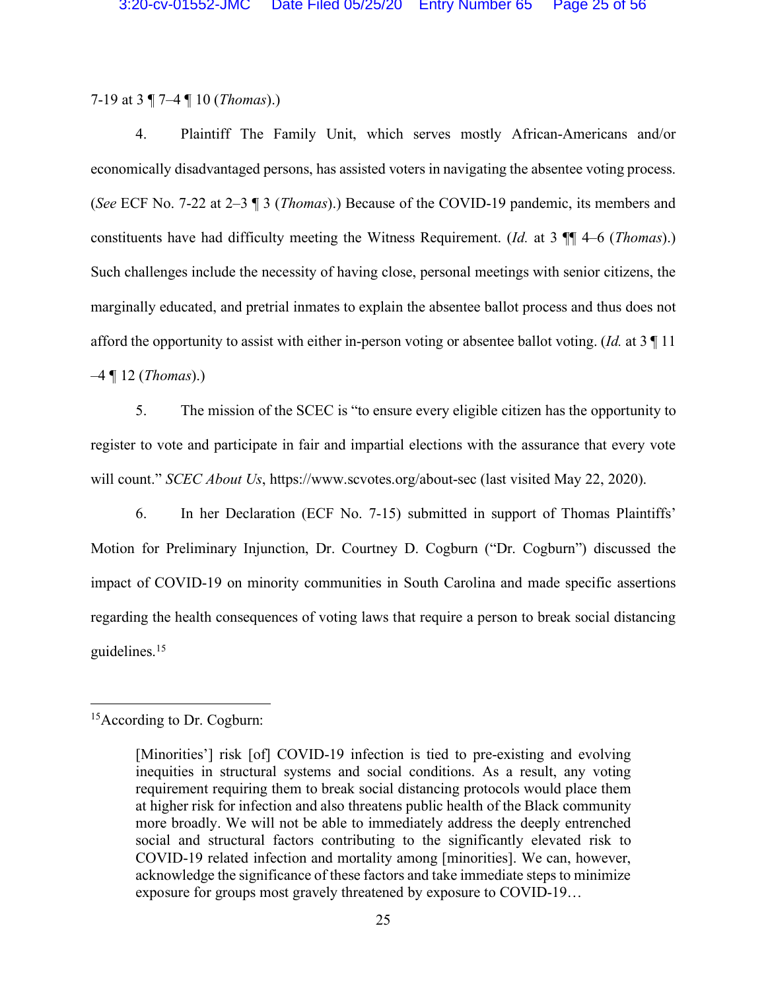7-19 at 3 ¶ 7–4 ¶ 10 (*Thomas*).)

4. Plaintiff The Family Unit, which serves mostly African-Americans and/or economically disadvantaged persons, has assisted voters in navigating the absentee voting process. (*See* ECF No. 7-22 at 2–3 ¶ 3 (*Thomas*).) Because of the COVID-19 pandemic, its members and constituents have had difficulty meeting the Witness Requirement. (*Id.* at 3 ¶¶ 4–6 (*Thomas*).) Such challenges include the necessity of having close, personal meetings with senior citizens, the marginally educated, and pretrial inmates to explain the absentee ballot process and thus does not afford the opportunity to assist with either in-person voting or absentee ballot voting. (*Id.* at 3 ¶ 11 –4 ¶ 12 (*Thomas*).)

5. The mission of the SCEC is "to ensure every eligible citizen has the opportunity to register to vote and participate in fair and impartial elections with the assurance that every vote will count." *SCEC About Us*, https://www.scvotes.org/about-sec (last visited May 22, 2020).

6. In her Declaration (ECF No. 7-15) submitted in support of Thomas Plaintiffs' Motion for Preliminary Injunction, Dr. Courtney D. Cogburn ("Dr. Cogburn") discussed the impact of COVID-19 on minority communities in South Carolina and made specific assertions regarding the health consequences of voting laws that require a person to break social distancing guidelines.15

 <sup>15</sup>According to Dr. Cogburn:

<sup>[</sup>Minorities'] risk [of] COVID-19 infection is tied to pre-existing and evolving inequities in structural systems and social conditions. As a result, any voting requirement requiring them to break social distancing protocols would place them at higher risk for infection and also threatens public health of the Black community more broadly. We will not be able to immediately address the deeply entrenched social and structural factors contributing to the significantly elevated risk to COVID-19 related infection and mortality among [minorities]. We can, however, acknowledge the significance of these factors and take immediate steps to minimize exposure for groups most gravely threatened by exposure to COVID-19…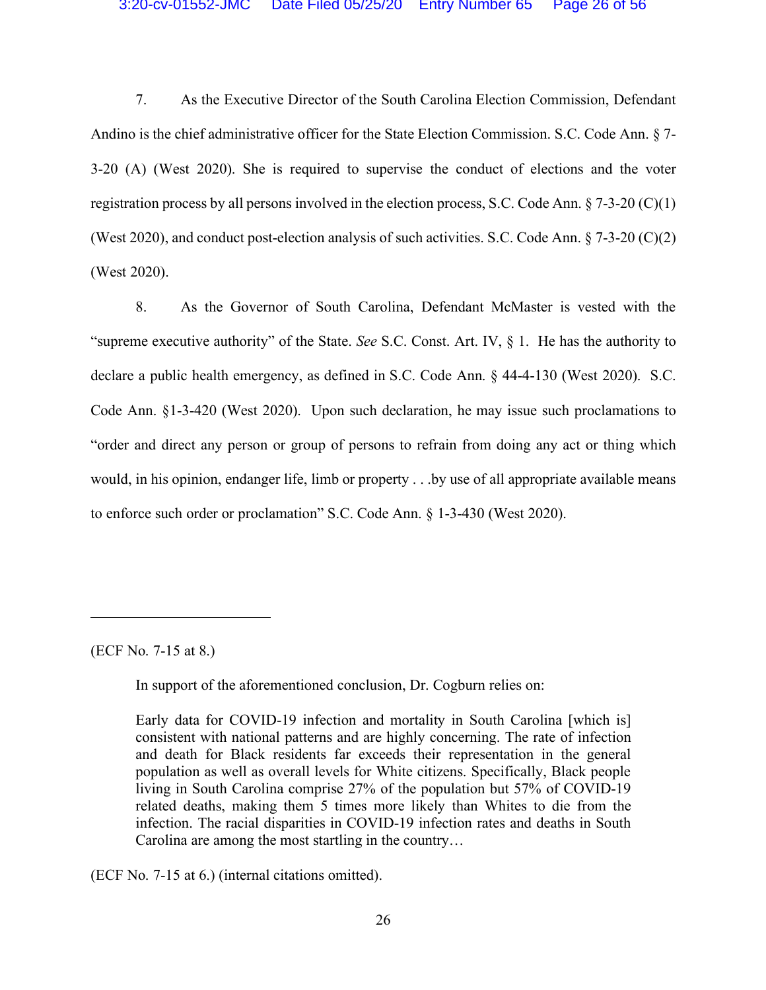7. As the Executive Director of the South Carolina Election Commission, Defendant Andino is the chief administrative officer for the State Election Commission. S.C. Code Ann. § 7- 3-20 (A) (West 2020). She is required to supervise the conduct of elections and the voter registration process by all persons involved in the election process, S.C. Code Ann.  $\S$  7-3-20 (C)(1) (West 2020), and conduct post-election analysis of such activities. S.C. Code Ann. § 7-3-20 (C)(2) (West 2020).

8. As the Governor of South Carolina, Defendant McMaster is vested with the "supreme executive authority" of the State. *See* S.C. Const. Art. IV, § 1. He has the authority to declare a public health emergency, as defined in S.C. Code Ann. § 44-4-130 (West 2020). S.C. Code Ann. §1-3-420 (West 2020). Upon such declaration, he may issue such proclamations to "order and direct any person or group of persons to refrain from doing any act or thing which would, in his opinion, endanger life, limb or property . . .by use of all appropriate available means to enforce such order or proclamation" S.C. Code Ann. § 1-3-430 (West 2020).

(ECF No. 7-15 at 8.)

 $\overline{a}$ 

In support of the aforementioned conclusion, Dr. Cogburn relies on:

Early data for COVID-19 infection and mortality in South Carolina [which is] consistent with national patterns and are highly concerning. The rate of infection and death for Black residents far exceeds their representation in the general population as well as overall levels for White citizens. Specifically, Black people living in South Carolina comprise 27% of the population but 57% of COVID-19 related deaths, making them 5 times more likely than Whites to die from the infection. The racial disparities in COVID-19 infection rates and deaths in South Carolina are among the most startling in the country…

(ECF No. 7-15 at 6.) (internal citations omitted).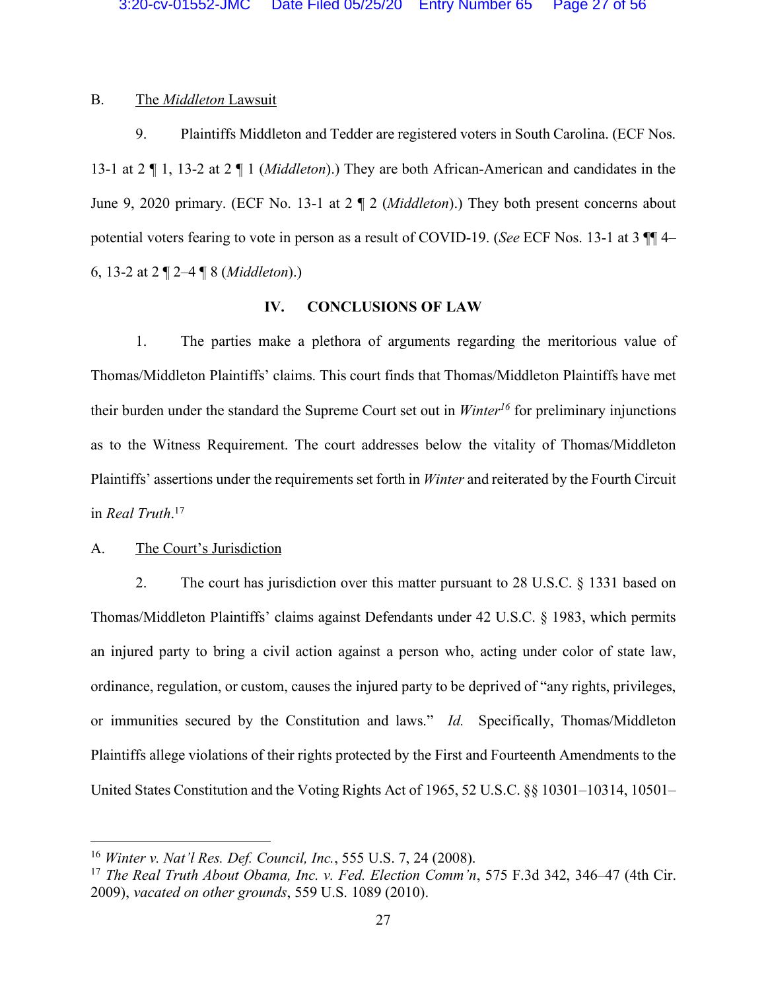## B. The *Middleton* Lawsuit

9. Plaintiffs Middleton and Tedder are registered voters in South Carolina. (ECF Nos. 13-1 at 2 ¶ 1, 13-2 at 2 ¶ 1 (*Middleton*).) They are both African-American and candidates in the June 9, 2020 primary. (ECF No. 13-1 at 2 ¶ 2 (*Middleton*).) They both present concerns about potential voters fearing to vote in person as a result of COVID-19. (*See* ECF Nos. 13-1 at 3 ¶¶ 4– 6, 13-2 at 2 ¶ 2–4 ¶ 8 (*Middleton*).)

## **IV. CONCLUSIONS OF LAW**

1. The parties make a plethora of arguments regarding the meritorious value of Thomas/Middleton Plaintiffs' claims. This court finds that Thomas/Middleton Plaintiffs have met their burden under the standard the Supreme Court set out in *Winter16* for preliminary injunctions as to the Witness Requirement. The court addresses below the vitality of Thomas/Middleton Plaintiffs' assertions under the requirements set forth in *Winter* and reiterated by the Fourth Circuit in *Real Truth*. 17

### A. The Court's Jurisdiction

2. The court has jurisdiction over this matter pursuant to 28 U.S.C. § 1331 based on Thomas/Middleton Plaintiffs' claims against Defendants under 42 U.S.C. § 1983, which permits an injured party to bring a civil action against a person who, acting under color of state law, ordinance, regulation, or custom, causes the injured party to be deprived of "any rights, privileges, or immunities secured by the Constitution and laws." *Id.* Specifically, Thomas/Middleton Plaintiffs allege violations of their rights protected by the First and Fourteenth Amendments to the United States Constitution and the Voting Rights Act of 1965, 52 U.S.C. §§ 10301–10314, 10501–

 <sup>16</sup> *Winter v. Nat'l Res. Def. Council, Inc.*, 555 U.S. 7, 24 (2008).

<sup>17</sup> *The Real Truth About Obama, Inc. v. Fed. Election Comm'n*, 575 F.3d 342, 346–47 (4th Cir. 2009), *vacated on other grounds*, 559 U.S. 1089 (2010).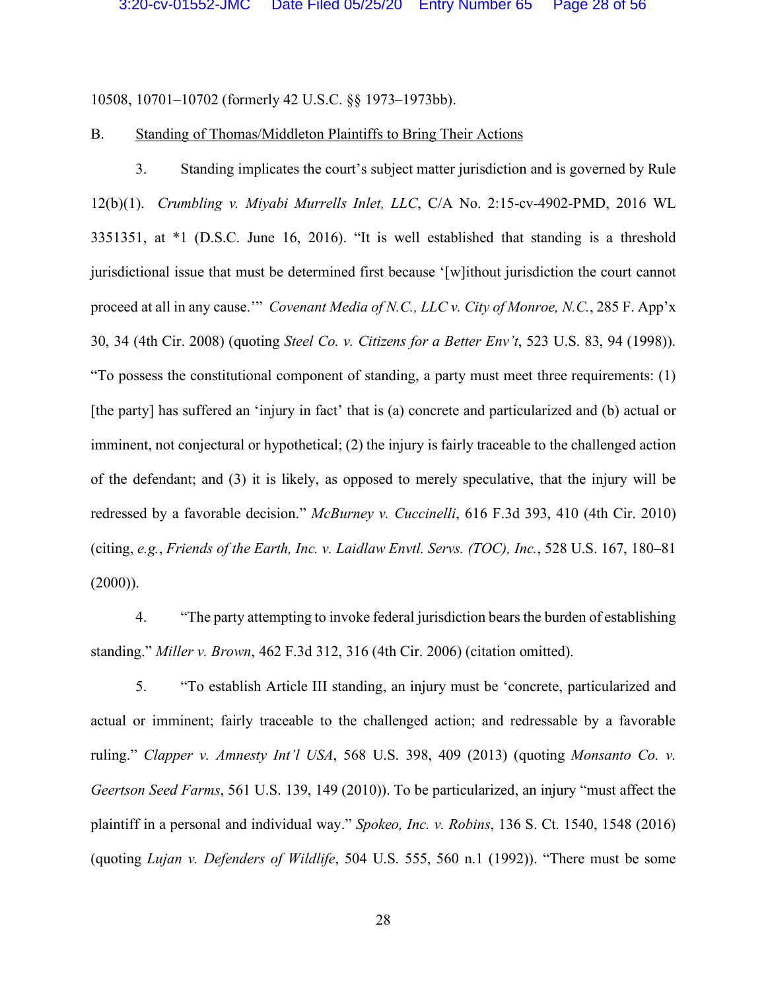10508, 10701–10702 (formerly 42 U.S.C. §§ 1973–1973bb).

### B. Standing of Thomas/Middleton Plaintiffs to Bring Their Actions

3. Standing implicates the court's subject matter jurisdiction and is governed by Rule 12(b)(1). *Crumbling v. Miyabi Murrells Inlet, LLC*, C/A No. 2:15-cv-4902-PMD, 2016 WL 3351351, at \*1 (D.S.C. June 16, 2016). "It is well established that standing is a threshold jurisdictional issue that must be determined first because '[w]ithout jurisdiction the court cannot proceed at all in any cause.'" *Covenant Media of N.C., LLC v. City of Monroe, N.C.*, 285 F. App'x 30, 34 (4th Cir. 2008) (quoting *Steel Co. v. Citizens for a Better Env't*, 523 U.S. 83, 94 (1998)). "To possess the constitutional component of standing, a party must meet three requirements: (1) [the party] has suffered an 'injury in fact' that is (a) concrete and particularized and (b) actual or imminent, not conjectural or hypothetical; (2) the injury is fairly traceable to the challenged action of the defendant; and (3) it is likely, as opposed to merely speculative, that the injury will be redressed by a favorable decision." *McBurney v. Cuccinelli*, 616 F.3d 393, 410 (4th Cir. 2010) (citing, *e.g.*, *Friends of the Earth, Inc. v. Laidlaw Envtl. Servs. (TOC), Inc.*, 528 U.S. 167, 180–81  $(2000)$ ).

4. "The party attempting to invoke federal jurisdiction bears the burden of establishing standing." *Miller v. Brown*, 462 F.3d 312, 316 (4th Cir. 2006) (citation omitted).

5. "To establish Article III standing, an injury must be 'concrete, particularized and actual or imminent; fairly traceable to the challenged action; and redressable by a favorable ruling." *Clapper v. Amnesty Int'l USA*, 568 U.S. 398, 409 (2013) (quoting *Monsanto Co. v. Geertson Seed Farms*, 561 U.S. 139, 149 (2010)). To be particularized, an injury "must affect the plaintiff in a personal and individual way." *Spokeo, Inc. v. Robins*, 136 S. Ct. 1540, 1548 (2016) (quoting *Lujan v. Defenders of Wildlife*, 504 U.S. 555, 560 n.1 (1992)). "There must be some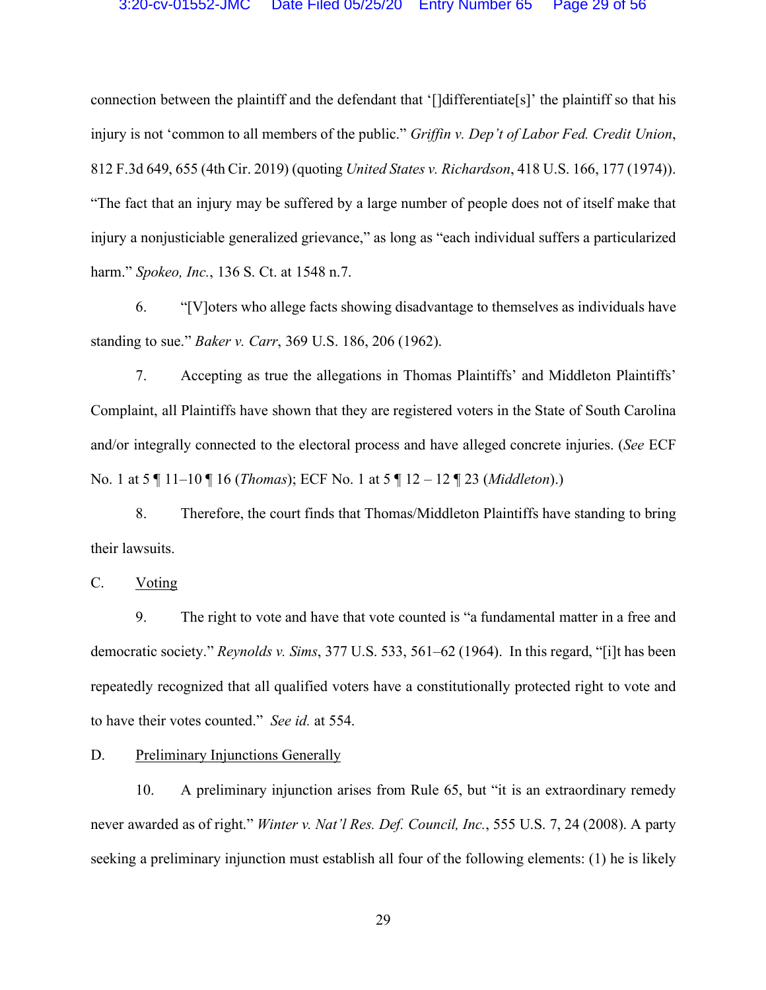connection between the plaintiff and the defendant that '[]differentiate[s]' the plaintiff so that his injury is not 'common to all members of the public." *Griffin v. Dep't of Labor Fed. Credit Union*, 812 F.3d 649, 655 (4th Cir. 2019) (quoting *United States v. Richardson*, 418 U.S. 166, 177 (1974)). "The fact that an injury may be suffered by a large number of people does not of itself make that injury a nonjusticiable generalized grievance," as long as "each individual suffers a particularized harm." *Spokeo, Inc.*, 136 S. Ct. at 1548 n.7.

6. "[V]oters who allege facts showing disadvantage to themselves as individuals have standing to sue." *Baker v. Carr*, 369 U.S. 186, 206 (1962).

7. Accepting as true the allegations in Thomas Plaintiffs' and Middleton Plaintiffs' Complaint, all Plaintiffs have shown that they are registered voters in the State of South Carolina and/or integrally connected to the electoral process and have alleged concrete injuries. (*See* ECF No. 1 at 5 ¶ 11–10 ¶ 16 (*Thomas*); ECF No. 1 at 5 ¶ 12 – 12 ¶ 23 (*Middleton*).)

8. Therefore, the court finds that Thomas/Middleton Plaintiffs have standing to bring their lawsuits.

C. Voting

9. The right to vote and have that vote counted is "a fundamental matter in a free and democratic society." *Reynolds v. Sims*, 377 U.S. 533, 561–62 (1964). In this regard, "[i]t has been repeatedly recognized that all qualified voters have a constitutionally protected right to vote and to have their votes counted." *See id.* at 554.

D. Preliminary Injunctions Generally

10. A preliminary injunction arises from Rule 65, but "it is an extraordinary remedy never awarded as of right." *Winter v. Nat'l Res. Def. Council, Inc.*, 555 U.S. 7, 24 (2008). A party seeking a preliminary injunction must establish all four of the following elements: (1) he is likely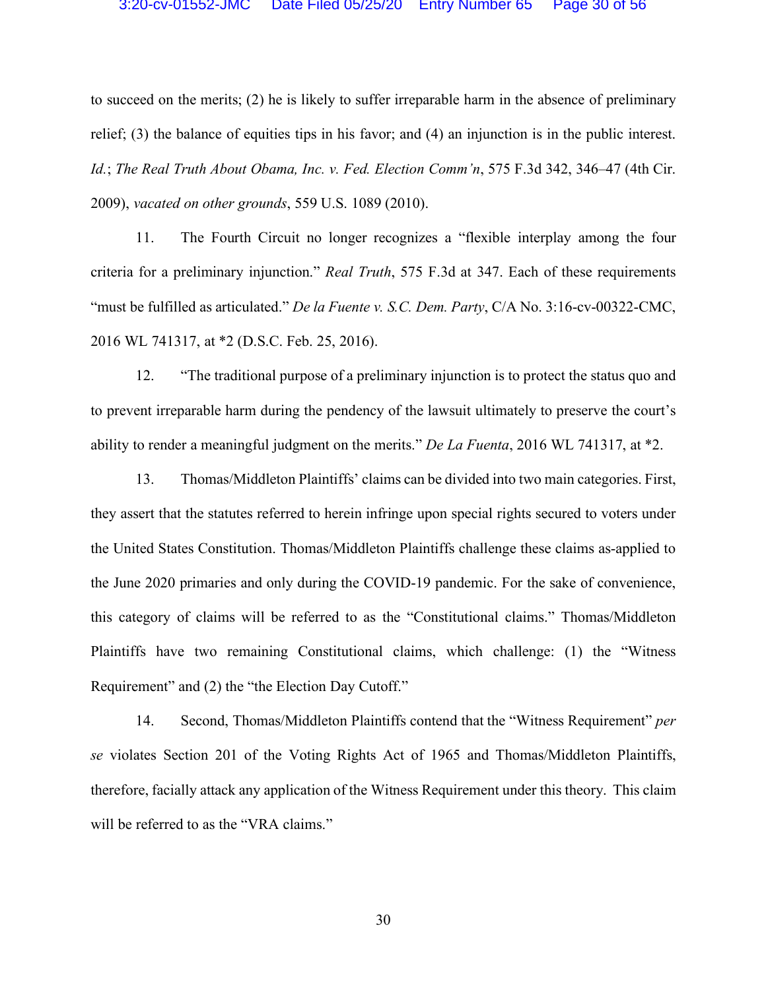to succeed on the merits; (2) he is likely to suffer irreparable harm in the absence of preliminary relief; (3) the balance of equities tips in his favor; and (4) an injunction is in the public interest. *Id.*; *The Real Truth About Obama, Inc. v. Fed. Election Comm'n*, 575 F.3d 342, 346–47 (4th Cir. 2009), *vacated on other grounds*, 559 U.S. 1089 (2010).

11. The Fourth Circuit no longer recognizes a "flexible interplay among the four criteria for a preliminary injunction." *Real Truth*, 575 F.3d at 347. Each of these requirements "must be fulfilled as articulated." *De la Fuente v. S.C. Dem. Party*, C/A No. 3:16-cv-00322-CMC, 2016 WL 741317, at \*2 (D.S.C. Feb. 25, 2016).

12. "The traditional purpose of a preliminary injunction is to protect the status quo and to prevent irreparable harm during the pendency of the lawsuit ultimately to preserve the court's ability to render a meaningful judgment on the merits." *De La Fuenta*, 2016 WL 741317, at \*2.

13. Thomas/Middleton Plaintiffs' claims can be divided into two main categories. First, they assert that the statutes referred to herein infringe upon special rights secured to voters under the United States Constitution. Thomas/Middleton Plaintiffs challenge these claims as-applied to the June 2020 primaries and only during the COVID-19 pandemic. For the sake of convenience, this category of claims will be referred to as the "Constitutional claims." Thomas/Middleton Plaintiffs have two remaining Constitutional claims, which challenge: (1) the "Witness Requirement" and (2) the "the Election Day Cutoff."

14. Second, Thomas/Middleton Plaintiffs contend that the "Witness Requirement" *per se* violates Section 201 of the Voting Rights Act of 1965 and Thomas/Middleton Plaintiffs, therefore, facially attack any application of the Witness Requirement under this theory. This claim will be referred to as the "VRA claims."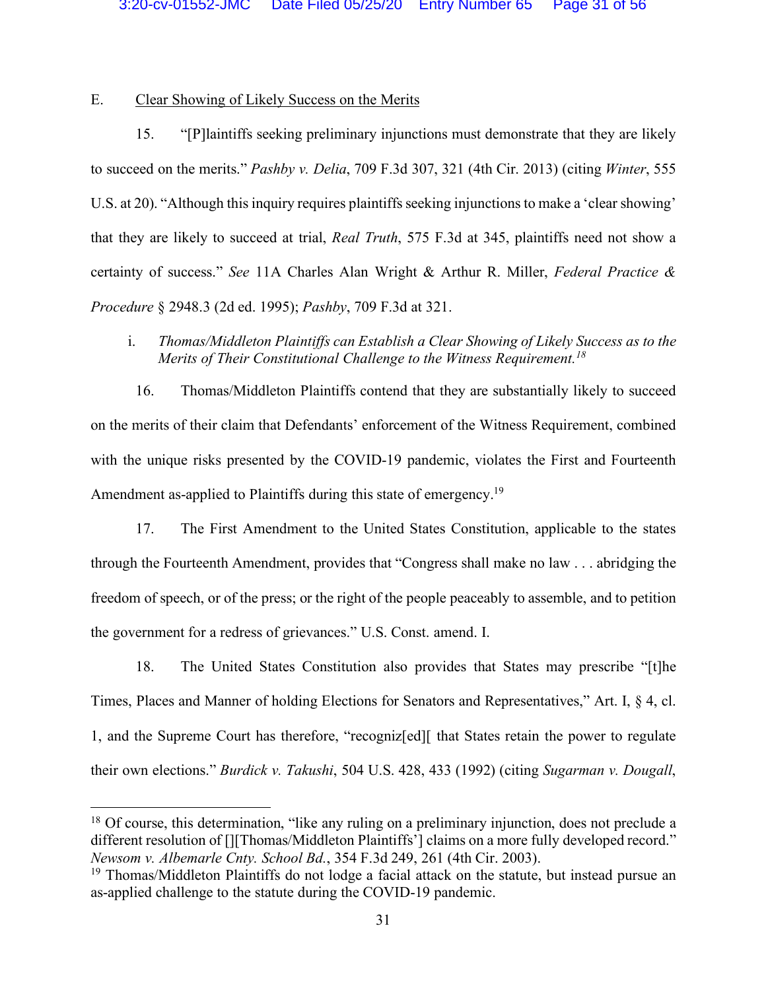## E. Clear Showing of Likely Success on the Merits

15. "[P]laintiffs seeking preliminary injunctions must demonstrate that they are likely to succeed on the merits." *Pashby v. Delia*, 709 F.3d 307, 321 (4th Cir. 2013) (citing *Winter*, 555 U.S. at 20). "Although this inquiry requires plaintiffs seeking injunctions to make a 'clear showing' that they are likely to succeed at trial, *Real Truth*, 575 F.3d at 345, plaintiffs need not show a certainty of success." *See* 11A Charles Alan Wright & Arthur R. Miller, *Federal Practice & Procedure* § 2948.3 (2d ed. 1995); *Pashby*, 709 F.3d at 321.

i. *Thomas/Middleton Plaintiffs can Establish a Clear Showing of Likely Success as to the Merits of Their Constitutional Challenge to the Witness Requirement. 18*

16. Thomas/Middleton Plaintiffs contend that they are substantially likely to succeed on the merits of their claim that Defendants' enforcement of the Witness Requirement, combined with the unique risks presented by the COVID-19 pandemic, violates the First and Fourteenth Amendment as-applied to Plaintiffs during this state of emergency.<sup>19</sup>

17. The First Amendment to the United States Constitution, applicable to the states through the Fourteenth Amendment, provides that "Congress shall make no law . . . abridging the freedom of speech, or of the press; or the right of the people peaceably to assemble, and to petition the government for a redress of grievances." U.S. Const. amend. I.

18. The United States Constitution also provides that States may prescribe "[t]he Times, Places and Manner of holding Elections for Senators and Representatives," Art. I, § 4, cl. 1, and the Supreme Court has therefore, "recogniz[ed][ that States retain the power to regulate their own elections." *Burdick v. Takushi*, 504 U.S. 428, 433 (1992) (citing *Sugarman v. Dougall*,

<sup>&</sup>lt;sup>18</sup> Of course, this determination, "like any ruling on a preliminary injunction, does not preclude a different resolution of [][Thomas/Middleton Plaintiffs'] claims on a more fully developed record." *Newsom v. Albemarle Cnty. School Bd.*, 354 F.3d 249, 261 (4th Cir. 2003).

<sup>&</sup>lt;sup>19</sup> Thomas/Middleton Plaintiffs do not lodge a facial attack on the statute, but instead pursue an as-applied challenge to the statute during the COVID-19 pandemic.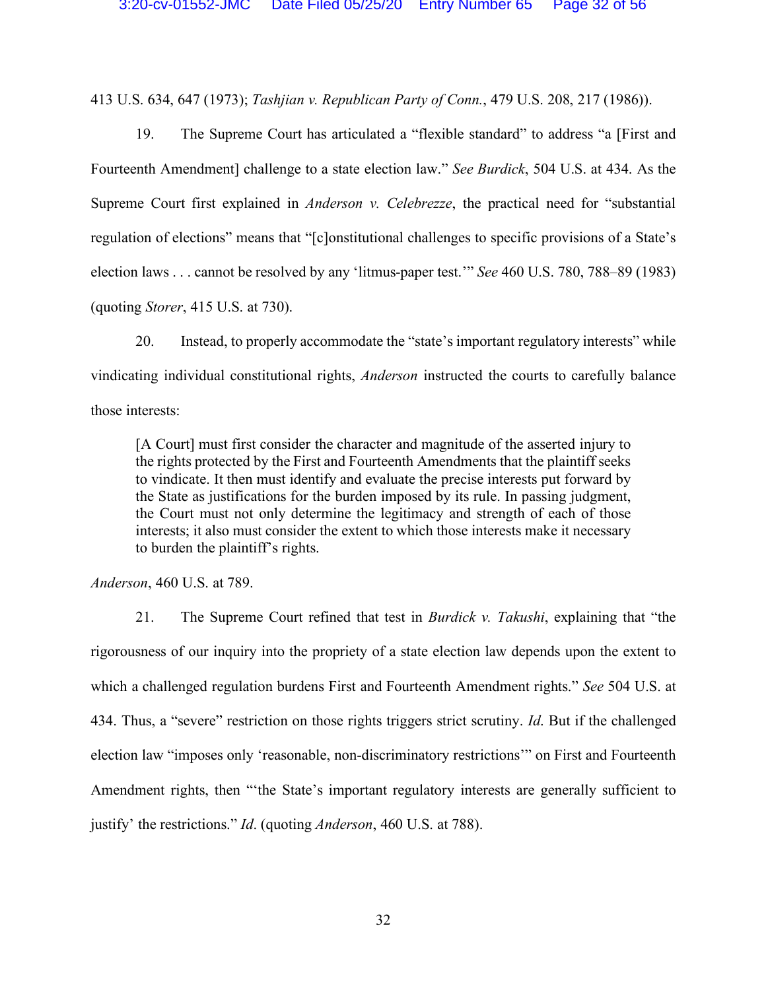413 U.S. 634, 647 (1973); *Tashjian v. Republican Party of Conn.*, 479 U.S. 208, 217 (1986)).

19. The Supreme Court has articulated a "flexible standard" to address "a [First and Fourteenth Amendment] challenge to a state election law." *See Burdick*, 504 U.S. at 434. As the Supreme Court first explained in *Anderson v. Celebrezze*, the practical need for "substantial regulation of elections" means that "[c]onstitutional challenges to specific provisions of a State's election laws . . . cannot be resolved by any 'litmus-paper test.'" *See* 460 U.S. 780, 788–89 (1983) (quoting *Storer*, 415 U.S. at 730).

20. Instead, to properly accommodate the "state's important regulatory interests" while vindicating individual constitutional rights, *Anderson* instructed the courts to carefully balance those interests:

[A Court] must first consider the character and magnitude of the asserted injury to the rights protected by the First and Fourteenth Amendments that the plaintiff seeks to vindicate. It then must identify and evaluate the precise interests put forward by the State as justifications for the burden imposed by its rule. In passing judgment, the Court must not only determine the legitimacy and strength of each of those interests; it also must consider the extent to which those interests make it necessary to burden the plaintiff's rights.

*Anderson*, 460 U.S. at 789.

21. The Supreme Court refined that test in *Burdick v. Takushi*, explaining that "the rigorousness of our inquiry into the propriety of a state election law depends upon the extent to which a challenged regulation burdens First and Fourteenth Amendment rights." *See* 504 U.S. at 434. Thus, a "severe" restriction on those rights triggers strict scrutiny. *Id*. But if the challenged election law "imposes only 'reasonable, non-discriminatory restrictions'" on First and Fourteenth Amendment rights, then "'the State's important regulatory interests are generally sufficient to justify' the restrictions." *Id*. (quoting *Anderson*, 460 U.S. at 788).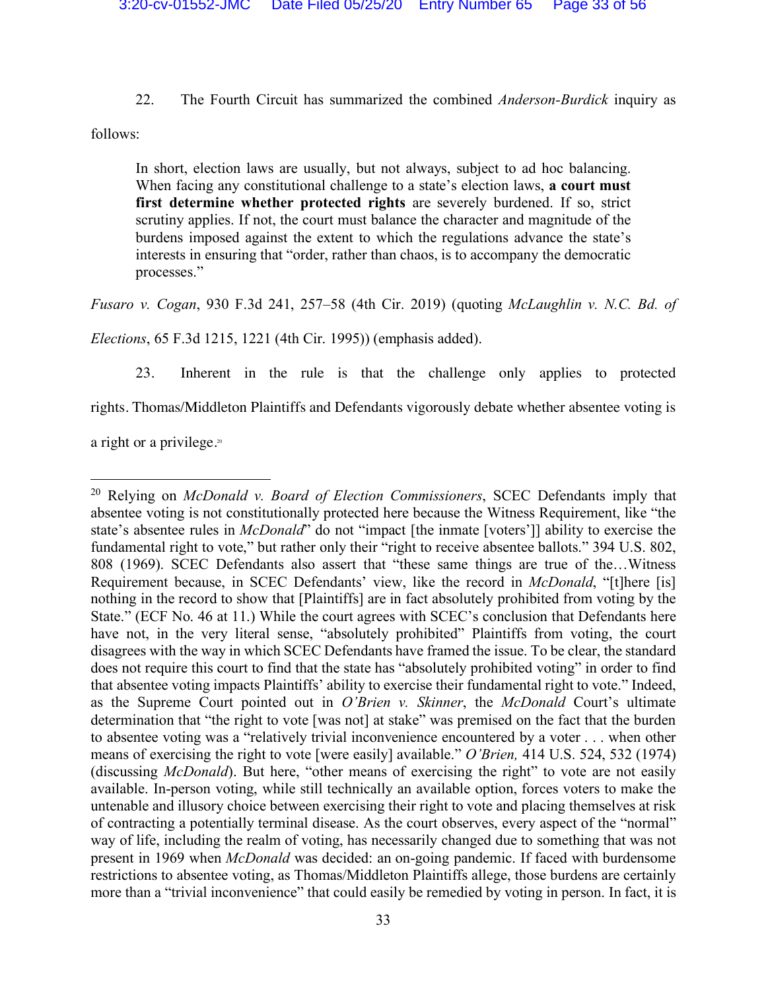22. The Fourth Circuit has summarized the combined *Anderson-Burdick* inquiry as

follows:

In short, election laws are usually, but not always, subject to ad hoc balancing. When facing any constitutional challenge to a state's election laws, **a court must first determine whether protected rights** are severely burdened. If so, strict scrutiny applies. If not, the court must balance the character and magnitude of the burdens imposed against the extent to which the regulations advance the state's interests in ensuring that "order, rather than chaos, is to accompany the democratic processes."

*Fusaro v. Cogan*, 930 F.3d 241, 257–58 (4th Cir. 2019) (quoting *McLaughlin v. N.C. Bd. of* 

*Elections*, 65 F.3d 1215, 1221 (4th Cir. 1995)) (emphasis added).

23. Inherent in the rule is that the challenge only applies to protected

rights. Thomas/Middleton Plaintiffs and Defendants vigorously debate whether absentee voting is

a right or a privilege.<sup>20</sup>

 <sup>20</sup> Relying on *McDonald v. Board of Election Commissioners*, SCEC Defendants imply that absentee voting is not constitutionally protected here because the Witness Requirement, like "the state's absentee rules in *McDonald*" do not "impact [the inmate [voters']] ability to exercise the fundamental right to vote," but rather only their "right to receive absentee ballots." 394 U.S. 802, 808 (1969). SCEC Defendants also assert that "these same things are true of the…Witness Requirement because, in SCEC Defendants' view, like the record in *McDonald*, "[t]here [is] nothing in the record to show that [Plaintiffs] are in fact absolutely prohibited from voting by the State." (ECF No. 46 at 11.) While the court agrees with SCEC's conclusion that Defendants here have not, in the very literal sense, "absolutely prohibited" Plaintiffs from voting, the court disagrees with the way in which SCEC Defendants have framed the issue. To be clear, the standard does not require this court to find that the state has "absolutely prohibited voting" in order to find that absentee voting impacts Plaintiffs' ability to exercise their fundamental right to vote." Indeed, as the Supreme Court pointed out in *O'Brien v. Skinner*, the *McDonald* Court's ultimate determination that "the right to vote [was not] at stake" was premised on the fact that the burden to absentee voting was a "relatively trivial inconvenience encountered by a voter . . . when other means of exercising the right to vote [were easily] available." *O'Brien,* 414 U.S. 524, 532 (1974) (discussing *McDonald*). But here, "other means of exercising the right" to vote are not easily available. In-person voting, while still technically an available option, forces voters to make the untenable and illusory choice between exercising their right to vote and placing themselves at risk of contracting a potentially terminal disease. As the court observes, every aspect of the "normal" way of life, including the realm of voting, has necessarily changed due to something that was not present in 1969 when *McDonald* was decided: an on-going pandemic. If faced with burdensome restrictions to absentee voting, as Thomas/Middleton Plaintiffs allege, those burdens are certainly more than a "trivial inconvenience" that could easily be remedied by voting in person. In fact, it is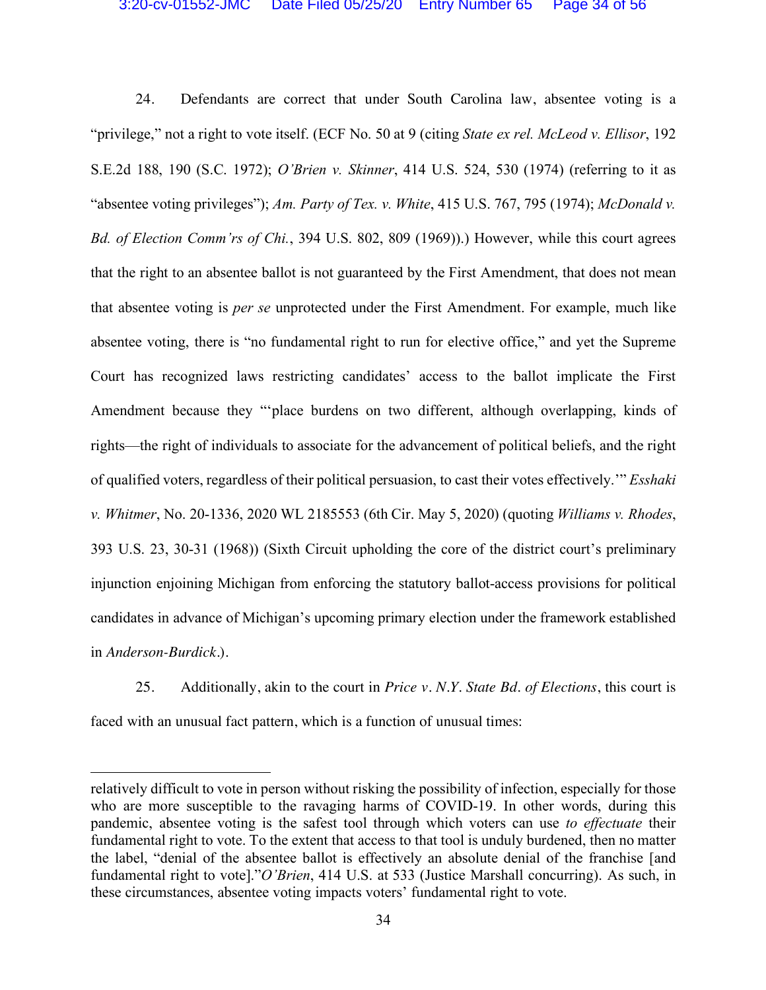24. Defendants are correct that under South Carolina law, absentee voting is a "privilege," not a right to vote itself. (ECF No. 50 at 9 (citing *State ex rel. McLeod v. Ellisor*, 192 S.E.2d 188, 190 (S.C. 1972); *O'Brien v. Skinner*, 414 U.S. 524, 530 (1974) (referring to it as "absentee voting privileges"); *Am. Party of Tex. v. White*, 415 U.S. 767, 795 (1974); *McDonald v. Bd. of Election Comm'rs of Chi.*, 394 U.S. 802, 809 (1969)).) However, while this court agrees that the right to an absentee ballot is not guaranteed by the First Amendment, that does not mean that absentee voting is *per se* unprotected under the First Amendment. For example, much like absentee voting, there is "no fundamental right to run for elective office," and yet the Supreme Court has recognized laws restricting candidates' access to the ballot implicate the First Amendment because they "'place burdens on two different, although overlapping, kinds of rights—the right of individuals to associate for the advancement of political beliefs, and the right of qualified voters, regardless of their political persuasion, to cast their votes effectively.'" *Esshaki v. Whitmer*, No. 20-1336, 2020 WL 2185553 (6th Cir. May 5, 2020) (quoting *Williams v. Rhodes*, 393 U.S. 23, 30-31 (1968)) (Sixth Circuit upholding the core of the district court's preliminary injunction enjoining Michigan from enforcing the statutory ballot-access provisions for political candidates in advance of Michigan's upcoming primary election under the framework established in *Anderson-Burdick*.).

25. Additionally, akin to the court in *Price v. N.Y. State Bd. of Elections*, this court is faced with an unusual fact pattern, which is a function of unusual times:

 $\overline{a}$ 

relatively difficult to vote in person without risking the possibility of infection, especially for those who are more susceptible to the ravaging harms of COVID-19. In other words, during this pandemic, absentee voting is the safest tool through which voters can use *to effectuate* their fundamental right to vote. To the extent that access to that tool is unduly burdened, then no matter the label, "denial of the absentee ballot is effectively an absolute denial of the franchise [and fundamental right to vote]."*O'Brien*, 414 U.S. at 533 (Justice Marshall concurring). As such, in these circumstances, absentee voting impacts voters' fundamental right to vote.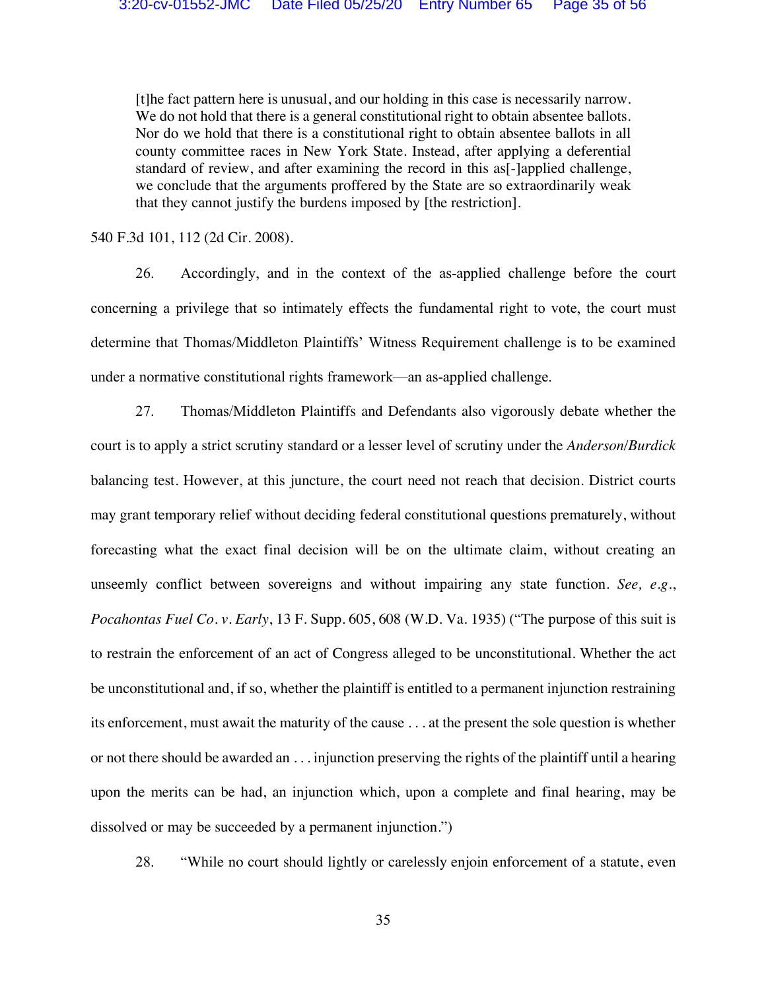[t]he fact pattern here is unusual, and our holding in this case is necessarily narrow. We do not hold that there is a general constitutional right to obtain absentee ballots. Nor do we hold that there is a constitutional right to obtain absentee ballots in all county committee races in New York State. Instead, after applying a deferential standard of review, and after examining the record in this as[-]applied challenge, we conclude that the arguments proffered by the State are so extraordinarily weak that they cannot justify the burdens imposed by [the restriction].

540 F.3d 101, 112 (2d Cir. 2008).

26. Accordingly, and in the context of the as-applied challenge before the court concerning a privilege that so intimately effects the fundamental right to vote, the court must determine that Thomas/Middleton Plaintiffs' Witness Requirement challenge is to be examined under a normative constitutional rights framework—an as-applied challenge.

27. Thomas/Middleton Plaintiffs and Defendants also vigorously debate whether the court is to apply a strict scrutiny standard or a lesser level of scrutiny under the *Anderson/Burdick* balancing test. However, at this juncture, the court need not reach that decision. District courts may grant temporary relief without deciding federal constitutional questions prematurely, without forecasting what the exact final decision will be on the ultimate claim, without creating an unseemly conflict between sovereigns and without impairing any state function. *See, e.g.*, *Pocahontas Fuel Co. v. Early*, 13 F. Supp. 605, 608 (W.D. Va. 1935) ("The purpose of this suit is to restrain the enforcement of an act of Congress alleged to be unconstitutional. Whether the act be unconstitutional and, if so, whether the plaintiff is entitled to a permanent injunction restraining its enforcement, must await the maturity of the cause . . . at the present the sole question is whether or not there should be awarded an . . . injunction preserving the rights of the plaintiff until a hearing upon the merits can be had, an injunction which, upon a complete and final hearing, may be dissolved or may be succeeded by a permanent injunction.")

28. "While no court should lightly or carelessly enjoin enforcement of a statute, even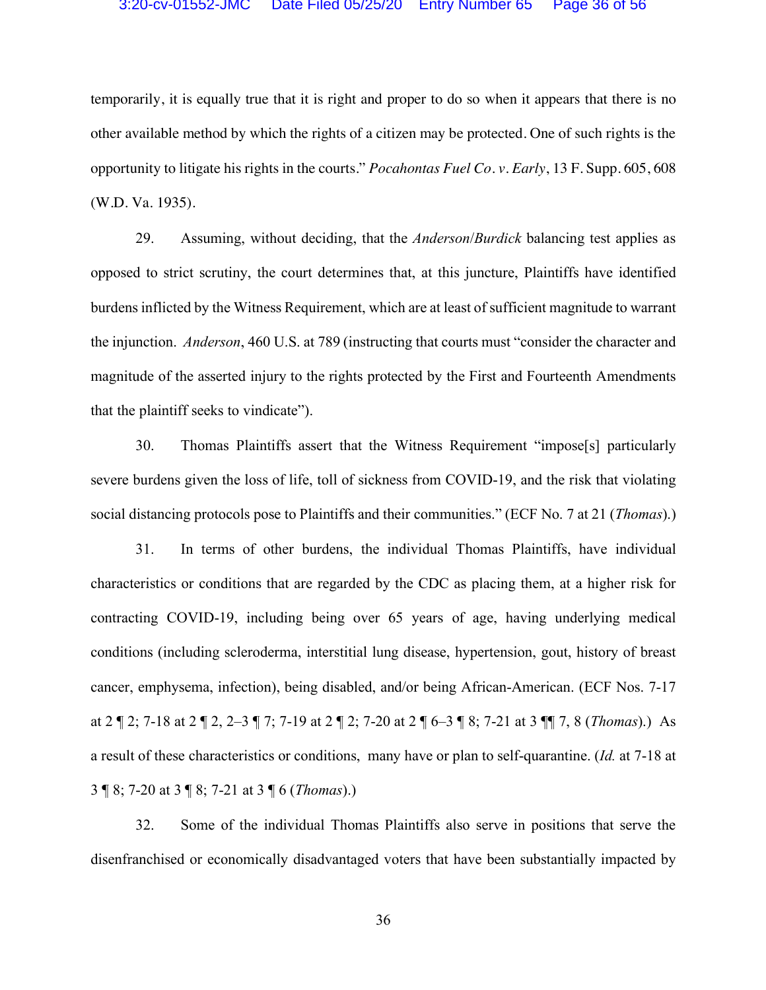temporarily, it is equally true that it is right and proper to do so when it appears that there is no other available method by which the rights of a citizen may be protected. One of such rights is the opportunity to litigate his rights in the courts." *Pocahontas Fuel Co. v. Early*, 13 F. Supp. 605, 608 (W.D. Va. 1935).

29. Assuming, without deciding, that the *Anderson*/*Burdick* balancing test applies as opposed to strict scrutiny, the court determines that, at this juncture, Plaintiffs have identified burdens inflicted by the Witness Requirement, which are at least of sufficient magnitude to warrant the injunction. *Anderson*, 460 U.S. at 789 (instructing that courts must "consider the character and magnitude of the asserted injury to the rights protected by the First and Fourteenth Amendments that the plaintiff seeks to vindicate").

30. Thomas Plaintiffs assert that the Witness Requirement "impose[s] particularly severe burdens given the loss of life, toll of sickness from COVID-19, and the risk that violating social distancing protocols pose to Plaintiffs and their communities." (ECF No. 7 at 21 (*Thomas*).)

31. In terms of other burdens, the individual Thomas Plaintiffs, have individual characteristics or conditions that are regarded by the CDC as placing them, at a higher risk for contracting COVID-19, including being over 65 years of age, having underlying medical conditions (including scleroderma, interstitial lung disease, hypertension, gout, history of breast cancer, emphysema, infection), being disabled, and/or being African-American. (ECF Nos. 7-17 at 2 ¶ 2; 7-18 at 2 ¶ 2, 2–3 ¶ 7; 7-19 at 2 ¶ 2; 7-20 at 2 ¶ 6–3 ¶ 8; 7-21 at 3 ¶¶ 7, 8 (*Thomas*).) As a result of these characteristics or conditions, many have or plan to self-quarantine. (*Id.* at 7-18 at 3 ¶ 8; 7-20 at 3 ¶ 8; 7-21 at 3 ¶ 6 (*Thomas*).)

32. Some of the individual Thomas Plaintiffs also serve in positions that serve the disenfranchised or economically disadvantaged voters that have been substantially impacted by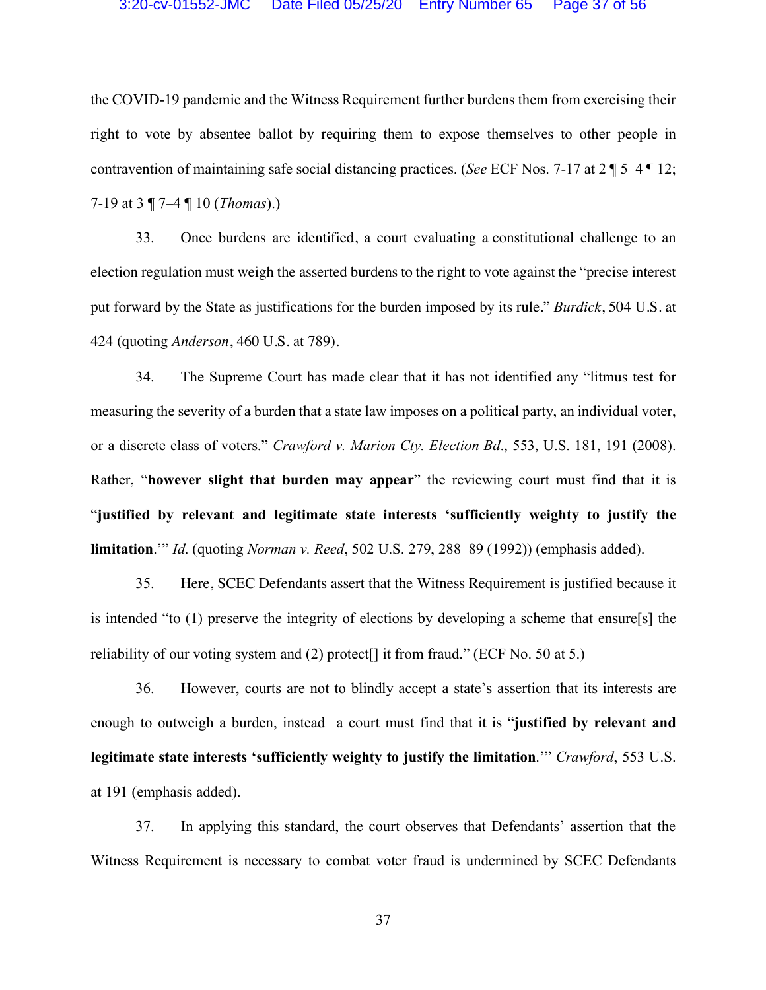the COVID-19 pandemic and the Witness Requirement further burdens them from exercising their right to vote by absentee ballot by requiring them to expose themselves to other people in contravention of maintaining safe social distancing practices. (*See* ECF Nos. 7-17 at 2 ¶ 5–4 ¶ 12; 7-19 at 3 ¶ 7–4 ¶ 10 (*Thomas*).)

33. Once burdens are identified, a court evaluating a constitutional challenge to an election regulation must weigh the asserted burdens to the right to vote against the "precise interest put forward by the State as justifications for the burden imposed by its rule." *Burdick*, 504 U.S. at 424 (quoting *Anderson*, 460 U.S. at 789).

34. The Supreme Court has made clear that it has not identified any "litmus test for measuring the severity of a burden that a state law imposes on a political party, an individual voter, or a discrete class of voters." *Crawford v. Marion Cty. Election Bd*., 553, U.S. 181, 191 (2008). Rather, "**however slight that burden may appear**" the reviewing court must find that it is "**justified by relevant and legitimate state interests 'sufficiently weighty to justify the limitation**.'" *Id*. (quoting *Norman v. Reed*, 502 U.S. 279, 288–89 (1992)) (emphasis added).

35. Here, SCEC Defendants assert that the Witness Requirement is justified because it is intended "to (1) preserve the integrity of elections by developing a scheme that ensure[s] the reliability of our voting system and  $(2)$  protect<sup>[]</sup> it from fraud." (ECF No. 50 at 5.)

36. However, courts are not to blindly accept a state's assertion that its interests are enough to outweigh a burden, instead a court must find that it is "**justified by relevant and legitimate state interests 'sufficiently weighty to justify the limitation**.'" *Crawford*, 553 U.S. at 191 (emphasis added).

37. In applying this standard, the court observes that Defendants' assertion that the Witness Requirement is necessary to combat voter fraud is undermined by SCEC Defendants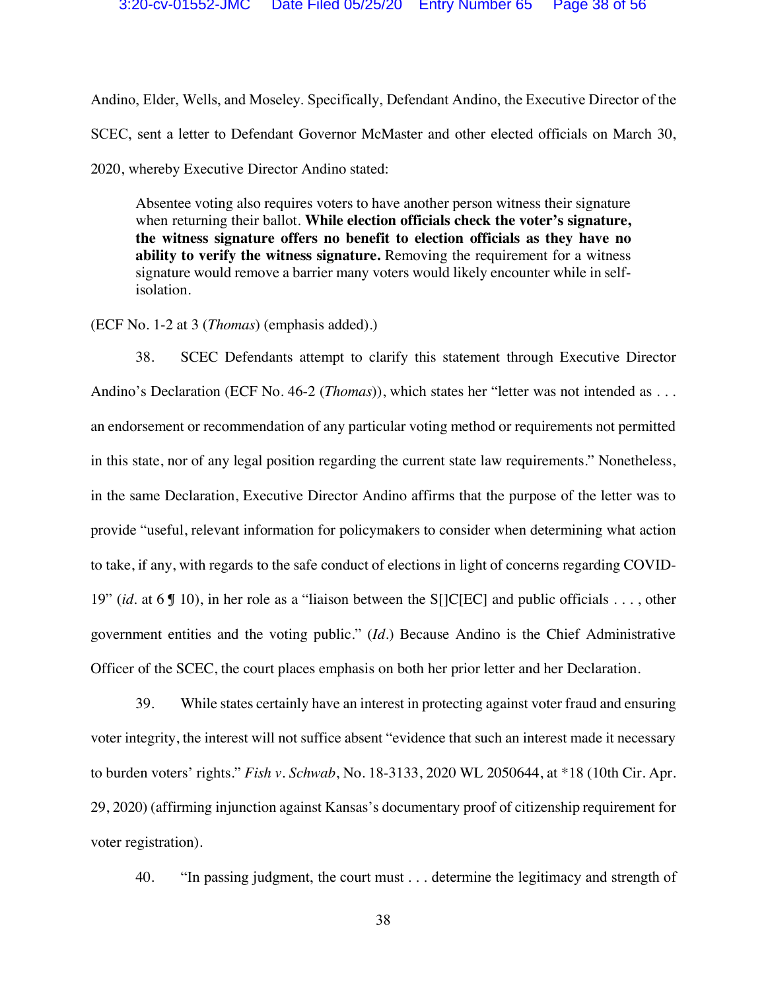Andino, Elder, Wells, and Moseley. Specifically, Defendant Andino, the Executive Director of the SCEC, sent a letter to Defendant Governor McMaster and other elected officials on March 30, 2020, whereby Executive Director Andino stated:

Absentee voting also requires voters to have another person witness their signature when returning their ballot. **While election officials check the voter's signature, the witness signature offers no benefit to election officials as they have no ability to verify the witness signature.** Removing the requirement for a witness signature would remove a barrier many voters would likely encounter while in selfisolation.

(ECF No. 1-2 at 3 (*Thomas*) (emphasis added).)

38. SCEC Defendants attempt to clarify this statement through Executive Director Andino's Declaration (ECF No. 46-2 (*Thomas*)), which states her "letter was not intended as . . . an endorsement or recommendation of any particular voting method or requirements not permitted in this state, nor of any legal position regarding the current state law requirements." Nonetheless, in the same Declaration, Executive Director Andino affirms that the purpose of the letter was to provide "useful, relevant information for policymakers to consider when determining what action to take, if any, with regards to the safe conduct of elections in light of concerns regarding COVID-19" (*id.* at 6 ¶ 10), in her role as a "liaison between the S[]C[EC] and public officials . . . , other government entities and the voting public." (*Id.*) Because Andino is the Chief Administrative Officer of the SCEC, the court places emphasis on both her prior letter and her Declaration.

39. While states certainly have an interest in protecting against voter fraud and ensuring voter integrity, the interest will not suffice absent "evidence that such an interest made it necessary to burden voters' rights." *Fish v. Schwab*, No. 18-3133, 2020 WL 2050644, at \*18 (10th Cir. Apr. 29, 2020) (affirming injunction against Kansas's documentary proof of citizenship requirement for voter registration).

40. "In passing judgment, the court must . . . determine the legitimacy and strength of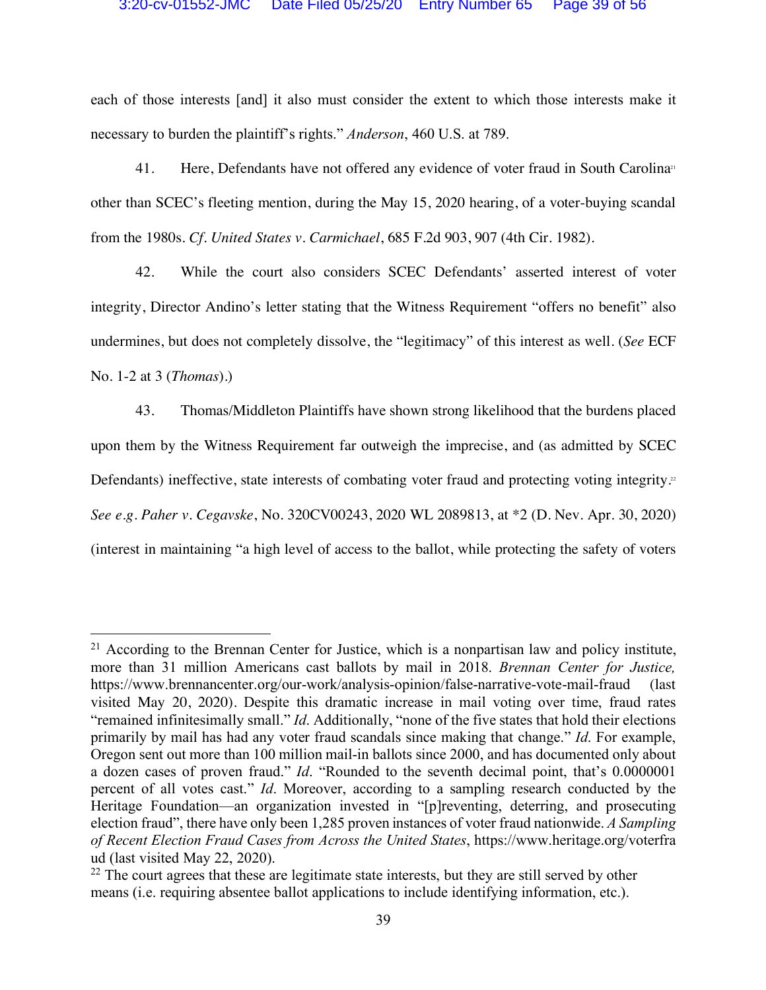each of those interests [and] it also must consider the extent to which those interests make it necessary to burden the plaintiff's rights." *Anderson*, 460 U.S. at 789.

41. Here, Defendants have not offered any evidence of voter fraud in South Carolina<sup>31</sup> other than SCEC's fleeting mention, during the May 15, 2020 hearing, of a voter-buying scandal from the 1980s. *Cf*. *United States v. Carmichael*, 685 F.2d 903, 907 (4th Cir. 1982).

42. While the court also considers SCEC Defendants' asserted interest of voter integrity, Director Andino's letter stating that the Witness Requirement "offers no benefit" also undermines, but does not completely dissolve, the "legitimacy" of this interest as well. (*See* ECF No. 1-2 at 3 (*Thomas*).)

43. Thomas/Middleton Plaintiffs have shown strong likelihood that the burdens placed upon them by the Witness Requirement far outweigh the imprecise, and (as admitted by SCEC Defendants) ineffective, state interests of combating voter fraud and protecting voting integrity.<sup>22</sup> *See e.g*. *Paher v. Cegavske*, No. 320CV00243, 2020 WL 2089813, at \*2 (D. Nev. Apr. 30, 2020) (interest in maintaining "a high level of access to the ballot, while protecting the safety of voters

<sup>&</sup>lt;sup>21</sup> According to the Brennan Center for Justice, which is a nonpartisan law and policy institute, more than 31 million Americans cast ballots by mail in 2018. *Brennan Center for Justice,*  https://www.brennancenter.org/our-work/analysis-opinion/false-narrative-vote-mail-fraud (last visited May 20, 2020). Despite this dramatic increase in mail voting over time, fraud rates "remained infinitesimally small." *Id*. Additionally, "none of the five states that hold their elections primarily by mail has had any voter fraud scandals since making that change." *Id*. For example, Oregon sent out more than 100 million mail-in ballots since 2000, and has documented only about a dozen cases of proven fraud." *Id*. "Rounded to the seventh decimal point, that's 0.0000001 percent of all votes cast." *Id*. Moreover, according to a sampling research conducted by the Heritage Foundation—an organization invested in "[p]reventing, deterring, and prosecuting election fraud", there have only been 1,285 proven instances of voter fraud nationwide. *A Sampling of Recent Election Fraud Cases from Across the United States*, https://www.heritage.org/voterfra ud (last visited May 22, 2020).

<sup>&</sup>lt;sup>22</sup> The court agrees that these are legitimate state interests, but they are still served by other means (i.e. requiring absentee ballot applications to include identifying information, etc.).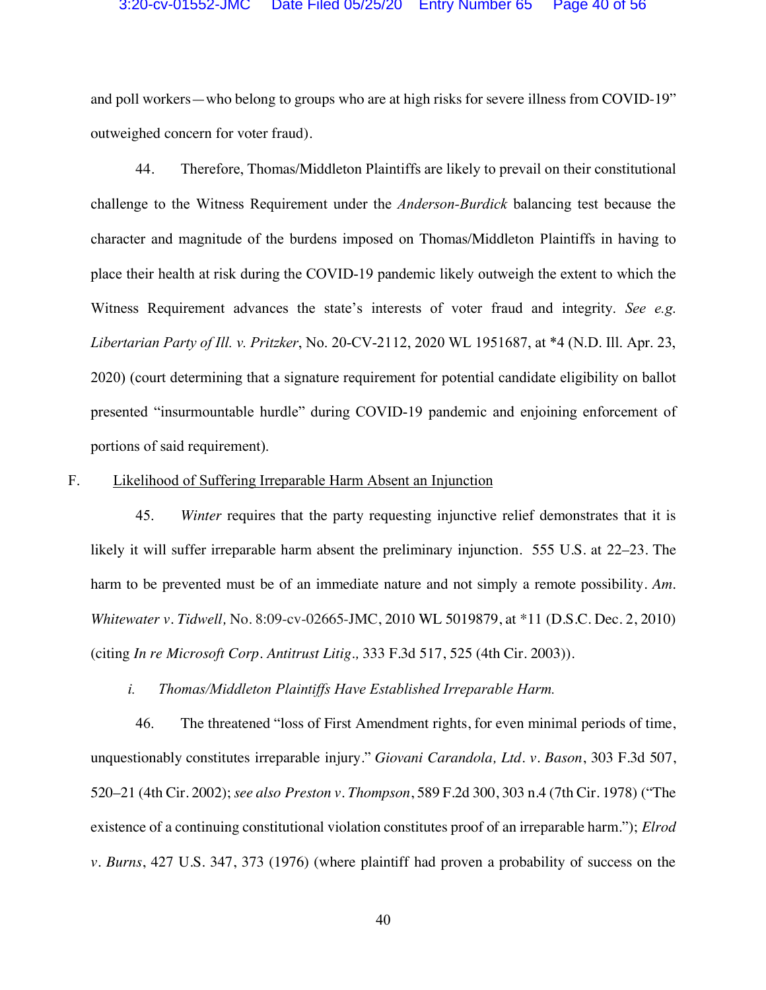and poll workers—who belong to groups who are at high risks for severe illness from COVID-19" outweighed concern for voter fraud).

44. Therefore, Thomas/Middleton Plaintiffs are likely to prevail on their constitutional challenge to the Witness Requirement under the *Anderson-Burdick* balancing test because the character and magnitude of the burdens imposed on Thomas/Middleton Plaintiffs in having to place their health at risk during the COVID-19 pandemic likely outweigh the extent to which the Witness Requirement advances the state's interests of voter fraud and integrity. *See e.g*. *Libertarian Party of Ill. v. Pritzker*, No. 20-CV-2112, 2020 WL 1951687, at \*4 (N.D. Ill. Apr. 23, 2020) (court determining that a signature requirement for potential candidate eligibility on ballot presented "insurmountable hurdle" during COVID-19 pandemic and enjoining enforcement of portions of said requirement).

#### F. Likelihood of Suffering Irreparable Harm Absent an Injunction

45. *Winter* requires that the party requesting injunctive relief demonstrates that it is likely it will suffer irreparable harm absent the preliminary injunction. 555 U.S. at 22–23. The harm to be prevented must be of an immediate nature and not simply a remote possibility. *Am. Whitewater v. Tidwell,* No. 8:09-cv-02665-JMC, 2010 WL 5019879, at \*11 (D.S.C. Dec. 2, 2010) (citing *In re Microsoft Corp. Antitrust Litig.,* 333 F.3d 517, 525 (4th Cir. 2003)).

*i. Thomas/Middleton Plaintiffs Have Established Irreparable Harm.*

46. The threatened "loss of First Amendment rights, for even minimal periods of time, unquestionably constitutes irreparable injury." *Giovani Carandola, Ltd. v. Bason*, 303 F.3d 507, 520–21 (4th Cir. 2002); *see also Preston v. Thompson*, 589 F.2d 300, 303 n.4 (7th Cir. 1978) ("The existence of a continuing constitutional violation constitutes proof of an irreparable harm."); *Elrod v. Burns*, 427 U.S. 347, 373 (1976) (where plaintiff had proven a probability of success on the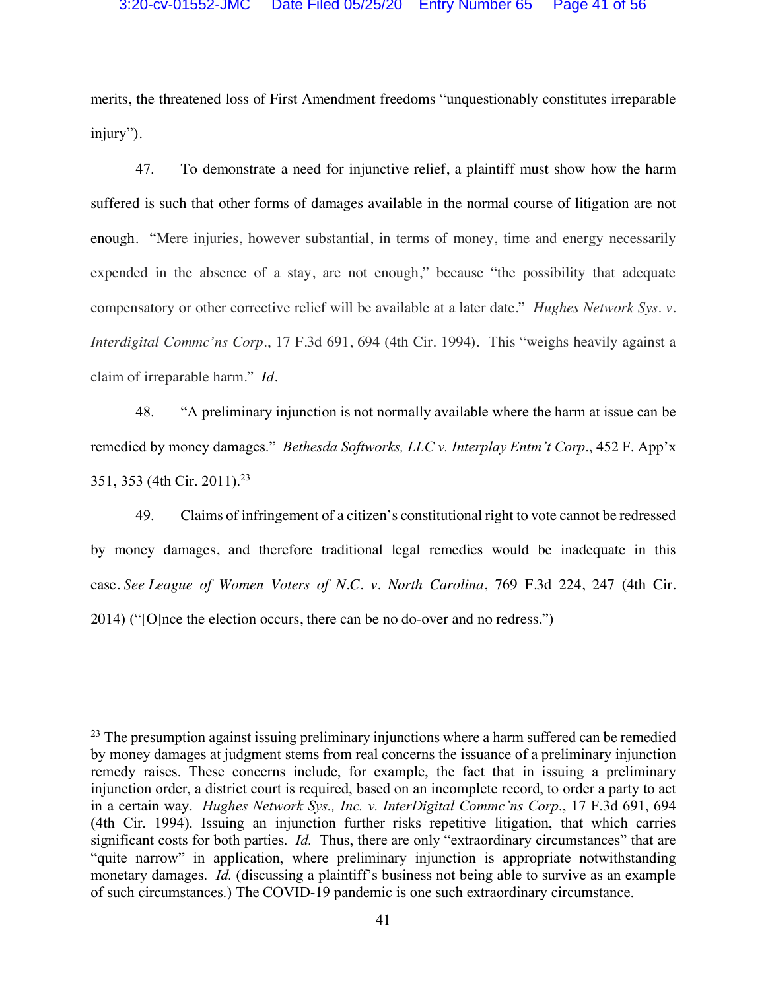merits, the threatened loss of First Amendment freedoms "unquestionably constitutes irreparable injury").

47. To demonstrate a need for injunctive relief, a plaintiff must show how the harm suffered is such that other forms of damages available in the normal course of litigation are not enough. "Mere injuries, however substantial, in terms of money, time and energy necessarily expended in the absence of a stay, are not enough," because "the possibility that adequate compensatory or other corrective relief will be available at a later date." *Hughes Network Sys. v. Interdigital Commc'ns Corp*., 17 F.3d 691, 694 (4th Cir. 1994). This "weighs heavily against a claim of irreparable harm." *Id.*

48. "A preliminary injunction is not normally available where the harm at issue can be remedied by money damages." *Bethesda Softworks, LLC v. Interplay Entm't Corp*., 452 F. App'x 351, 353 (4th Cir. 2011).23

49. Claims of infringement of a citizen's constitutional right to vote cannot be redressed by money damages, and therefore traditional legal remedies would be inadequate in this case. *See League of Women Voters of N.C. v. North Carolina*, 769 F.3d 224, 247 (4th Cir. 2014) ("[O]nce the election occurs, there can be no do-over and no redress.")

<sup>&</sup>lt;sup>23</sup> The presumption against issuing preliminary injunctions where a harm suffered can be remedied by money damages at judgment stems from real concerns the issuance of a preliminary injunction remedy raises. These concerns include, for example, the fact that in issuing a preliminary injunction order, a district court is required, based on an incomplete record, to order a party to act in a certain way. *Hughes Network Sys., Inc. v. InterDigital Commc'ns Corp*., 17 F.3d 691, 694 (4th Cir. 1994). Issuing an injunction further risks repetitive litigation, that which carries significant costs for both parties. *Id.* Thus, there are only "extraordinary circumstances" that are "quite narrow" in application, where preliminary injunction is appropriate notwithstanding monetary damages. *Id.* (discussing a plaintiff's business not being able to survive as an example of such circumstances.) The COVID-19 pandemic is one such extraordinary circumstance.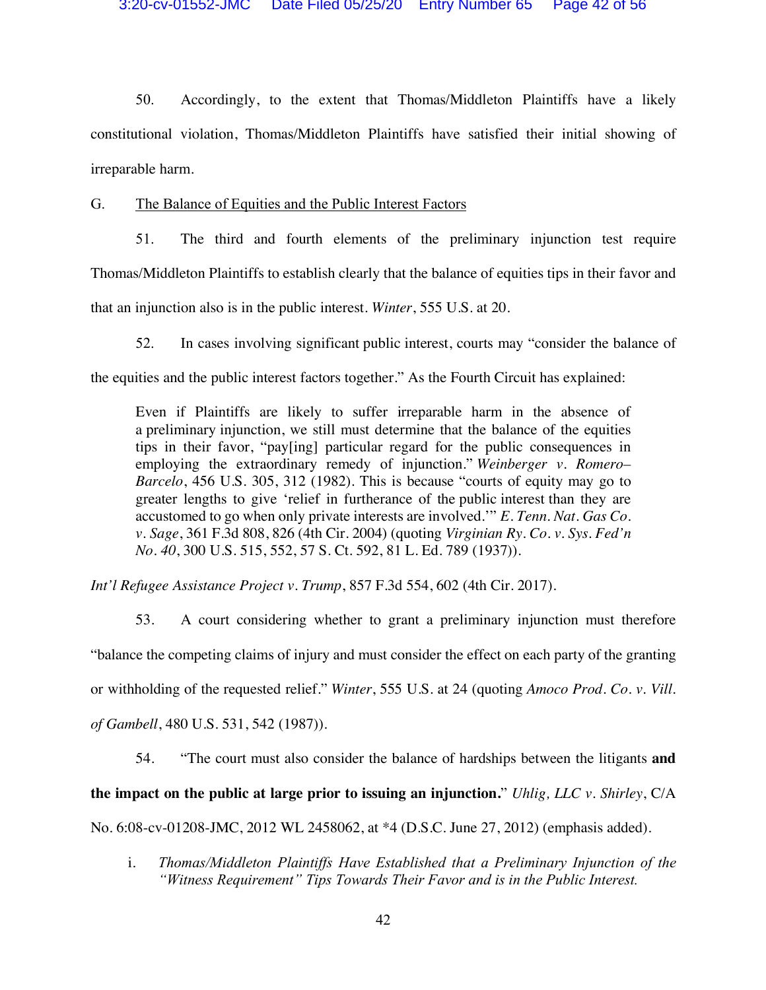50. Accordingly, to the extent that Thomas/Middleton Plaintiffs have a likely constitutional violation, Thomas/Middleton Plaintiffs have satisfied their initial showing of irreparable harm.

G. The Balance of Equities and the Public Interest Factors

51. The third and fourth elements of the preliminary injunction test require Thomas/Middleton Plaintiffs to establish clearly that the balance of equities tips in their favor and that an injunction also is in the public interest. *Winter*, 555 U.S. at 20.

52. In cases involving significant public interest, courts may "consider the balance of the equities and the public interest factors together." As the Fourth Circuit has explained:

Even if Plaintiffs are likely to suffer irreparable harm in the absence of a preliminary injunction, we still must determine that the balance of the equities tips in their favor, "pay[ing] particular regard for the public consequences in employing the extraordinary remedy of injunction." *Weinberger v. Romero– Barcelo*, 456 U.S. 305, 312 (1982). This is because "courts of equity may go to greater lengths to give 'relief in furtherance of the public interest than they are accustomed to go when only private interests are involved.'" *E. Tenn. Nat. Gas Co. v. Sage*, 361 F.3d 808, 826 (4th Cir. 2004) (quoting *Virginian Ry. Co. v. Sys. Fed'n No. 40*, 300 U.S. 515, 552, 57 S. Ct. 592, 81 L. Ed. 789 (1937)).

*Int'l Refugee Assistance Project v. Trump*, 857 F.3d 554, 602 (4th Cir. 2017).

53. A court considering whether to grant a preliminary injunction must therefore "balance the competing claims of injury and must consider the effect on each party of the granting or withholding of the requested relief." *Winter*, 555 U.S. at 24 (quoting *Amoco Prod. Co. v. Vill. of Gambell*, 480 U.S. 531, 542 (1987)).

54. "The court must also consider the balance of hardships between the litigants **and the impact on the public at large prior to issuing an injunction.**" *Uhlig, LLC v. Shirley*, C/A No. 6:08-cv-01208-JMC, 2012 WL 2458062, at \*4 (D.S.C. June 27, 2012) (emphasis added).

i. *Thomas/Middleton Plaintiffs Have Established that a Preliminary Injunction of the "Witness Requirement" Tips Towards Their Favor and is in the Public Interest.*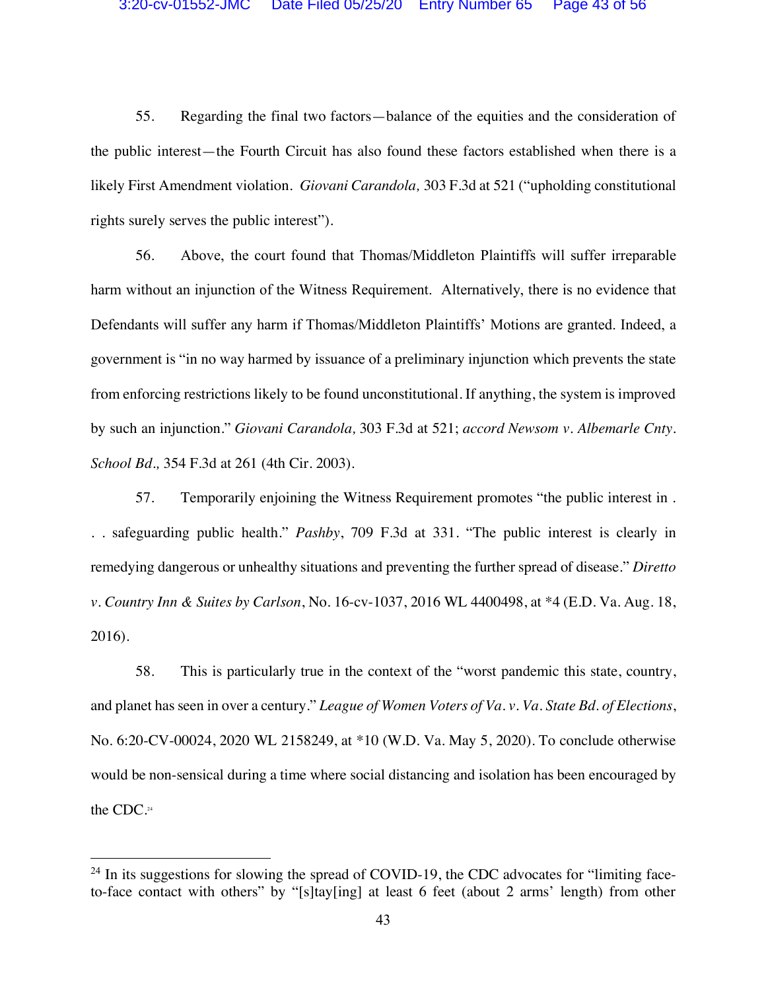55. Regarding the final two factors—balance of the equities and the consideration of the public interest—the Fourth Circuit has also found these factors established when there is a likely First Amendment violation. *Giovani Carandola,* 303 F.3d at 521 ("upholding constitutional rights surely serves the public interest").

56. Above, the court found that Thomas/Middleton Plaintiffs will suffer irreparable harm without an injunction of the Witness Requirement. Alternatively, there is no evidence that Defendants will suffer any harm if Thomas/Middleton Plaintiffs' Motions are granted. Indeed, a government is "in no way harmed by issuance of a preliminary injunction which prevents the state from enforcing restrictions likely to be found unconstitutional. If anything, the system is improved by such an injunction." *Giovani Carandola,* 303 F.3d at 521; *accord Newsom v. Albemarle Cnty. School Bd.,* 354 F.3d at 261 (4th Cir. 2003).

57. Temporarily enjoining the Witness Requirement promotes "the public interest in . . . safeguarding public health." *Pashby*, 709 F.3d at 331. "The public interest is clearly in remedying dangerous or unhealthy situations and preventing the further spread of disease." *Diretto v. Country Inn & Suites by Carlson*, No. 16-cv-1037, 2016 WL 4400498, at \*4 (E.D. Va. Aug. 18, 2016).

58. This is particularly true in the context of the "worst pandemic this state, country, and planet has seen in over a century." *League of Women Voters of Va. v. Va. State Bd. of Elections*, No. 6:20-CV-00024, 2020 WL 2158249, at \*10 (W.D. Va. May 5, 2020). To conclude otherwise would be non-sensical during a time where social distancing and isolation has been encouraged by the CDC.24

 $24$  In its suggestions for slowing the spread of COVID-19, the CDC advocates for "limiting faceto-face contact with others" by "[s]tay[ing] at least 6 feet (about 2 arms' length) from other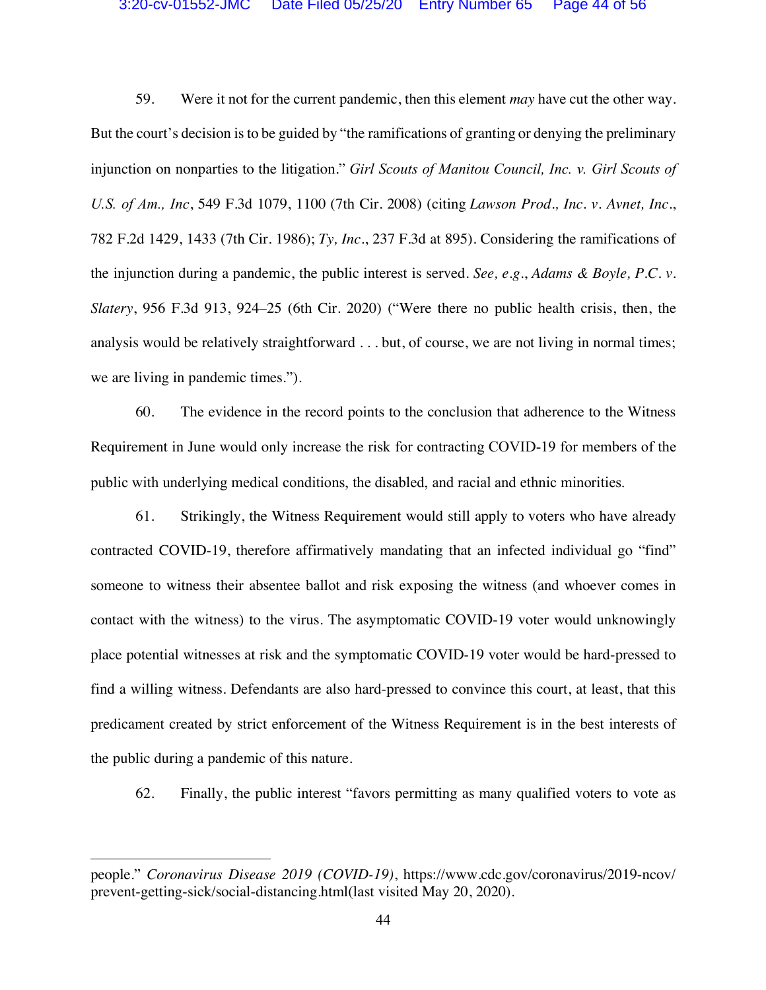#### 3:20-cv-01552-JMC Date Filed 05/25/20 Entry Number 65 Page 44 of 56

59. Were it not for the current pandemic, then this element *may* have cut the other way. But the court's decision is to be guided by "the ramifications of granting or denying the preliminary injunction on nonparties to the litigation." *Girl Scouts of Manitou Council, Inc. v. Girl Scouts of U.S. of Am., Inc*, 549 F.3d 1079, 1100 (7th Cir. 2008) (citing *Lawson Prod., Inc. v. Avnet, Inc.*, 782 F.2d 1429, 1433 (7th Cir. 1986); *Ty, Inc.*, 237 F.3d at 895). Considering the ramifications of the injunction during a pandemic, the public interest is served. *See, e.g*., *Adams & Boyle, P.C. v. Slatery*, 956 F.3d 913, 924–25 (6th Cir. 2020) ("Were there no public health crisis, then, the analysis would be relatively straightforward . . . but, of course, we are not living in normal times; we are living in pandemic times.").

60. The evidence in the record points to the conclusion that adherence to the Witness Requirement in June would only increase the risk for contracting COVID-19 for members of the public with underlying medical conditions, the disabled, and racial and ethnic minorities.

61. Strikingly, the Witness Requirement would still apply to voters who have already contracted COVID-19, therefore affirmatively mandating that an infected individual go "find" someone to witness their absentee ballot and risk exposing the witness (and whoever comes in contact with the witness) to the virus. The asymptomatic COVID-19 voter would unknowingly place potential witnesses at risk and the symptomatic COVID-19 voter would be hard-pressed to find a willing witness. Defendants are also hard-pressed to convince this court, at least, that this predicament created by strict enforcement of the Witness Requirement is in the best interests of the public during a pandemic of this nature.

62. Finally, the public interest "favors permitting as many qualified voters to vote as

 $\overline{a}$ 

people." *Coronavirus Disease 2019 (COVID-19)*, https://www.cdc.gov/coronavirus/2019-ncov/ prevent-getting-sick/social-distancing.html(last visited May 20, 2020).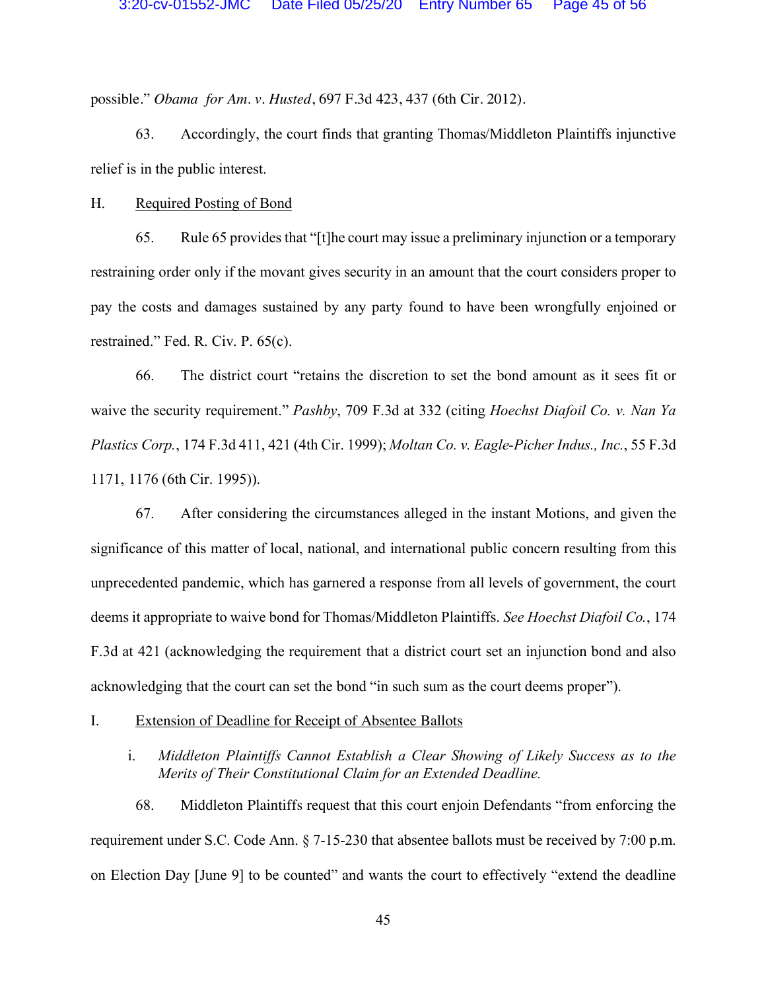possible." *Obama for Am. v. Husted*, 697 F.3d 423, 437 (6th Cir. 2012).

63. Accordingly, the court finds that granting Thomas/Middleton Plaintiffs injunctive relief is in the public interest.

H. Required Posting of Bond

65. Rule 65 provides that "[t]he court may issue a preliminary injunction or a temporary restraining order only if the movant gives security in an amount that the court considers proper to pay the costs and damages sustained by any party found to have been wrongfully enjoined or restrained." Fed. R. Civ. P. 65(c).

66. The district court "retains the discretion to set the bond amount as it sees fit or waive the security requirement." *Pashby*, 709 F.3d at 332 (citing *Hoechst Diafoil Co. v. Nan Ya Plastics Corp.*, 174 F.3d 411, 421 (4th Cir. 1999); *Moltan Co. v. Eagle-Picher Indus., Inc.*, 55 F.3d 1171, 1176 (6th Cir. 1995)).

67. After considering the circumstances alleged in the instant Motions, and given the significance of this matter of local, national, and international public concern resulting from this unprecedented pandemic, which has garnered a response from all levels of government, the court deems it appropriate to waive bond for Thomas/Middleton Plaintiffs. *See Hoechst Diafoil Co.*, 174 F.3d at 421 (acknowledging the requirement that a district court set an injunction bond and also acknowledging that the court can set the bond "in such sum as the court deems proper").

#### I. Extension of Deadline for Receipt of Absentee Ballots

## i. *Middleton Plaintiffs Cannot Establish a Clear Showing of Likely Success as to the Merits of Their Constitutional Claim for an Extended Deadline.*

68. Middleton Plaintiffs request that this court enjoin Defendants "from enforcing the requirement under S.C. Code Ann. § 7-15-230 that absentee ballots must be received by 7:00 p.m. on Election Day [June 9] to be counted" and wants the court to effectively "extend the deadline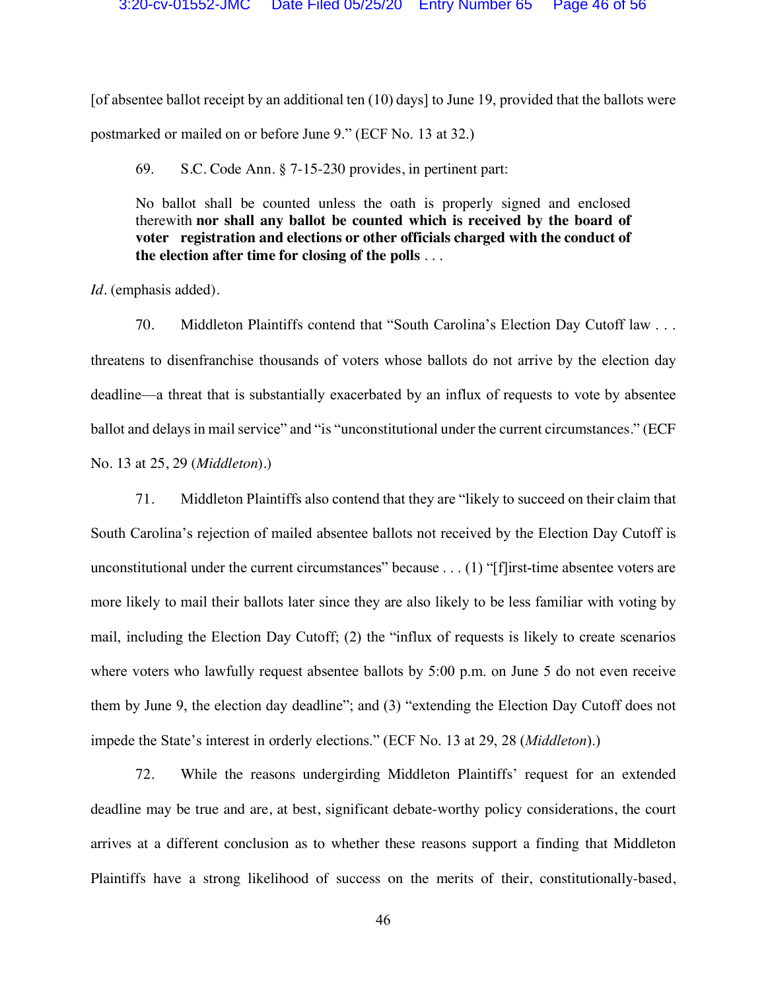[of absentee ballot receipt by an additional ten (10) days] to June 19, provided that the ballots were postmarked or mailed on or before June 9." (ECF No. 13 at 32.)

69. S.C. Code Ann. § 7-15-230 provides, in pertinent part:

No ballot shall be counted unless the oath is properly signed and enclosed therewith **nor shall any ballot be counted which is received by the board of voter registration and elections or other officials charged with the conduct of the election after time for closing of the polls** . . .

*Id.* (emphasis added).

70. Middleton Plaintiffs contend that "South Carolina's Election Day Cutoff law . . . threatens to disenfranchise thousands of voters whose ballots do not arrive by the election day deadline—a threat that is substantially exacerbated by an influx of requests to vote by absentee ballot and delays in mail service" and "is "unconstitutional under the current circumstances." (ECF No. 13 at 25, 29 (*Middleton*).)

71. Middleton Plaintiffs also contend that they are "likely to succeed on their claim that South Carolina's rejection of mailed absentee ballots not received by the Election Day Cutoff is unconstitutional under the current circumstances" because . . . (1) "[f]irst-time absentee voters are more likely to mail their ballots later since they are also likely to be less familiar with voting by mail, including the Election Day Cutoff; (2) the "influx of requests is likely to create scenarios where voters who lawfully request absentee ballots by 5:00 p.m. on June 5 do not even receive them by June 9, the election day deadline"; and (3) "extending the Election Day Cutoff does not impede the State's interest in orderly elections." (ECF No. 13 at 29, 28 (*Middleton*).)

72. While the reasons undergirding Middleton Plaintiffs' request for an extended deadline may be true and are, at best, significant debate-worthy policy considerations, the court arrives at a different conclusion as to whether these reasons support a finding that Middleton Plaintiffs have a strong likelihood of success on the merits of their, constitutionally-based,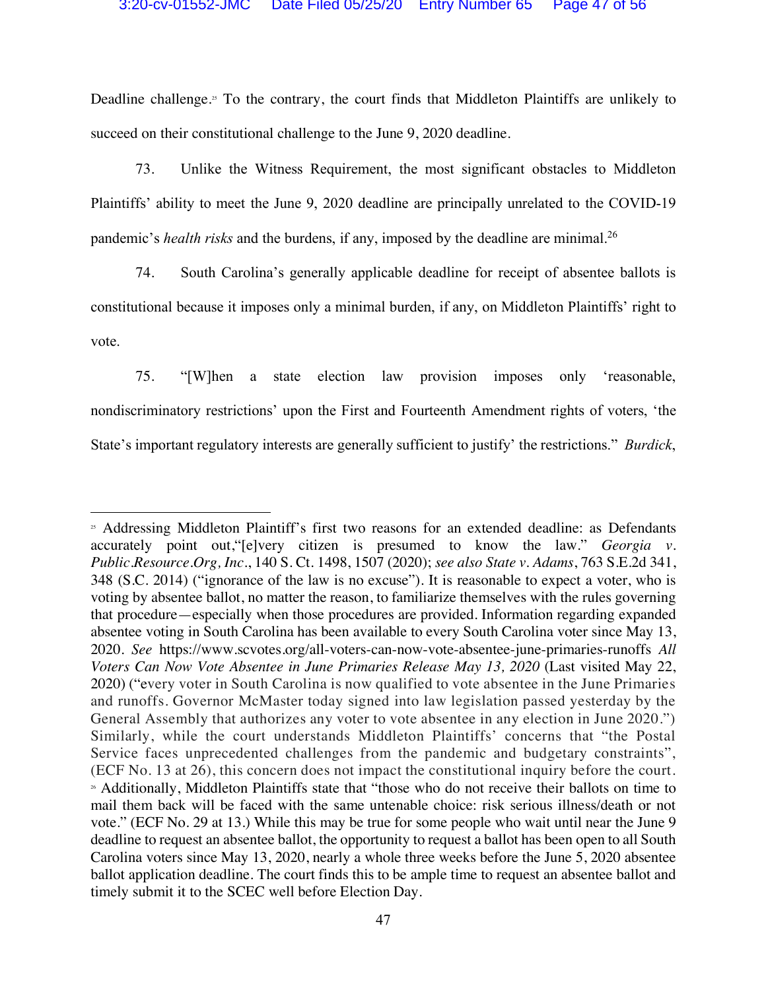Deadline challenge.<sup>35</sup> To the contrary, the court finds that Middleton Plaintiffs are unlikely to succeed on their constitutional challenge to the June 9, 2020 deadline.

73. Unlike the Witness Requirement, the most significant obstacles to Middleton Plaintiffs' ability to meet the June 9, 2020 deadline are principally unrelated to the COVID-19 pandemic's *health risks* and the burdens, if any, imposed by the deadline are minimal.26

74. South Carolina's generally applicable deadline for receipt of absentee ballots is constitutional because it imposes only a minimal burden, if any, on Middleton Plaintiffs' right to vote.

75. "[W]hen a state election law provision imposes only 'reasonable, nondiscriminatory restrictions' upon the First and Fourteenth Amendment rights of voters, 'the State's important regulatory interests are generally sufficient to justify' the restrictions." *Burdick*,

 $\overline{a}$ 

<sup>&</sup>lt;sup>25</sup> Addressing Middleton Plaintiff's first two reasons for an extended deadline: as Defendants accurately point out,"[e]very citizen is presumed to know the law." *Georgia v. Public.Resource.Org, Inc.*, 140 S. Ct. 1498, 1507 (2020); *see also State v. Adams*, 763 S.E.2d 341, 348 (S.C. 2014) ("ignorance of the law is no excuse"). It is reasonable to expect a voter, who is voting by absentee ballot, no matter the reason, to familiarize themselves with the rules governing that procedure—especially when those procedures are provided. Information regarding expanded absentee voting in South Carolina has been available to every South Carolina voter since May 13, 2020. *See* https://www.scvotes.org/all-voters-can-now-vote-absentee-june-primaries-runoffs *All Voters Can Now Vote Absentee in June Primaries Release May 13, 2020 (Last visited May 22, Voters Can Now Vote Absentee in June Primaries Release May 13, 2020 (Last visited May 22, Voters And True Absentee May 22, Voters A* 2020) ("every voter in South Carolina is now qualified to vote absentee in the June Primaries and runoffs. Governor McMaster today signed into law legislation passed yesterday by the General Assembly that authorizes any voter to vote absentee in any election in June 2020.") Similarly, while the court understands Middleton Plaintiffs' concerns that "the Postal Service faces unprecedented challenges from the pandemic and budgetary constraints", (ECF No. 13 at 26), this concern does not impact the constitutional inquiry before the court. <sup>26</sup> Additionally, Middleton Plaintiffs state that "those who do not receive their ballots on time to mail them back will be faced with the same untenable choice: risk serious illness/death or not vote." (ECF No. 29 at 13.) While this may be true for some people who wait until near the June 9 deadline to request an absentee ballot, the opportunity to request a ballot has been open to all South Carolina voters since May 13, 2020, nearly a whole three weeks before the June 5, 2020 absentee ballot application deadline. The court finds this to be ample time to request an absentee ballot and timely submit it to the SCEC well before Election Day.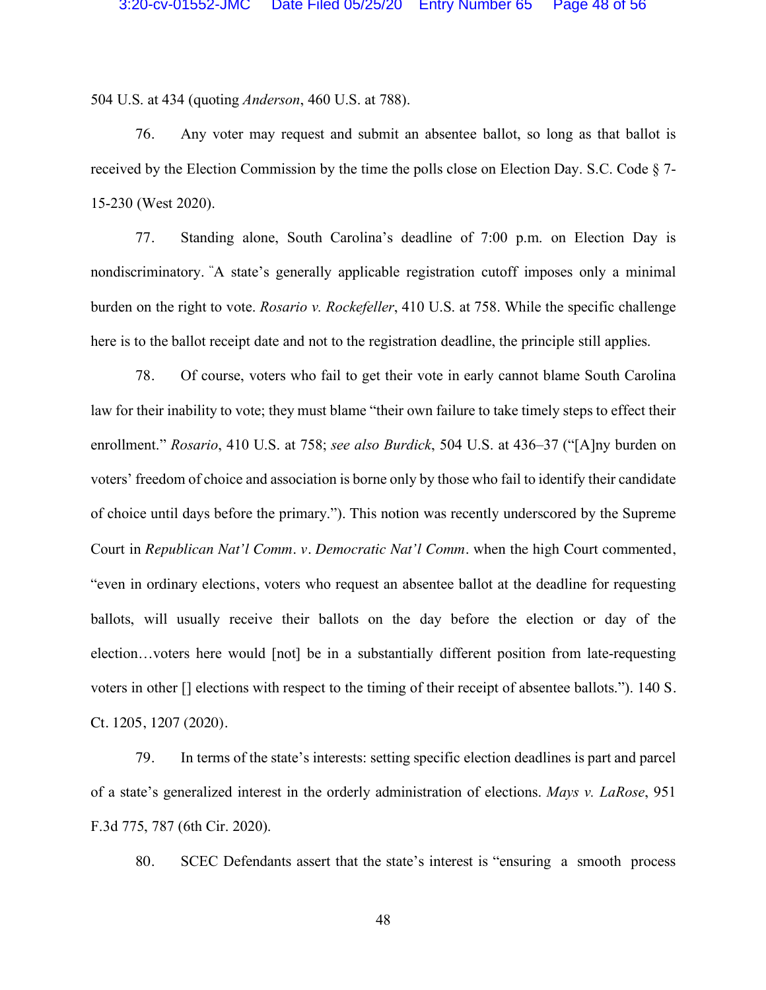504 U.S. at 434 (quoting *Anderson*, 460 U.S. at 788).

76. Any voter may request and submit an absentee ballot, so long as that ballot is received by the Election Commission by the time the polls close on Election Day. S.C. Code § 7- 15-230 (West 2020).

77. Standing alone, South Carolina's deadline of 7:00 p.m. on Election Day is nondiscriminatory. " A state's generally applicable registration cutoff imposes only a minimal burden on the right to vote. *Rosario v. Rockefeller*, 410 U.S. at 758. While the specific challenge here is to the ballot receipt date and not to the registration deadline, the principle still applies.

78. Of course, voters who fail to get their vote in early cannot blame South Carolina law for their inability to vote; they must blame "their own failure to take timely steps to effect their enrollment." *Rosario*, 410 U.S. at 758; *see also Burdick*, 504 U.S. at 436–37 ("[A]ny burden on voters' freedom of choice and association is borne only by those who fail to identify their candidate of choice until days before the primary."). This notion was recently underscored by the Supreme Court in *Republican Nat'l Comm. v. Democratic Nat'l Comm.* when the high Court commented, "even in ordinary elections, voters who request an absentee ballot at the deadline for requesting ballots, will usually receive their ballots on the day before the election or day of the election…voters here would [not] be in a substantially different position from late-requesting voters in other [] elections with respect to the timing of their receipt of absentee ballots."). 140 S. Ct. 1205, 1207 (2020).

79. In terms of the state's interests: setting specific election deadlines is part and parcel of a state's generalized interest in the orderly administration of elections. *Mays v. LaRose*, 951 F.3d 775, 787 (6th Cir. 2020).

80. SCEC Defendants assert that the state's interest is "ensuring a smooth process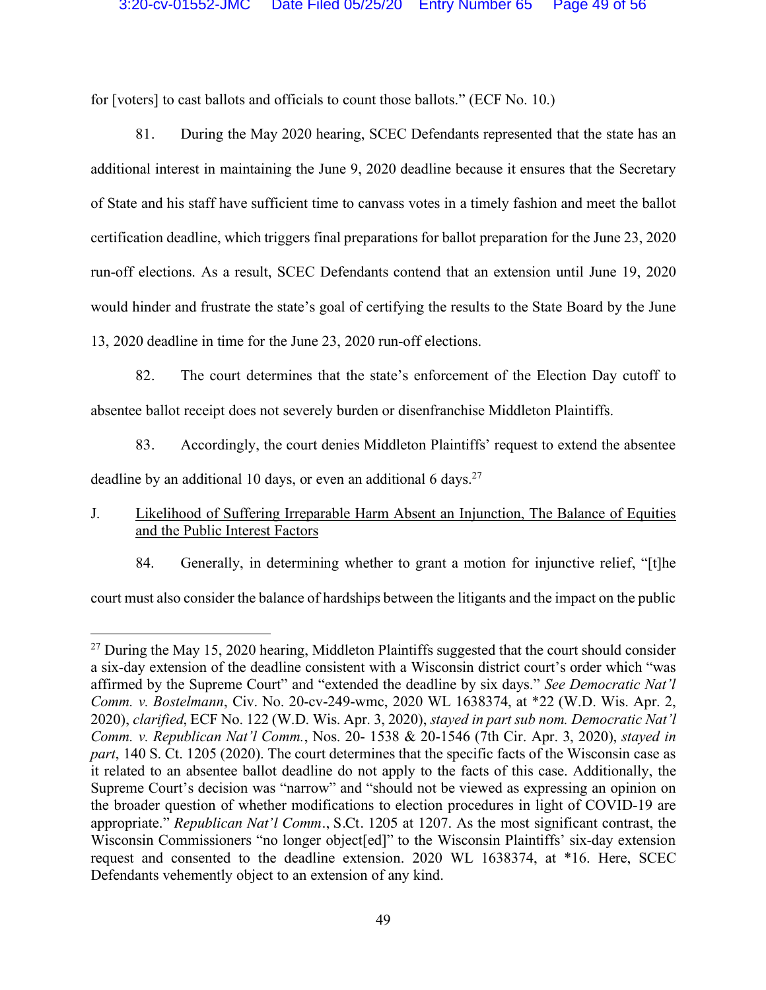for [voters] to cast ballots and officials to count those ballots." (ECF No. 10.)

81. During the May 2020 hearing, SCEC Defendants represented that the state has an additional interest in maintaining the June 9, 2020 deadline because it ensures that the Secretary of State and his staff have sufficient time to canvass votes in a timely fashion and meet the ballot certification deadline, which triggers final preparations for ballot preparation for the June 23, 2020 run-off elections. As a result, SCEC Defendants contend that an extension until June 19, 2020 would hinder and frustrate the state's goal of certifying the results to the State Board by the June 13, 2020 deadline in time for the June 23, 2020 run-off elections.

- 82. The court determines that the state's enforcement of the Election Day cutoff to absentee ballot receipt does not severely burden or disenfranchise Middleton Plaintiffs.
	- 83. Accordingly, the court denies Middleton Plaintiffs' request to extend the absentee

deadline by an additional 10 days, or even an additional 6 days.<sup>27</sup>

- J. Likelihood of Suffering Irreparable Harm Absent an Injunction, The Balance of Equities and the Public Interest Factors
	- 84. Generally, in determining whether to grant a motion for injunctive relief, "[t]he

court must also consider the balance of hardships between the litigants and the impact on the public

<sup>&</sup>lt;sup>27</sup> During the May 15, 2020 hearing, Middleton Plaintiffs suggested that the court should consider a six-day extension of the deadline consistent with a Wisconsin district court's order which "was affirmed by the Supreme Court" and "extended the deadline by six days." *See Democratic Nat'l Comm. v. Bostelmann*, Civ. No. 20-cv-249-wmc, 2020 WL 1638374, at \*22 (W.D. Wis. Apr. 2, 2020), *clarified*, ECF No. 122 (W.D. Wis. Apr. 3, 2020), *stayed in part sub nom. Democratic Nat'l Comm. v. Republican Nat'l Comm.*, Nos. 20- 1538 & 20-1546 (7th Cir. Apr. 3, 2020), *stayed in part*, 140 S. Ct. 1205 (2020). The court determines that the specific facts of the Wisconsin case as it related to an absentee ballot deadline do not apply to the facts of this case. Additionally, the Supreme Court's decision was "narrow" and "should not be viewed as expressing an opinion on the broader question of whether modifications to election procedures in light of COVID-19 are appropriate." *Republican Nat'l Comm.*, S.Ct. 1205 at 1207. As the most significant contrast, the Wisconsin Commissioners "no longer object[ed]" to the Wisconsin Plaintiffs' six-day extension request and consented to the deadline extension. 2020 WL 1638374, at \*16. Here, SCEC Defendants vehemently object to an extension of any kind.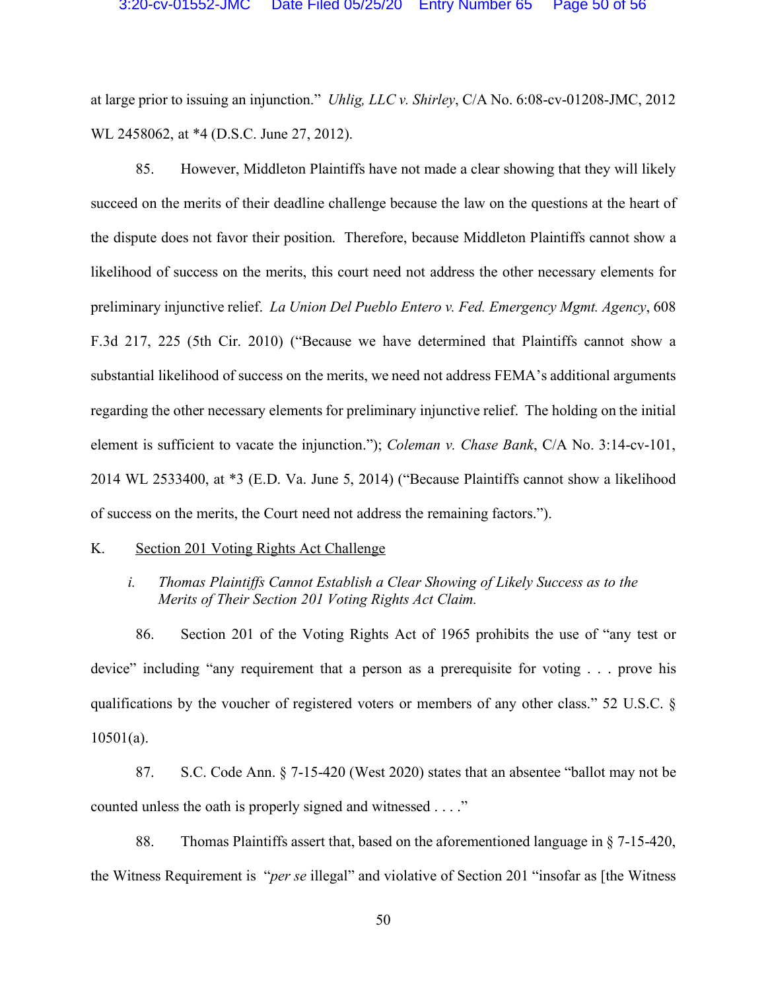at large prior to issuing an injunction." *Uhlig, LLC v. Shirley*, C/A No. 6:08-cv-01208-JMC, 2012 WL 2458062, at \*4 (D.S.C. June 27, 2012).

85. However, Middleton Plaintiffs have not made a clear showing that they will likely succeed on the merits of their deadline challenge because the law on the questions at the heart of the dispute does not favor their position. Therefore, because Middleton Plaintiffs cannot show a likelihood of success on the merits, this court need not address the other necessary elements for preliminary injunctive relief. *La Union Del Pueblo Entero v. Fed. Emergency Mgmt. Agency*, 608 F.3d 217, 225 (5th Cir. 2010) ("Because we have determined that Plaintiffs cannot show a substantial likelihood of success on the merits, we need not address FEMA's additional arguments regarding the other necessary elements for preliminary injunctive relief. The holding on the initial element is sufficient to vacate the injunction."); *Coleman v. Chase Bank*, C/A No. 3:14-cv-101, 2014 WL 2533400, at \*3 (E.D. Va. June 5, 2014) ("Because Plaintiffs cannot show a likelihood of success on the merits, the Court need not address the remaining factors.").

#### K. Section 201 Voting Rights Act Challenge

## *i. Thomas Plaintiffs Cannot Establish a Clear Showing of Likely Success as to the Merits of Their Section 201 Voting Rights Act Claim.*

86. Section 201 of the Voting Rights Act of 1965 prohibits the use of "any test or device" including "any requirement that a person as a prerequisite for voting . . . prove his qualifications by the voucher of registered voters or members of any other class." 52 U.S.C. § 10501(a).

87. S.C. Code Ann. § 7-15-420 (West 2020) states that an absentee "ballot may not be counted unless the oath is properly signed and witnessed . . . ."

88. Thomas Plaintiffs assert that, based on the aforementioned language in § 7-15-420, the Witness Requirement is "*per se* illegal" and violative of Section 201 "insofar as [the Witness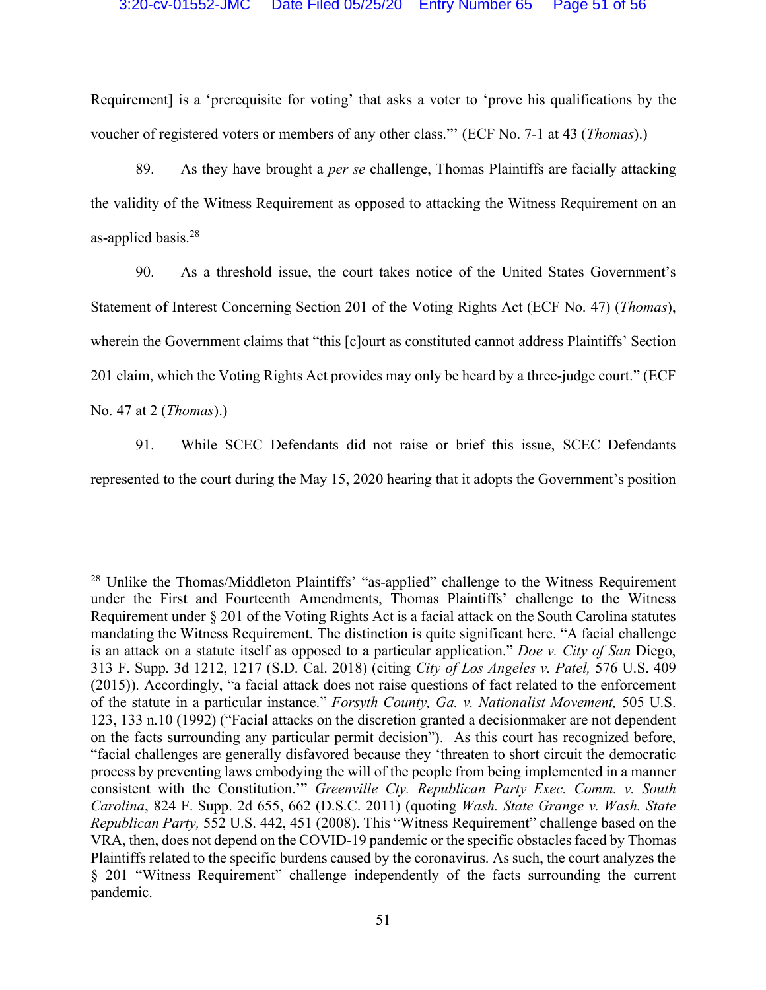Requirement] is a 'prerequisite for voting' that asks a voter to 'prove his qualifications by the voucher of registered voters or members of any other class."' (ECF No. 7-1 at 43 (*Thomas*).)

89. As they have brought a *per se* challenge, Thomas Plaintiffs are facially attacking the validity of the Witness Requirement as opposed to attacking the Witness Requirement on an as-applied basis.28

90. As a threshold issue, the court takes notice of the United States Government's Statement of Interest Concerning Section 201 of the Voting Rights Act (ECF No. 47) (*Thomas*), wherein the Government claims that "this [c]ourt as constituted cannot address Plaintiffs' Section 201 claim, which the Voting Rights Act provides may only be heard by a three-judge court." (ECF No. 47 at 2 (*Thomas*).)

91. While SCEC Defendants did not raise or brief this issue, SCEC Defendants represented to the court during the May 15, 2020 hearing that it adopts the Government's position

<sup>&</sup>lt;sup>28</sup> Unlike the Thomas/Middleton Plaintiffs' "as-applied" challenge to the Witness Requirement under the First and Fourteenth Amendments, Thomas Plaintiffs' challenge to the Witness Requirement under § 201 of the Voting Rights Act is a facial attack on the South Carolina statutes mandating the Witness Requirement. The distinction is quite significant here. "A facial challenge is an attack on a statute itself as opposed to a particular application." *Doe v. City of San* Diego, 313 F. Supp. 3d 1212, 1217 (S.D. Cal. 2018) (citing *City of Los Angeles v. Patel,* 576 U.S. 409 (2015)). Accordingly, "a facial attack does not raise questions of fact related to the enforcement of the statute in a particular instance." *Forsyth County, Ga. v. Nationalist Movement,* 505 U.S. 123, 133 n.10 (1992) ("Facial attacks on the discretion granted a decisionmaker are not dependent on the facts surrounding any particular permit decision"). As this court has recognized before, "facial challenges are generally disfavored because they 'threaten to short circuit the democratic process by preventing laws embodying the will of the people from being implemented in a manner consistent with the Constitution.'" *Greenville Cty. Republican Party Exec. Comm. v. South Carolina*, 824 F. Supp. 2d 655, 662 (D.S.C. 2011) (quoting *Wash. State Grange v. Wash. State Republican Party,* 552 U.S. 442, 451 (2008). This "Witness Requirement" challenge based on the VRA, then, does not depend on the COVID-19 pandemic or the specific obstacles faced by Thomas Plaintiffs related to the specific burdens caused by the coronavirus. As such, the court analyzes the § 201 "Witness Requirement" challenge independently of the facts surrounding the current pandemic.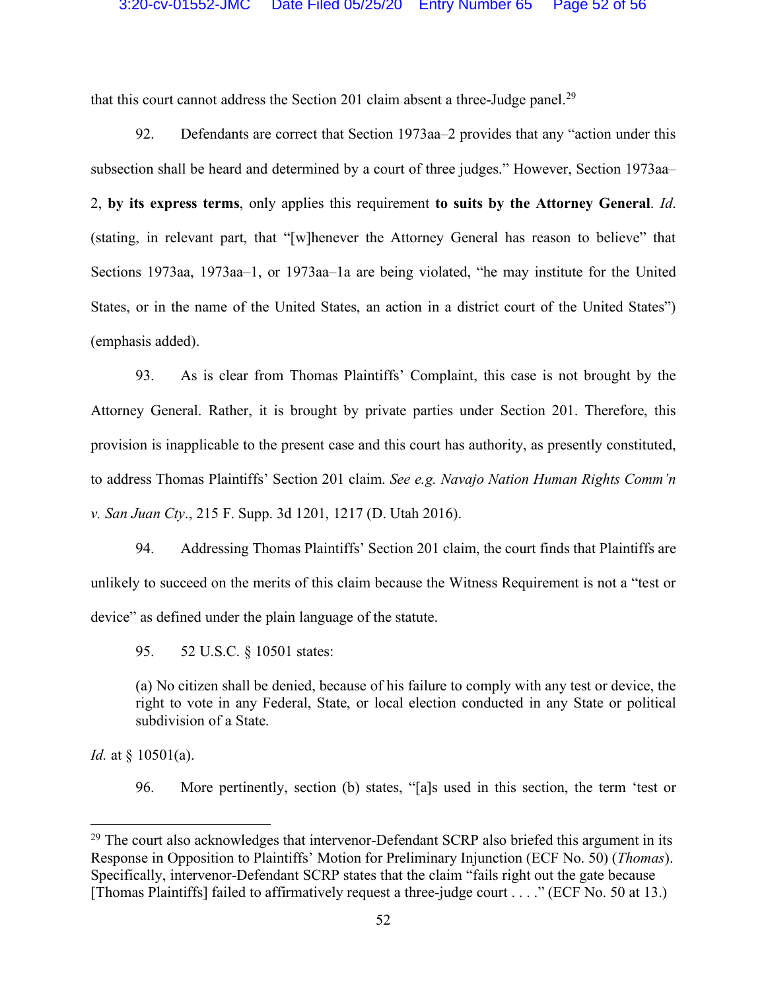that this court cannot address the Section 201 claim absent a three-Judge panel.<sup>29</sup>

92. Defendants are correct that Section 1973aa–2 provides that any "action under this subsection shall be heard and determined by a court of three judges." However, Section 1973aa– 2, **by its express terms**, only applies this requirement **to suits by the Attorney General**. *Id*. (stating, in relevant part, that "[w]henever the Attorney General has reason to believe" that Sections 1973aa, 1973aa–1, or 1973aa–1a are being violated, "he may institute for the United States, or in the name of the United States, an action in a district court of the United States") (emphasis added).

93. As is clear from Thomas Plaintiffs' Complaint, this case is not brought by the Attorney General. Rather, it is brought by private parties under Section 201. Therefore, this provision is inapplicable to the present case and this court has authority, as presently constituted, to address Thomas Plaintiffs' Section 201 claim. *See e.g. Navajo Nation Human Rights Comm'n v. San Juan Cty*., 215 F. Supp. 3d 1201, 1217 (D. Utah 2016).

94. Addressing Thomas Plaintiffs' Section 201 claim, the court finds that Plaintiffs are unlikely to succeed on the merits of this claim because the Witness Requirement is not a "test or device" as defined under the plain language of the statute.

95. 52 U.S.C. § 10501 states:

(a) No citizen shall be denied, because of his failure to comply with any test or device, the right to vote in any Federal, State, or local election conducted in any State or political subdivision of a State.

*Id.* at § 10501(a).

96. More pertinently, section (b) states, "[a]s used in this section, the term 'test or

<sup>&</sup>lt;sup>29</sup> The court also acknowledges that intervenor-Defendant SCRP also briefed this argument in its Response in Opposition to Plaintiffs' Motion for Preliminary Injunction (ECF No. 50) (*Thomas*). Specifically, intervenor-Defendant SCRP states that the claim "fails right out the gate because [Thomas Plaintiffs] failed to affirmatively request a three-judge court . . . ." (ECF No. 50 at 13.)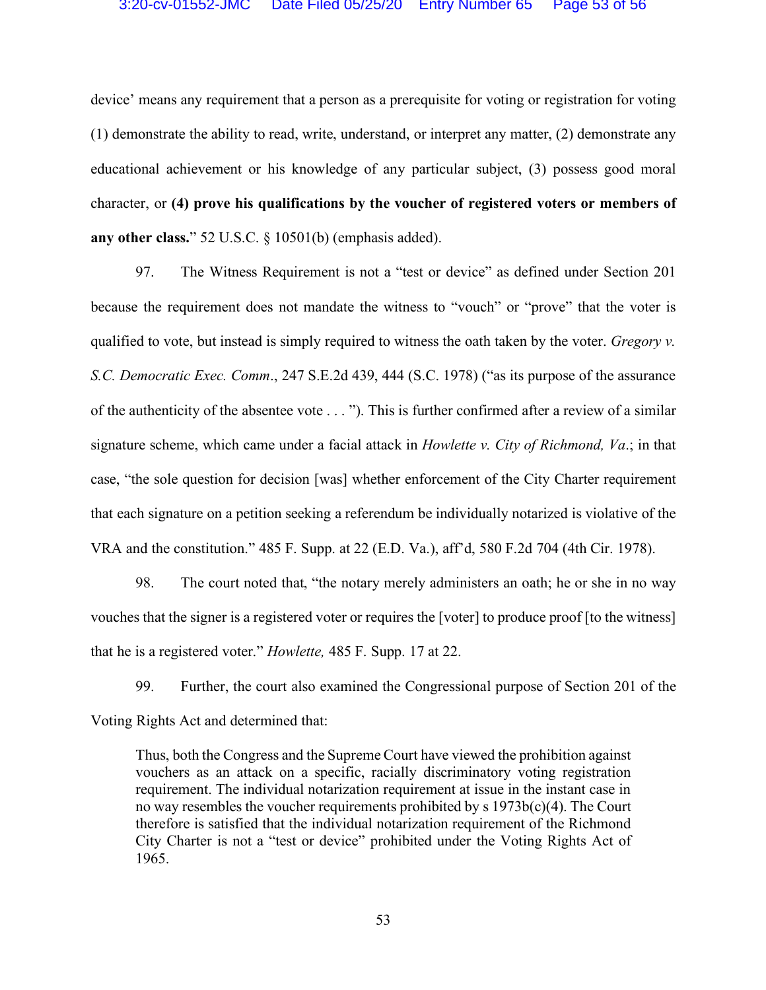device' means any requirement that a person as a prerequisite for voting or registration for voting (1) demonstrate the ability to read, write, understand, or interpret any matter, (2) demonstrate any educational achievement or his knowledge of any particular subject, (3) possess good moral character, or **(4) prove his qualifications by the voucher of registered voters or members of any other class.**" 52 U.S.C. § 10501(b) (emphasis added).

97. The Witness Requirement is not a "test or device" as defined under Section 201 because the requirement does not mandate the witness to "vouch" or "prove" that the voter is qualified to vote, but instead is simply required to witness the oath taken by the voter. *Gregory v. S.C. Democratic Exec. Comm*., 247 S.E.2d 439, 444 (S.C. 1978) ("as its purpose of the assurance of the authenticity of the absentee vote . . . "). This is further confirmed after a review of a similar signature scheme, which came under a facial attack in *Howlette v. City of Richmond, Va*.; in that case, "the sole question for decision [was] whether enforcement of the City Charter requirement that each signature on a petition seeking a referendum be individually notarized is violative of the VRA and the constitution." 485 F. Supp. at 22 (E.D. Va.), aff'd, 580 F.2d 704 (4th Cir. 1978).

98. The court noted that, "the notary merely administers an oath; he or she in no way vouches that the signer is a registered voter or requires the [voter] to produce proof [to the witness] that he is a registered voter." *Howlette,* 485 F. Supp. 17 at 22.

99. Further, the court also examined the Congressional purpose of Section 201 of the Voting Rights Act and determined that:

Thus, both the Congress and the Supreme Court have viewed the prohibition against vouchers as an attack on a specific, racially discriminatory voting registration requirement. The individual notarization requirement at issue in the instant case in no way resembles the voucher requirements prohibited by s  $1973b(c)(4)$ . The Court therefore is satisfied that the individual notarization requirement of the Richmond City Charter is not a "test or device" prohibited under the Voting Rights Act of 1965.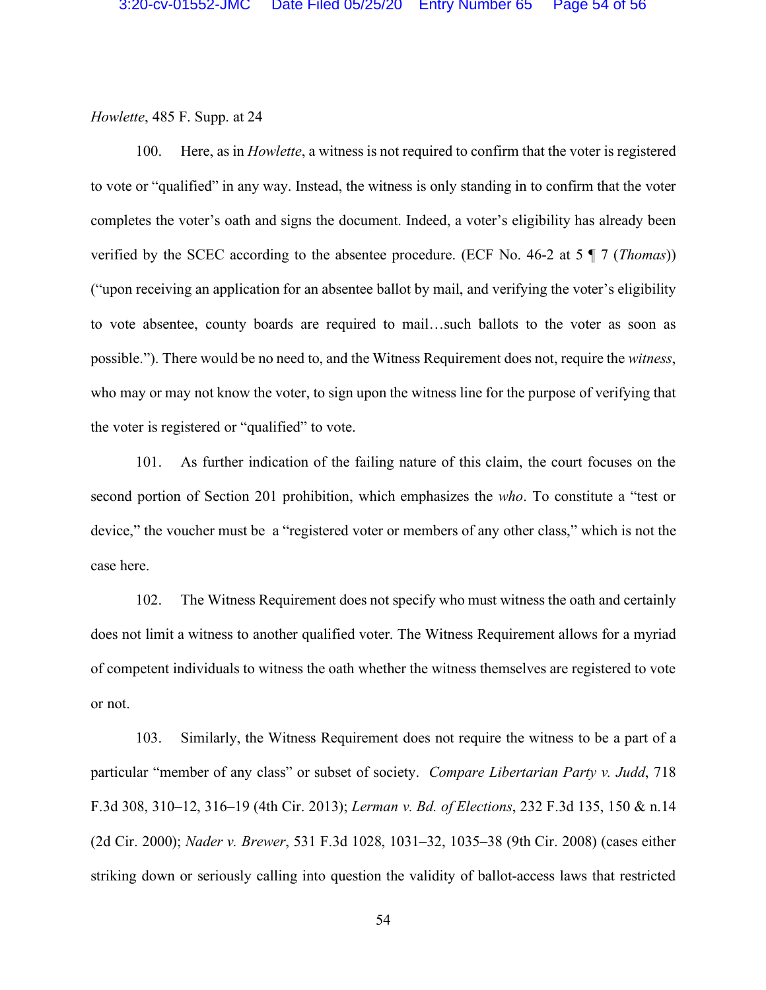## *Howlette*, 485 F. Supp. at 24

100. Here, as in *Howlette*, a witness is not required to confirm that the voter is registered to vote or "qualified" in any way. Instead, the witness is only standing in to confirm that the voter completes the voter's oath and signs the document. Indeed, a voter's eligibility has already been verified by the SCEC according to the absentee procedure. (ECF No. 46-2 at 5 ¶ 7 (*Thomas*)) ("upon receiving an application for an absentee ballot by mail, and verifying the voter's eligibility to vote absentee, county boards are required to mail…such ballots to the voter as soon as possible."). There would be no need to, and the Witness Requirement does not, require the *witness*, who may or may not know the voter, to sign upon the witness line for the purpose of verifying that the voter is registered or "qualified" to vote.

101. As further indication of the failing nature of this claim, the court focuses on the second portion of Section 201 prohibition, which emphasizes the *who*. To constitute a "test or device," the voucher must be a "registered voter or members of any other class," which is not the case here.

102. The Witness Requirement does not specify who must witness the oath and certainly does not limit a witness to another qualified voter. The Witness Requirement allows for a myriad of competent individuals to witness the oath whether the witness themselves are registered to vote or not.

103. Similarly, the Witness Requirement does not require the witness to be a part of a particular "member of any class" or subset of society. *Compare Libertarian Party v. Judd*, 718 F.3d 308, 310–12, 316–19 (4th Cir. 2013); *Lerman v. Bd. of Elections*, 232 F.3d 135, 150 & n.14 (2d Cir. 2000); *Nader v. Brewer*, 531 F.3d 1028, 1031–32, 1035–38 (9th Cir. 2008) (cases either striking down or seriously calling into question the validity of ballot-access laws that restricted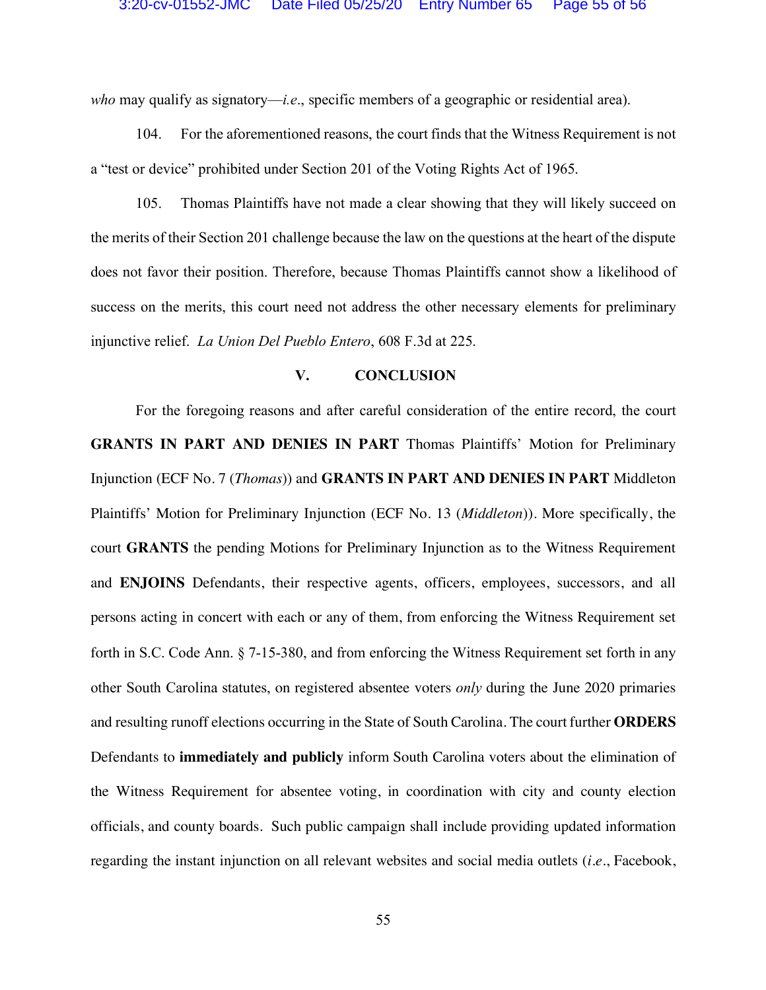*who* may qualify as signatory—*i.e*., specific members of a geographic or residential area).

104. For the aforementioned reasons, the court finds that the Witness Requirement is not a "test or device" prohibited under Section 201 of the Voting Rights Act of 1965.

105. Thomas Plaintiffs have not made a clear showing that they will likely succeed on the merits of their Section 201 challenge because the law on the questions at the heart of the dispute does not favor their position. Therefore, because Thomas Plaintiffs cannot show a likelihood of success on the merits, this court need not address the other necessary elements for preliminary injunctive relief. *La Union Del Pueblo Entero*, 608 F.3d at 225.

## **V. CONCLUSION**

For the foregoing reasons and after careful consideration of the entire record, the court **GRANTS IN PART AND DENIES IN PART** Thomas Plaintiffs' Motion for Preliminary Injunction (ECF No. 7 (*Thomas*)) and **GRANTS IN PART AND DENIES IN PART** Middleton Plaintiffs' Motion for Preliminary Injunction (ECF No. 13 (*Middleton*)). More specifically, the court **GRANTS** the pending Motions for Preliminary Injunction as to the Witness Requirement and **ENJOINS** Defendants, their respective agents, officers, employees, successors, and all persons acting in concert with each or any of them, from enforcing the Witness Requirement set forth in S.C. Code Ann. § 7-15-380, and from enforcing the Witness Requirement set forth in any other South Carolina statutes, on registered absentee voters *only* during the June 2020 primaries and resulting runoff elections occurring in the State of South Carolina. The court further **ORDERS** Defendants to **immediately and publicly** inform South Carolina voters about the elimination of the Witness Requirement for absentee voting, in coordination with city and county election officials, and county boards. Such public campaign shall include providing updated information regarding the instant injunction on all relevant websites and social media outlets (*i.e.*, Facebook,